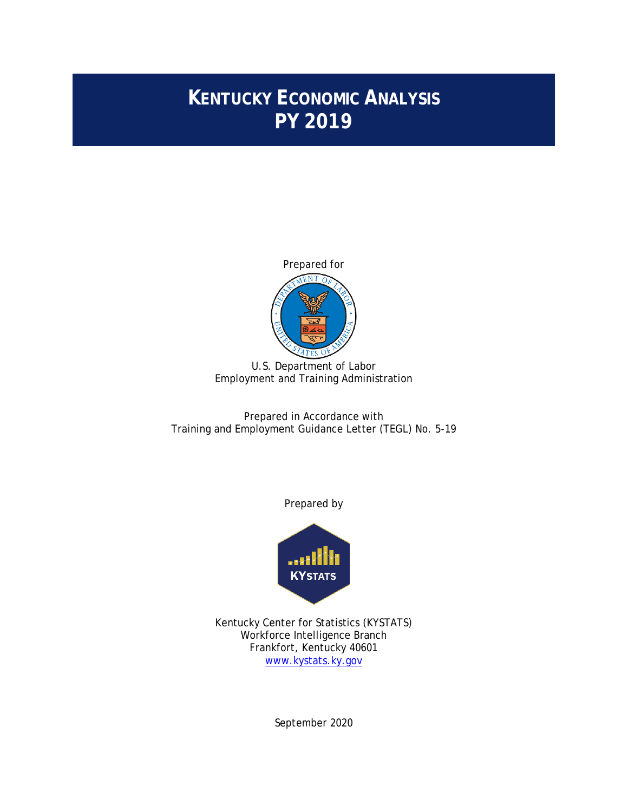# **KENTUCKY ECONOMIC ANALYSIS PY 2019**



U.S. Department of Labor Employment and Training Administration

Prepared in Accordance with Training and Employment Guidance Letter (TEGL) No. 5-19

Prepared by



Kentucky Center for Statistics (KYSTATS) Workforce Intelligence Branch Frankfort, Kentucky 40601 [www.kystats.ky.gov](http://www.kystats.ky.gov/)

September 2020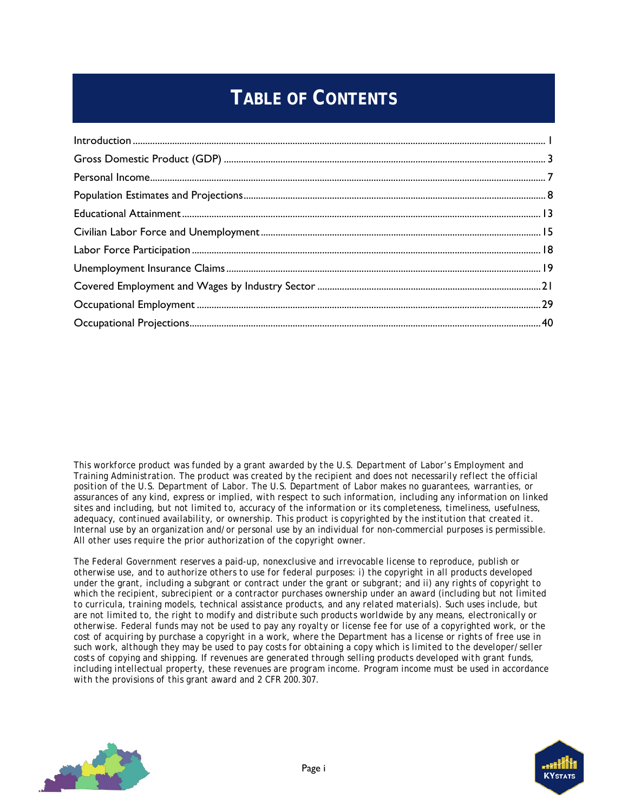# **TABLE OF CONTENTS**

*This workforce product was funded by a grant awarded by the U.S. Department of Labor's Employment and Training Administration. The product was created by the recipient and does not necessarily reflect the official position of the U.S. Department of Labor. The U.S. Department of Labor makes no guarantees, warranties, or assurances of any kind, express or implied, with respect to such information, including any information on linked sites and including, but not limited to, accuracy of the information or its completeness, timeliness, usefulness, adequacy, continued availability, or ownership. This product is copyrighted by the institution that created it. Internal use by an organization and/or personal use by an individual for non-commercial purposes is permissible. All other uses require the prior authorization of the copyright owner.*

*The Federal Government reserves a paid-up, nonexclusive and irrevocable license to reproduce, publish or otherwise use, and to authorize others to use for federal purposes: i) the copyright in all products developed under the grant, including a subgrant or contract under the grant or subgrant; and ii) any rights of copyright to*  which the recipient, subrecipient or a contractor purchases ownership under an award (including but not limited *to curricula, training models, technical assistance products, and any related materials). Such uses include, but are not limited to, the right to modify and distribute such products worldwide by any means, electronically or otherwise. Federal funds may not be used to pay any royalty or license fee for use of a copyrighted work, or the cost of acquiring by purchase a copyright in a work, where the Department has a license or rights of free use in such work, although they may be used to pay costs for obtaining a copy which is limited to the developer/seller costs of copying and shipping. If revenues are generated through selling products developed with grant funds, including intellectual property, these revenues are program income. Program income must be used in accordance with the provisions of this grant award and 2 CFR 200.307.*



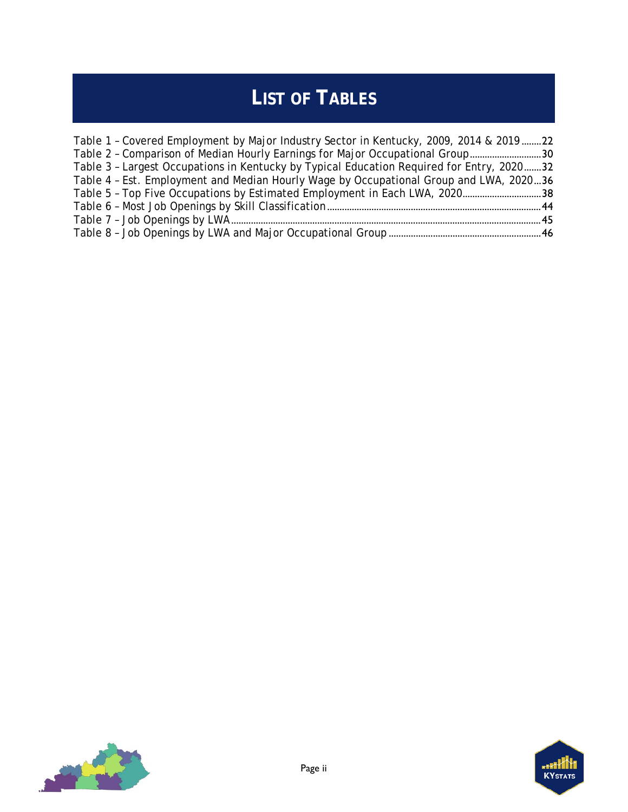# **LIST OF TABLES**

| Table 1 - Covered Employment by Major Industry Sector in Kentucky, 2009, 2014 & 201922    |  |
|-------------------------------------------------------------------------------------------|--|
| Table 2 - Comparison of Median Hourly Earnings for Major Occupational Group30             |  |
| Table 3 - Largest Occupations in Kentucky by Typical Education Required for Entry, 202032 |  |
| Table 4 - Est. Employment and Median Hourly Wage by Occupational Group and LWA, 202036    |  |
| Table 5 - Top Five Occupations by Estimated Employment in Each LWA, 202038                |  |
|                                                                                           |  |
|                                                                                           |  |
|                                                                                           |  |
|                                                                                           |  |



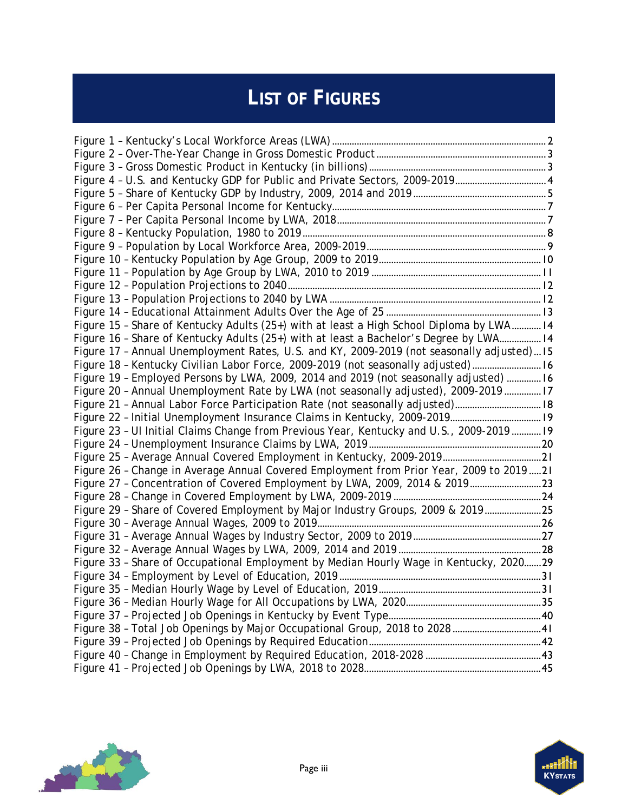# **LIST OF FIGURES**

| Figure 4 - U.S. and Kentucky GDP for Public and Private Sectors, 2009-20194               |  |
|-------------------------------------------------------------------------------------------|--|
|                                                                                           |  |
|                                                                                           |  |
|                                                                                           |  |
|                                                                                           |  |
|                                                                                           |  |
|                                                                                           |  |
|                                                                                           |  |
|                                                                                           |  |
|                                                                                           |  |
|                                                                                           |  |
| Figure 15 - Share of Kentucky Adults (25+) with at least a High School Diploma by LWA 14  |  |
| Figure 16 - Share of Kentucky Adults (25+) with at least a Bachelor's Degree by LWA 14    |  |
| Figure 17 - Annual Unemployment Rates, U.S. and KY, 2009-2019 (not seasonally adjusted)15 |  |
| Figure 18 - Kentucky Civilian Labor Force, 2009-2019 (not seasonally adjusted) 16         |  |
| Figure 19 - Employed Persons by LWA, 2009, 2014 and 2019 (not seasonally adjusted)  16    |  |
| Figure 20 - Annual Unemployment Rate by LWA (not seasonally adjusted), 2009-2019  17      |  |
| Figure 21 - Annual Labor Force Participation Rate (not seasonally adjusted) 18            |  |
| Figure 22 - Initial Unemployment Insurance Claims in Kentucky, 2009-2019 19               |  |
| Figure 23 - UI Initial Claims Change from Previous Year, Kentucky and U.S., 2009-2019 19  |  |
|                                                                                           |  |
|                                                                                           |  |
| Figure 26 - Change in Average Annual Covered Employment from Prior Year, 2009 to 201921   |  |
| Figure 27 - Concentration of Covered Employment by LWA, 2009, 2014 & 201923               |  |
|                                                                                           |  |
| Figure 29 - Share of Covered Employment by Major Industry Groups, 2009 & 201925           |  |
|                                                                                           |  |
|                                                                                           |  |
|                                                                                           |  |
| Figure 33 - Share of Occupational Employment by Median Hourly Wage in Kentucky, 202029    |  |
|                                                                                           |  |
|                                                                                           |  |
|                                                                                           |  |
|                                                                                           |  |
| Figure 38 - Total Job Openings by Major Occupational Group, 2018 to 202841                |  |
|                                                                                           |  |
|                                                                                           |  |
|                                                                                           |  |



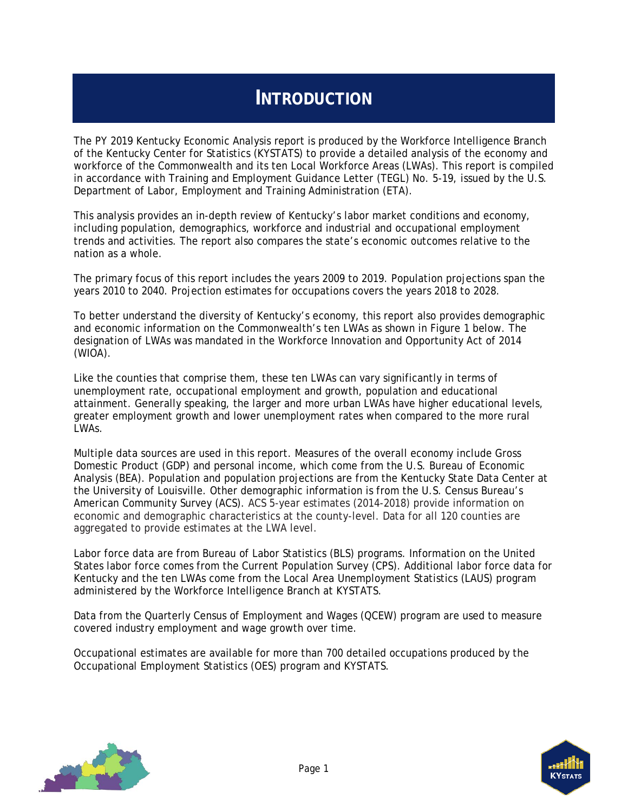## **INTRODUCTION**

<span id="page-4-0"></span>The PY 2019 Kentucky Economic Analysis report is produced by the Workforce Intelligence Branch of the Kentucky Center for Statistics (KYSTATS) to provide a detailed analysis of the economy and workforce of the Commonwealth and its ten Local Workforce Areas (LWAs). This report is compiled in accordance with Training and Employment Guidance Letter (TEGL) No. 5-19, issued by the U.S. Department of Labor, Employment and Training Administration (ETA).

This analysis provides an in-depth review of Kentucky's labor market conditions and economy, including population, demographics, workforce and industrial and occupational employment trends and activities. The report also compares the state's economic outcomes relative to the nation as a whole.

The primary focus of this report includes the years 2009 to 2019. Population projections span the years 2010 to 2040. Projection estimates for occupations covers the years 2018 to 2028.

To better understand the diversity of Kentucky's economy, this report also provides demographic and economic information on the Commonwealth's ten LWAs as shown in [Figure 1](#page-5-0) below. The designation of LWAs was mandated in the Workforce Innovation and Opportunity Act of 2014  $(WIOA)$ .

Like the counties that comprise them, these ten LWAs can vary significantly in terms of unemployment rate, occupational employment and growth, population and educational attainment. Generally speaking, the larger and more urban LWAs have higher educational levels, greater employment growth and lower unemployment rates when compared to the more rural LWAs.

Multiple data sources are used in this report. Measures of the overall economy include Gross Domestic Product (GDP) and personal income, which come from the U.S. Bureau of Economic Analysis (BEA). Population and population projections are from the Kentucky State Data Center at the University of Louisville. Other demographic information is from the U.S. Census Bureau's American Community Survey (ACS). ACS 5-year estimates (2014-2018) provide information on economic and demographic characteristics at the county-level. Data for all 120 counties are aggregated to provide estimates at the LWA level.

Labor force data are from Bureau of Labor Statistics (BLS) programs. Information on the United States labor force comes from the Current Population Survey (CPS). Additional labor force data for Kentucky and the ten LWAs come from the Local Area Unemployment Statistics (LAUS) program administered by the Workforce Intelligence Branch at KYSTATS.

Data from the Quarterly Census of Employment and Wages (QCEW) program are used to measure covered industry employment and wage growth over time.

Occupational estimates are available for more than 700 detailed occupations produced by the Occupational Employment Statistics (OES) program and KYSTATS.



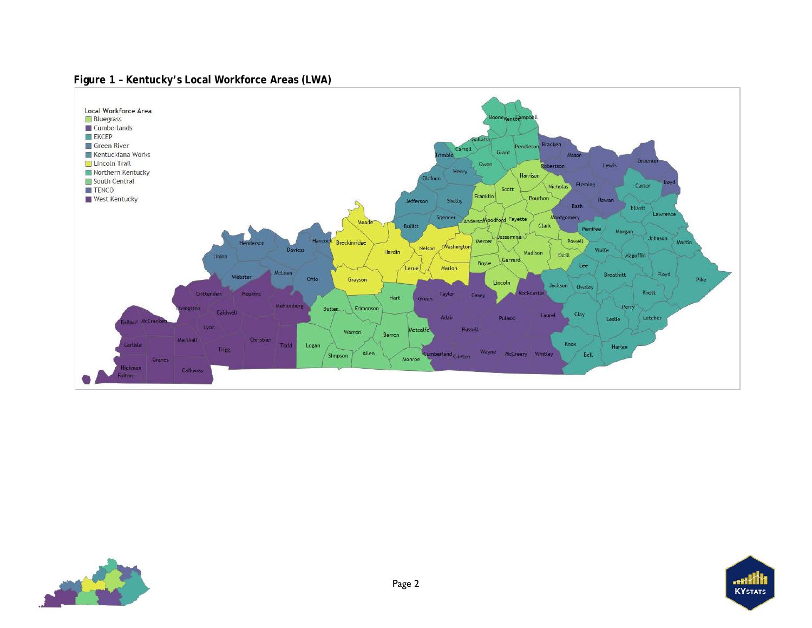#### **Figure 1 – Kentucky's Local Workforce Areas (LWA)**

<span id="page-5-0"></span>

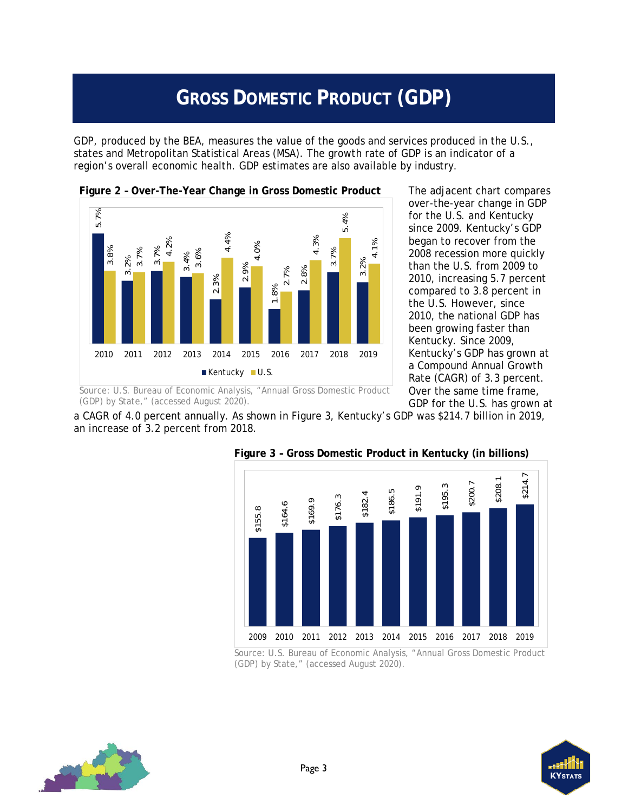# **GROSS DOMESTIC PRODUCT (GDP)**

<span id="page-6-0"></span>GDP, produced by the BEA, measures the value of the goods and services produced in the U.S., states and Metropolitan Statistical Areas (MSA). The growth rate of GDP is an indicator of a region's overall economic health. GDP estimates are also available by industry.

<span id="page-6-1"></span>

The adjacent chart compares over-the-year change in GDP for the U.S. and Kentucky since 2009. Kentucky's GDP began to recover from the 2008 recession more quickly than the U.S. from 2009 to 2010, increasing 5.7 percent compared to 3.8 percent in the U.S. However, since 2010, the national GDP has been growing faster than Kentucky. Since 2009, Kentucky's GDP has grown at a Compound Annual Growth Rate (CAGR) of 3.3 percent. Over the same time frame, GDP for the U.S. has grown at

a CAGR of 4.0 percent annually. As shown in [Figure 3,](#page-6-2) Kentucky's GDP was \$214.7 billion in 2019, an increase of 3.2 percent from 2018.



#### <span id="page-6-2"></span>**Figure 3 – Gross Domestic Product in Kentucky (in billions)**

Source: U.S. Bureau of Economic Analysis, "Annual Gross Domestic Product (GDP) by State," (accessed August 2020).



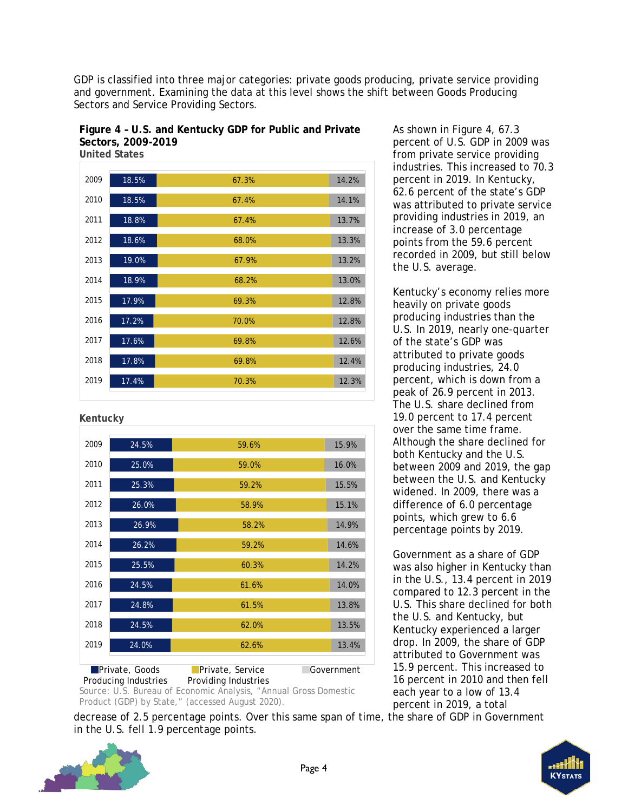GDP is classified into three major categories: private goods producing, private service providing and government. Examining the data at this level shows the shift between Goods Producing Sectors and Service Providing Sectors.

<span id="page-7-0"></span>**Figure 4 – U.S. and Kentucky GDP for Public and Private Sectors, 2009-2019 United States**

| 2009 | 18.5% | 67.3% | 14.2% |
|------|-------|-------|-------|
| 2010 | 18.5% | 67.4% | 14.1% |
| 2011 | 18.8% | 67.4% | 13.7% |
| 2012 | 18.6% | 68.0% | 13.3% |
| 2013 | 19.0% | 67.9% | 13.2% |
| 2014 | 18.9% | 68.2% | 13.0% |
| 2015 | 17.9% | 69.3% | 12.8% |
| 2016 | 17.2% | 70.0% | 12.8% |
| 2017 | 17.6% | 69.8% | 12.6% |
| 2018 | 17.8% | 69.8% | 12.4% |
| 2019 | 17.4% | 70.3% | 12.3% |
|      |       |       |       |

**Kentucky**

| 2009 | 24.5%                 | 59.6%            | 15.9%      |
|------|-----------------------|------------------|------------|
| 2010 | 25.0%                 | 59.0%            | 16.0%      |
| 2011 | 25.3%                 | 59.2%            | 15.5%      |
| 2012 | 26.0%                 | 58.9%            | 15.1%      |
| 2013 | 26.9%                 | 58.2%            | 14.9%      |
| 2014 | 26.2%                 | 59.2%            | 14.6%      |
| 2015 | 25.5%                 | 60.3%            | 14.2%      |
| 2016 | 24.5%                 | 61.6%            | 14.0%      |
| 2017 | 24.8%                 | 61.5%            | 13.8%      |
| 2018 | 24.5%                 | 62.0%            | 13.5%      |
| 2019 | 24.0%                 | 62.6%            | 13.4%      |
|      | <b>Private, Goods</b> | Private, Service | Government |
|      |                       |                  |            |

Producing Industries Providing Industries Source: U.S. Bureau of Economic Analysis, "Annual Gross Domestic Product (GDP) by State," (accessed August 2020).

As shown in [Figure 4,](#page-7-0) 67.3 percent of U.S. GDP in 2009 was from private service providing industries. This increased to 70.3 percent in 2019. In Kentucky, 62.6 percent of the state's GDP was attributed to private service providing industries in 2019, an increase of 3.0 percentage points from the 59.6 percent recorded in 2009, but still below the U.S. average.

Kentucky's economy relies more heavily on private goods producing industries than the U.S. In 2019, nearly one-quarter of the state's GDP was attributed to private goods producing industries, 24.0 percent, which is down from a peak of 26.9 percent in 2013. The U.S. share declined from 19.0 percent to 17.4 percent over the same time frame. Although the share declined for both Kentucky and the U.S. between 2009 and 2019, the gap between the U.S. and Kentucky widened. In 2009, there was a difference of 6.0 percentage points, which grew to 6.6 percentage points by 2019.

Government as a share of GDP was also higher in Kentucky than in the U.S., 13.4 percent in 2019 compared to 12.3 percent in the U.S. This share declined for both the U.S. and Kentucky, but Kentucky experienced a larger drop. In 2009, the share of GDP attributed to Government was 15.9 percent. This increased to 16 percent in 2010 and then fell each year to a low of 13.4 percent in 2019, a total

decrease of 2.5 percentage points. Over this same span of time, the share of GDP in Government in the U.S. fell 1.9 percentage points.



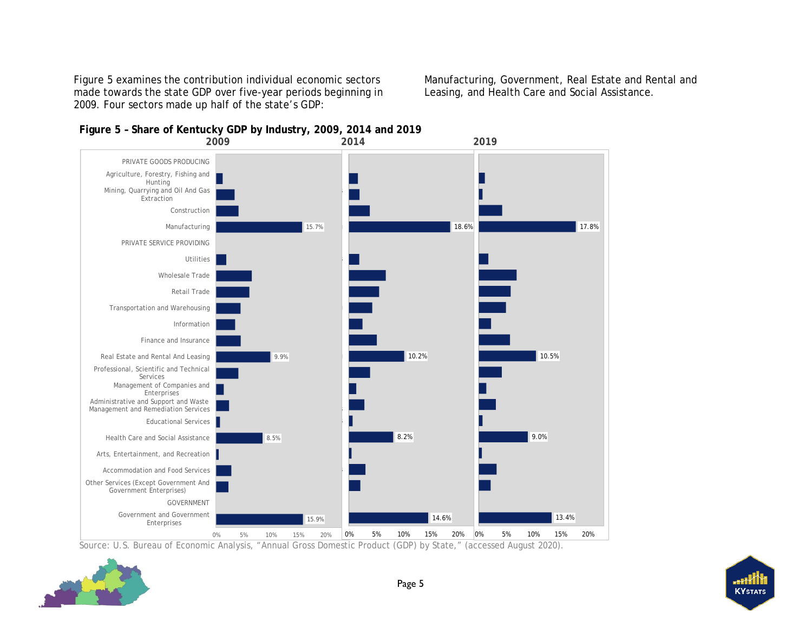[Figure 5](#page-8-1) examines the contribution individual economic sectors made towards the state GDP over five-year periods beginning in 2009. Four sectors made up half of the state's GDP:

Manufacturing, Government, Real Estate and Rental and Leasing, and Health Care and Social Assistance.

<span id="page-8-0"></span>

<span id="page-8-1"></span>**Figure 5 – Share of Kentucky GDP by Industry, 2009, 2014 and 2019**

Source: U.S. Bureau of Economic Analysis, "Annual Gross Domestic Product (GDP) by State," (accessed August 2020).



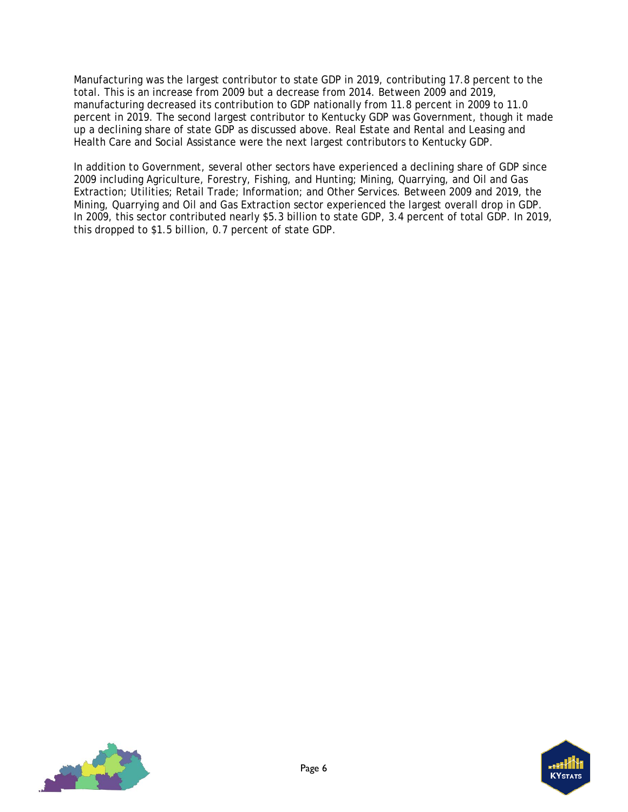Manufacturing was the largest contributor to state GDP in 2019, contributing 17.8 percent to the total. This is an increase from 2009 but a decrease from 2014. Between 2009 and 2019, manufacturing decreased its contribution to GDP nationally from 11.8 percent in 2009 to 11.0 percent in 2019. The second largest contributor to Kentucky GDP was Government, though it made up a declining share of state GDP as discussed above. Real Estate and Rental and Leasing and Health Care and Social Assistance were the next largest contributors to Kentucky GDP.

In addition to Government, several other sectors have experienced a declining share of GDP since 2009 including Agriculture, Forestry, Fishing, and Hunting; Mining, Quarrying, and Oil and Gas Extraction; Utilities; Retail Trade; Information; and Other Services. Between 2009 and 2019, the Mining, Quarrying and Oil and Gas Extraction sector experienced the largest overall drop in GDP. In 2009, this sector contributed nearly \$5.3 billion to state GDP, 3.4 percent of total GDP. In 2019, this dropped to \$1.5 billion, 0.7 percent of state GDP.



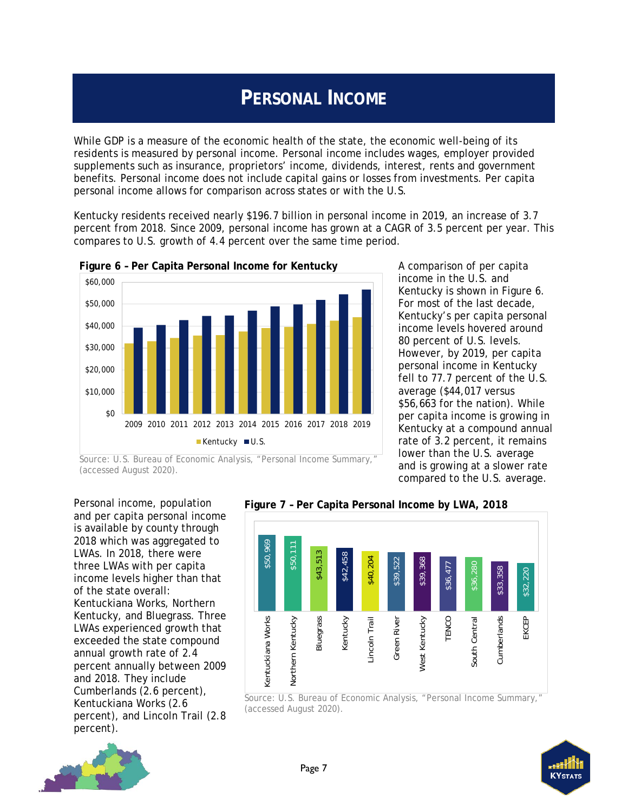# **PERSONAL INCOME**

<span id="page-10-0"></span>While GDP is a measure of the economic health of the state, the economic well-being of its residents is measured by personal income. Personal income includes wages, employer provided supplements such as insurance, proprietors' income, dividends, interest, rents and government benefits. Personal income does not include capital gains or losses from investments. Per capita personal income allows for comparison across states or with the U.S.

Kentucky residents received nearly \$196.7 billion in personal income in 2019, an increase of 3.7 percent from 2018. Since 2009, personal income has grown at a CAGR of 3.5 percent per year. This compares to U.S. growth of 4.4 percent over the same time period.



<span id="page-10-1"></span>**Figure 6 – Per Capita Personal Income for Kentucky**

A comparison of per capita income in the U.S. and Kentucky is shown in [Figure 6.](#page-10-1) For most of the last decade, Kentucky's per capita personal income levels hovered around 80 percent of U.S. levels. However, by 2019, per capita personal income in Kentucky fell to 77.7 percent of the U.S. average (\$44,017 versus \$56,663 for the nation). While per capita income is growing in Kentucky at a compound annual rate of 3.2 percent, it remains lower than the U.S. average and is growing at a slower rate compared to the U.S. average.

(accessed August 2020).

Personal income, population and per capita personal income is available by county through 2018 which was aggregated to LWAs. In 2018, there were three LWAs with per capita income levels higher than that of the state overall: Kentuckiana Works, Northern Kentucky, and Bluegrass. Three LWAs experienced growth that exceeded the state compound annual growth rate of 2.4 percent annually between 2009 and 2018. They include Cumberlands (2.6 percent), Kentuckiana Works (2.6 percent), and Lincoln Trail (2.8 percent).



<span id="page-10-2"></span>**Figure 7 – Per Capita Personal Income by LWA, 2018**

Source: U.S. Bureau of Economic Analysis, "Personal Income Summary," (accessed August 2020).



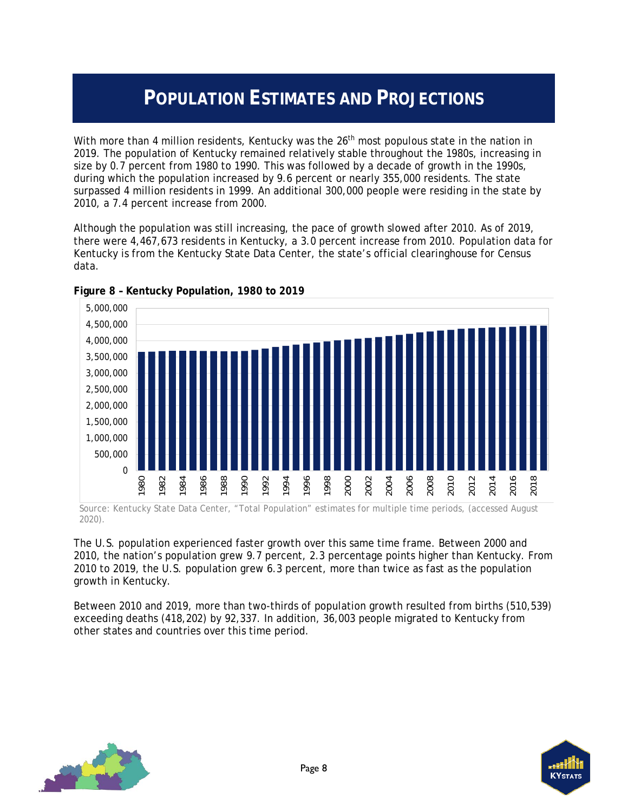## **POPULATION ESTIMATES AND PROJECTIONS**

<span id="page-11-0"></span>With more than 4 million residents, Kentucky was the 26<sup>th</sup> most populous state in the nation in 2019. The population of Kentucky remained relatively stable throughout the 1980s, increasing in size by 0.7 percent from 1980 to 1990. This was followed by a decade of growth in the 1990s, during which the population increased by 9.6 percent or nearly 355,000 residents. The state surpassed 4 million residents in 1999. An additional 300,000 people were residing in the state by 2010, a 7.4 percent increase from 2000.

Although the population was still increasing, the pace of growth slowed after 2010. As of 2019, there were 4,467,673 residents in Kentucky, a 3.0 percent increase from 2010. Population data for Kentucky is from the Kentucky State Data Center, the state's official clearinghouse for Census data.



<span id="page-11-1"></span>**Figure 8 – Kentucky Population, 1980 to 2019** 

Source: Kentucky State Data Center, "Total Population" estimates for multiple time periods, (accessed August 2020).

The U.S. population experienced faster growth over this same time frame. Between 2000 and 2010, the nation's population grew 9.7 percent, 2.3 percentage points higher than Kentucky. From 2010 to 2019, the U.S. population grew 6.3 percent, more than twice as fast as the population growth in Kentucky.

Between 2010 and 2019, more than two-thirds of population growth resulted from births (510,539) exceeding deaths (418,202) by 92,337. In addition, 36,003 people migrated to Kentucky from other states and countries over this time period.



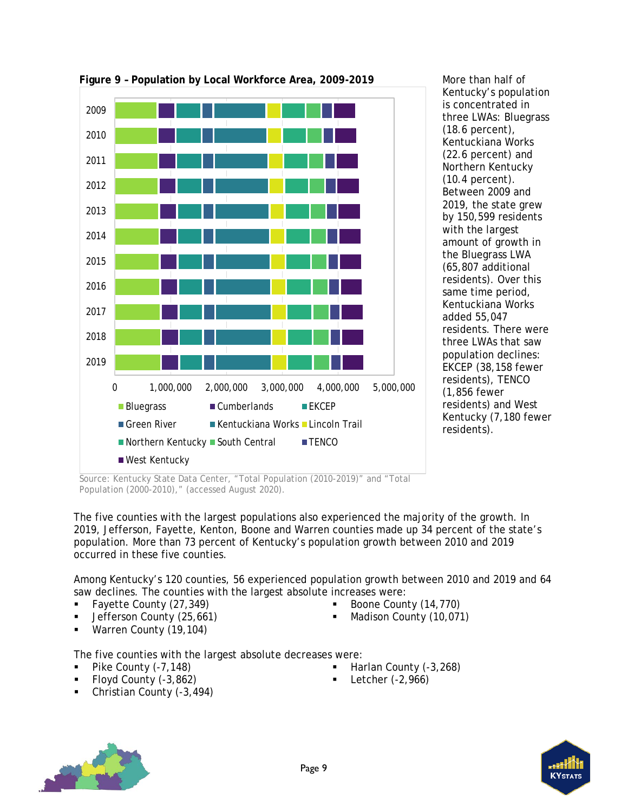

<span id="page-12-0"></span>**Figure 9 – Population by Local Workforce Area, 2009-2019**

More than half of Kentucky's population is concentrated in three LWAs: Bluegrass (18.6 percent), Kentuckiana Works (22.6 percent) and Northern Kentucky (10.4 percent). Between 2009 and 2019, the state grew by 150,599 residents with the largest amount of growth in the Bluegrass LWA (65,807 additional residents). Over this same time period, Kentuckiana Works added 55,047 residents. There were three LWAs that saw population declines: EKCEP (38,158 fewer residents), TENCO (1,856 fewer residents) and West Kentucky (7,180 fewer residents).

Source: Kentucky State Data Center, "Total Population (2010-2019)" and "Total Population (2000-2010)," (accessed August 2020).

The five counties with the largest populations also experienced the majority of the growth. In 2019, Jefferson, Fayette, Kenton, Boone and Warren counties made up 34 percent of the state's population. More than 73 percent of Kentucky's population growth between 2010 and 2019 occurred in these five counties.

Among Kentucky's 120 counties, 56 experienced population growth between 2010 and 2019 and 64 saw declines. The counties with the largest absolute increases were:

- Fayette County (27,349)
- Jefferson County (25,661)
- **Warren County (19,104)**
- Boone County (14,770)
- Madison County (10,071)

The five counties with the largest absolute decreases were:

- 
- Floyd County (-3,862) Letcher (-2,966)
- Christian County (-3,494)
- Pike County (-7,148) **Example 2** Harlan County (-3,268)
	-



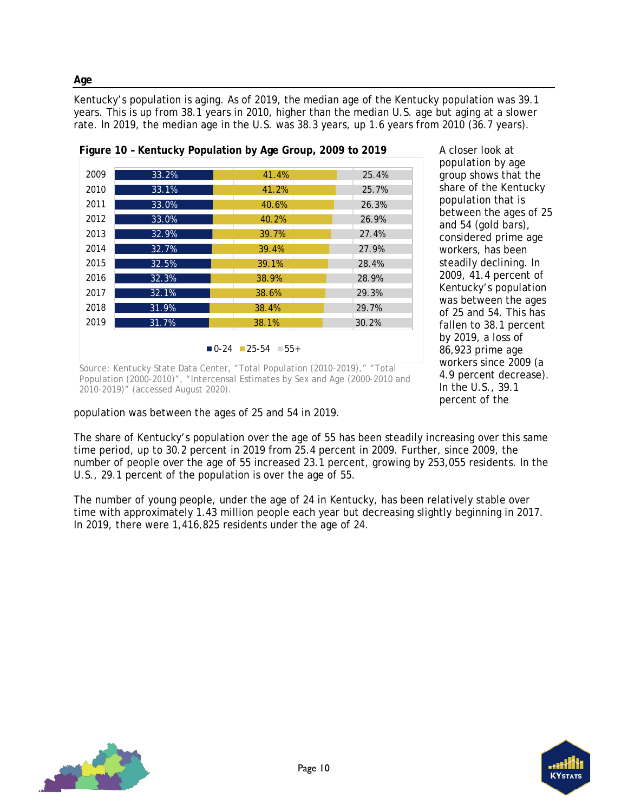Kentucky's population is aging. As of 2019, the median age of the Kentucky population was 39.1 years. This is up from 38.1 years in 2010, higher than the median U.S. age but aging at a slower rate. In 2019, the median age in the U.S. was 38.3 years, up 1.6 years from 2010 (36.7 years).

<span id="page-13-0"></span>

A closer look at population by age group shows that the share of the Kentucky population that is between the ages of 25 and 54 (gold bars), considered prime age workers, has been steadily declining. In 2009, 41.4 percent of Kentucky's population was between the ages of 25 and 54. This has fallen to 38.1 percent by 2019, a loss of 86,923 prime age workers since 2009 (a 4.9 percent decrease). In the U.S., 39.1 percent of the

Source: Kentucky State Data Center, "Total Population (2010-2019)," "Total Population (2000-2010)", "Intercensal Estimates by Sex and Age (2000-2010 and 2010-2019)" (accessed August 2020).

population was between the ages of 25 and 54 in 2019.

The share of Kentucky's population over the age of 55 has been steadily increasing over this same time period, up to 30.2 percent in 2019 from 25.4 percent in 2009. Further, since 2009, the number of people over the age of 55 increased 23.1 percent, growing by 253,055 residents. In the U.S., 29.1 percent of the population is over the age of 55.

The number of young people, under the age of 24 in Kentucky, has been relatively stable over time with approximately 1.43 million people each year but decreasing slightly beginning in 2017. In 2019, there were 1,416,825 residents under the age of 24.





**Age**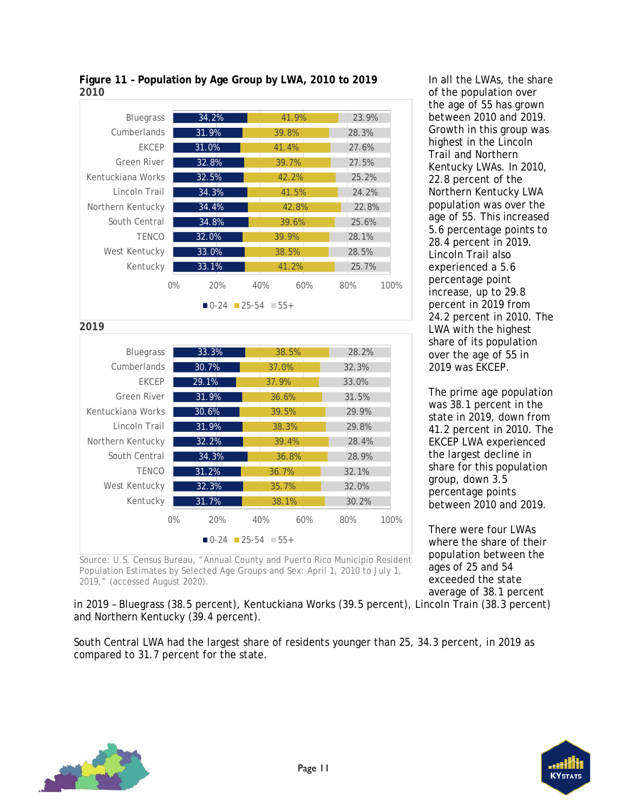

#### <span id="page-14-0"></span>**Figure 11 – Population by Age Group by LWA, 2010 to 2019 2010**

Source: U.S. Census Bureau, "Annual County and Puerto Rico Municipio Resident Population Estimates by Selected Age Groups and Sex: April 1, 2010 to July 1, 2019," (accessed August 2020).

In all the LWAs, the share of the population over the age of 55 has grown between 2010 and 2019. Growth in this group was highest in the Lincoln Trail and Northern Kentucky LWAs. In 2010, 22.8 percent of the Northern Kentucky LWA population was over the age of 55. This increased 5.6 percentage points to 28.4 percent in 2019. Lincoln Trail also experienced a 5.6 percentage point increase, up to 29.8 percent in 2019 from 24.2 percent in 2010. The LWA with the highest share of its population over the age of 55 in 2019 was EKCEP.

The prime age population was 38.1 percent in the state in 2019, down from 41.2 percent in 2010. The EKCEP LWA experienced the largest decline in share for this population group, down 3.5 percentage points between 2010 and 2019.

There were four LWAs where the share of their population between the ages of 25 and 54 exceeded the state average of 38.1 percent

in 2019 – Bluegrass (38.5 percent), Kentuckiana Works (39.5 percent), Lincoln Train (38.3 percent) and Northern Kentucky (39.4 percent).

South Central LWA had the largest share of residents younger than 25, 34.3 percent, in 2019 as compared to 31.7 percent for the state.



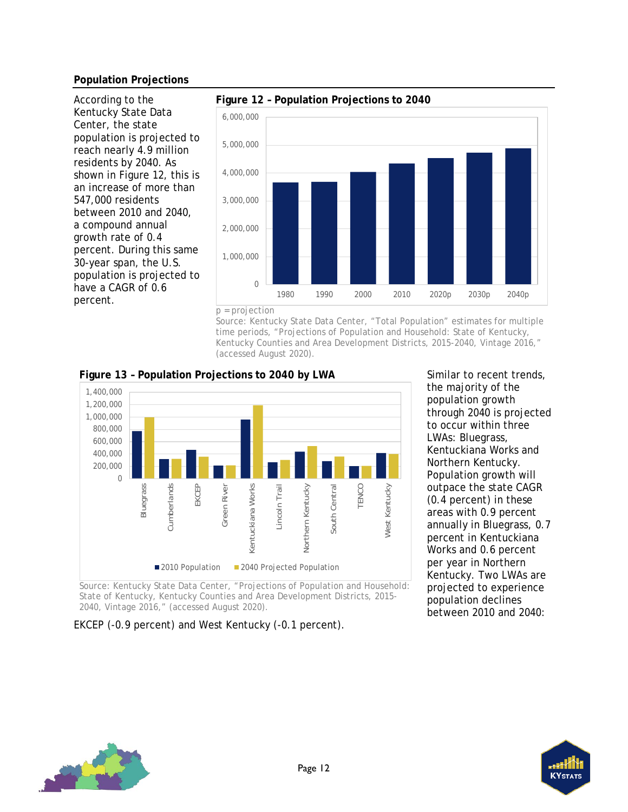#### **Population Projections**

According to the Kentucky State Data Center, the state population is projected to reach nearly 4.9 million residents by 2040. As shown in [Figure 12,](#page-15-0) this is an increase of more than 547,000 residents between 2010 and 2040, a compound annual growth rate of 0.4 percent. During this same 30-year span, the U.S. population is projected to have a CAGR of 0.6 percent.



<span id="page-15-0"></span>

p = projection

Source: Kentucky State Data Center, "Total Population" estimates for multiple time periods, "Projections of Population and Household: State of Kentucky, Kentucky Counties and Area Development Districts, 2015-2040, Vintage 2016," (accessed August 2020).



<span id="page-15-1"></span>**Figure 13 – Population Projections to 2040 by LWA**

Source: Kentucky State Data Center, "Projections of Population and Household: State of Kentucky, Kentucky Counties and Area Development Districts, 2015- 2040, Vintage 2016," (accessed August 2020).

EKCEP (-0.9 percent) and West Kentucky (-0.1 percent).

Similar to recent trends, the majority of the population growth through 2040 is projected to occur within three LWAs: Bluegrass, Kentuckiana Works and Northern Kentucky. Population growth will outpace the state CAGR (0.4 percent) in these areas with 0.9 percent annually in Bluegrass, 0.7 percent in Kentuckiana Works and 0.6 percent per year in Northern Kentucky. Two LWAs are projected to experience population declines between 2010 and 2040:



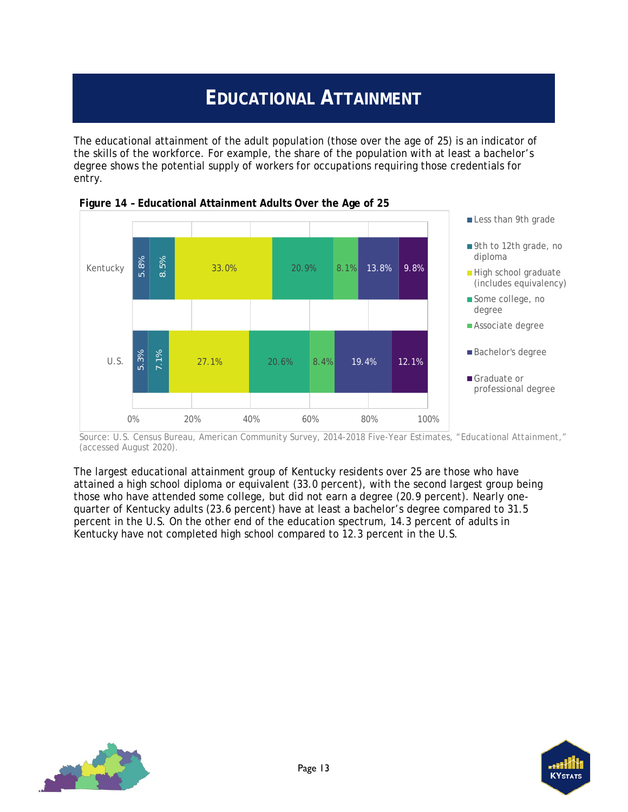# **EDUCATIONAL ATTAINMENT**

<span id="page-16-0"></span>The educational attainment of the adult population (those over the age of 25) is an indicator of the skills of the workforce. For example, the share of the population with at least a bachelor's degree shows the potential supply of workers for occupations requiring those credentials for entry.



<span id="page-16-1"></span>

Source: U.S. Census Bureau, American Community Survey, 2014-2018 Five-Year Estimates, "Educational Attainment," (accessed August 2020).

The largest educational attainment group of Kentucky residents over 25 are those who have attained a high school diploma or equivalent (33.0 percent), with the second largest group being those who have attended some college, but did not earn a degree (20.9 percent). Nearly onequarter of Kentucky adults (23.6 percent) have at least a bachelor's degree compared to 31.5 percent in the U.S. On the other end of the education spectrum, 14.3 percent of adults in



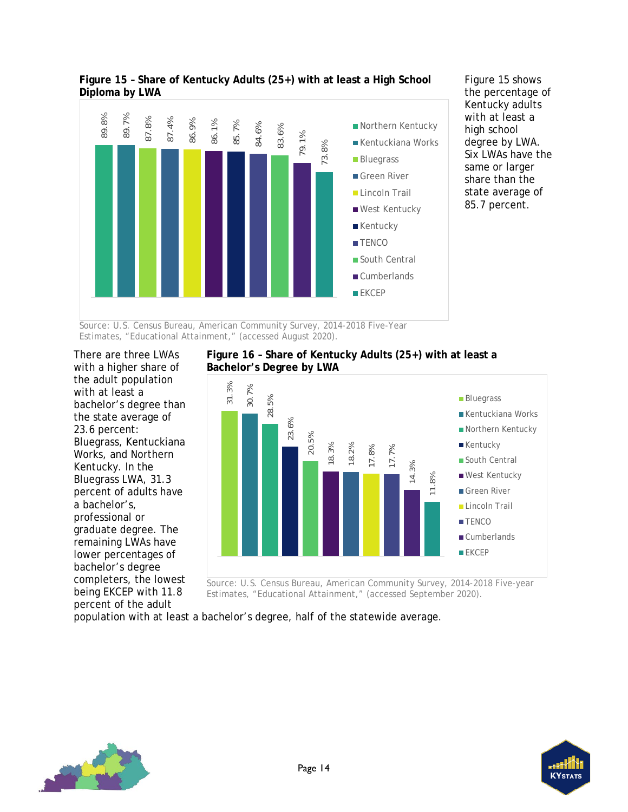

<span id="page-17-0"></span>**Figure 15 – Share of Kentucky Adults (25+) with at least a High School Diploma by LWA**

[Figure 15](#page-17-0) shows the percentage of Kentucky adults with at least a high school degree by LWA. Six LWAs have the same or larger share than the state average of 85.7 percent.

Source: U.S. Census Bureau, American Community Survey, 2014-2018 Five-Year Estimates, "Educational Attainment," (accessed August 2020).

There are three LWAs with a higher share of the adult population with at least a bachelor's degree than the state average of 23.6 percent: Bluegrass, Kentuckiana Works, and Northern Kentucky. In the Bluegrass LWA, 31.3 percent of adults have a bachelor's, professional or graduate degree. The remaining LWAs have lower percentages of bachelor's degree completers, the lowest being EKCEP with 11.8 percent of the adult

<span id="page-17-1"></span>



Source: U.S. Census Bureau, American Community Survey, 2014-2018 Five-year Estimates, "Educational Attainment," (accessed September 2020).

population with at least a bachelor's degree, half of the statewide average.



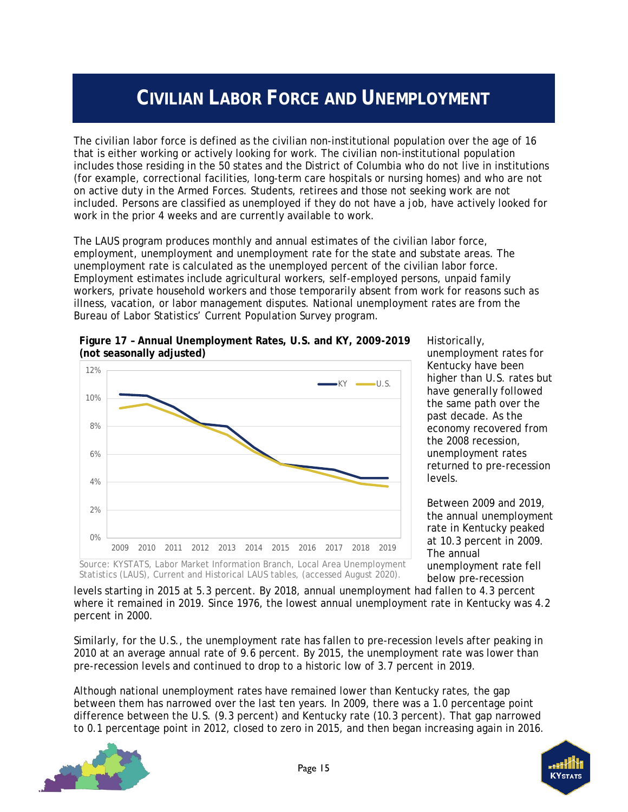# **CIVILIAN LABOR FORCE AND UNEMPLOYMENT**

<span id="page-18-0"></span>The civilian labor force is defined as the civilian non-institutional population over the age of 16 that is either working or actively looking for work. The civilian non-institutional population includes those residing in the 50 states and the District of Columbia who do not live in institutions (for example, correctional facilities, long-term care hospitals or nursing homes) and who are not on active duty in the Armed Forces. Students, retirees and those not seeking work are not included. Persons are classified as unemployed if they do not have a job, have actively looked for work in the prior 4 weeks and are currently available to work.

The LAUS program produces monthly and annual estimates of the civilian labor force, employment, unemployment and unemployment rate for the state and substate areas. The unemployment rate is calculated as the unemployed percent of the civilian labor force. Employment estimates include agricultural workers, self-employed persons, unpaid family workers, private household workers and those temporarily absent from work for reasons such as illness, vacation, or labor management disputes. National unemployment rates are from the Bureau of Labor Statistics' Current Population Survey program.



<span id="page-18-1"></span>**Figure 17 – Annual Unemployment Rates, U.S. and KY, 2009-2019 (not seasonally adjusted)**

Historically,

unemployment rates for Kentucky have been higher than U.S. rates but have generally followed the same path over the past decade. As the economy recovered from the 2008 recession, unemployment rates returned to pre-recession levels.

Between 2009 and 2019, the annual unemployment rate in Kentucky peaked at 10.3 percent in 2009. The annual unemployment rate fell below pre-recession

Source: KYSTATS, Labor Market Information Branch, Local Area Unemployment Statistics (LAUS), Current and Historical LAUS tables, (accessed August 2020).

levels starting in 2015 at 5.3 percent. By 2018, annual unemployment had fallen to 4.3 percent where it remained in 2019. Since 1976, the lowest annual unemployment rate in Kentucky was 4.2 percent in 2000.

Similarly, for the U.S., the unemployment rate has fallen to pre-recession levels after peaking in 2010 at an average annual rate of 9.6 percent. By 2015, the unemployment rate was lower than pre-recession levels and continued to drop to a historic low of 3.7 percent in 2019.

Although national unemployment rates have remained lower than Kentucky rates, the gap between them has narrowed over the last ten years. In 2009, there was a 1.0 percentage point difference between the U.S. (9.3 percent) and Kentucky rate (10.3 percent). That gap narrowed to 0.1 percentage point in 2012, closed to zero in 2015, and then began increasing again in 2016.



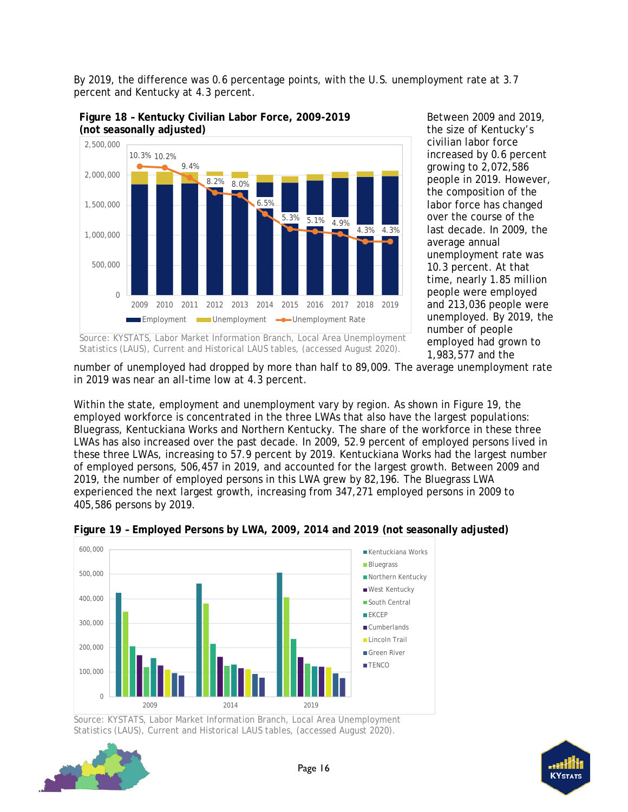By 2019, the difference was 0.6 percentage points, with the U.S. unemployment rate at 3.7 percent and Kentucky at 4.3 percent.



<span id="page-19-0"></span>**Figure 18 – Kentucky Civilian Labor Force, 2009-2019 (not seasonally adjusted)**

Between 2009 and 2019, the size of Kentucky's civilian labor force increased by 0.6 percent growing to 2,072,586 people in 2019. However, the composition of the labor force has changed over the course of the last decade. In 2009, the average annual unemployment rate was 10.3 percent. At that time, nearly 1.85 million people were employed and 213,036 people were unemployed. By 2019, the number of people employed had grown to 1,983,577 and the

Source: KYSTATS, Labor Market Information Branch, Local Area Unemployment Statistics (LAUS), Current and Historical LAUS tables, (accessed August 2020).

number of unemployed had dropped by more than half to 89,009. The average unemployment rate in 2019 was near an all-time low at 4.3 percent.

Within the state, employment and unemployment vary by region. As shown in [Figure 19,](#page-19-1) the employed workforce is concentrated in the three LWAs that also have the largest populations: Bluegrass, Kentuckiana Works and Northern Kentucky. The share of the workforce in these three LWAs has also increased over the past decade. In 2009, 52.9 percent of employed persons lived in these three LWAs, increasing to 57.9 percent by 2019. Kentuckiana Works had the largest number of employed persons, 506,457 in 2019, and accounted for the largest growth. Between 2009 and 2019, the number of employed persons in this LWA grew by 82,196. The Bluegrass LWA experienced the next largest growth, increasing from 347,271 employed persons in 2009 to 405,586 persons by 2019.



<span id="page-19-1"></span>

Source: KYSTATS, Labor Market Information Branch, Local Area Unemployment Statistics (LAUS), Current and Historical LAUS tables, (accessed August 2020).

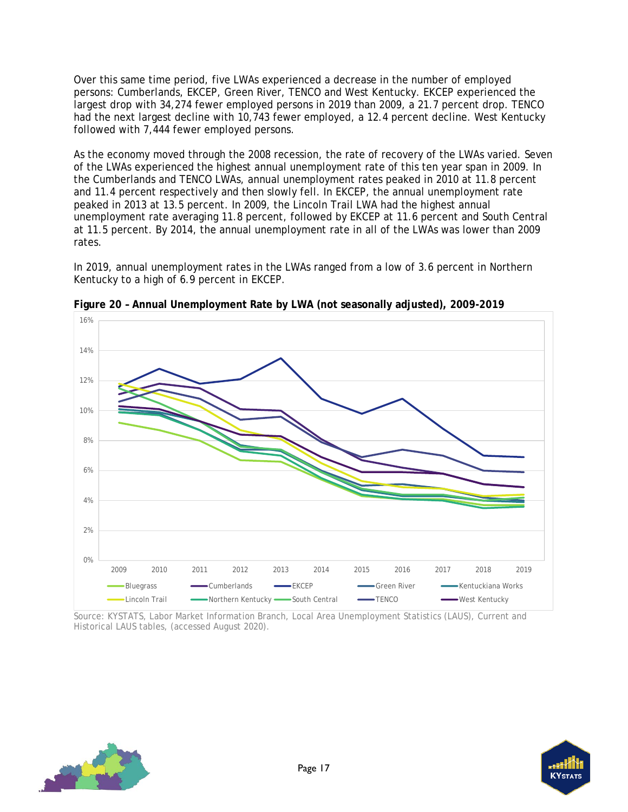Over this same time period, five LWAs experienced a decrease in the number of employed persons: Cumberlands, EKCEP, Green River, TENCO and West Kentucky. EKCEP experienced the largest drop with 34,274 fewer employed persons in 2019 than 2009, a 21.7 percent drop. TENCO had the next largest decline with 10,743 fewer employed, a 12.4 percent decline. West Kentucky followed with 7,444 fewer employed persons.

As the economy moved through the 2008 recession, the rate of recovery of the LWAs varied. Seven of the LWAs experienced the highest annual unemployment rate of this ten year span in 2009. In the Cumberlands and TENCO LWAs, annual unemployment rates peaked in 2010 at 11.8 percent and 11.4 percent respectively and then slowly fell. In EKCEP, the annual unemployment rate peaked in 2013 at 13.5 percent. In 2009, the Lincoln Trail LWA had the highest annual unemployment rate averaging 11.8 percent, followed by EKCEP at 11.6 percent and South Central at 11.5 percent. By 2014, the annual unemployment rate in all of the LWAs was lower than 2009 rates.

In 2019, annual unemployment rates in the LWAs ranged from a low of 3.6 percent in Northern Kentucky to a high of 6.9 percent in EKCEP.



<span id="page-20-0"></span>**Figure 20 – Annual Unemployment Rate by LWA (not seasonally adjusted), 2009-2019** 

Source: KYSTATS, Labor Market Information Branch, Local Area Unemployment Statistics (LAUS), Current and Historical LAUS tables, (accessed August 2020).



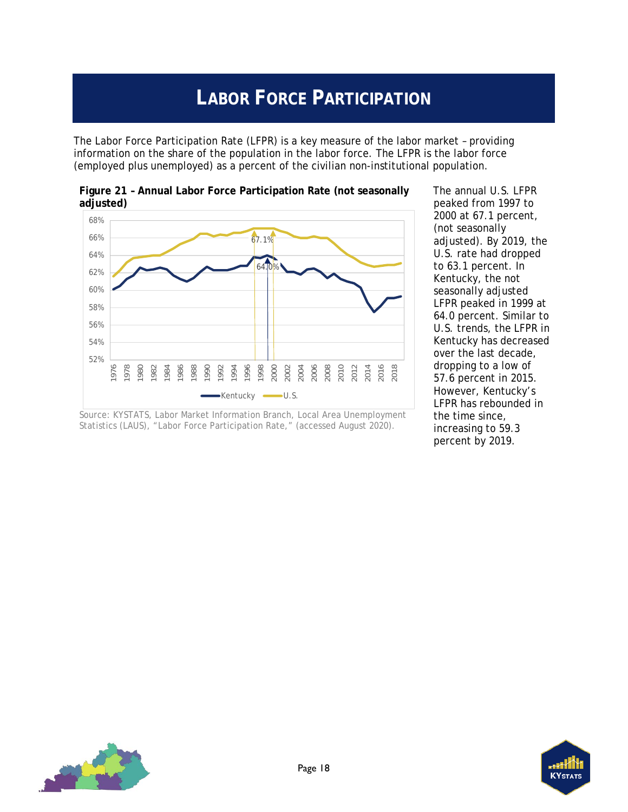# **LABOR FORCE PARTICIPATION**

<span id="page-21-0"></span>The Labor Force Participation Rate (LFPR) is a key measure of the labor market – providing information on the share of the population in the labor force. The LFPR is the labor force (employed plus unemployed) as a percent of the civilian non-institutional population.



<span id="page-21-1"></span>**Figure 21 – Annual Labor Force Participation Rate (not seasonally adjusted)**

The annual U.S. LFPR peaked from 1997 to 2000 at 67.1 percent, (not seasonally adjusted). By 2019, the U.S. rate had dropped to 63.1 percent. In Kentucky, the not seasonally adjusted LFPR peaked in 1999 at 64.0 percent. Similar to U.S. trends, the LFPR in Kentucky has decreased over the last decade, dropping to a low of 57.6 percent in 2015. However, Kentucky's LFPR has rebounded in the time since, increasing to 59.3 percent by 2019.





Source: KYSTATS, Labor Market Information Branch, Local Area Unemployment Statistics (LAUS), "Labor Force Participation Rate," (accessed August 2020).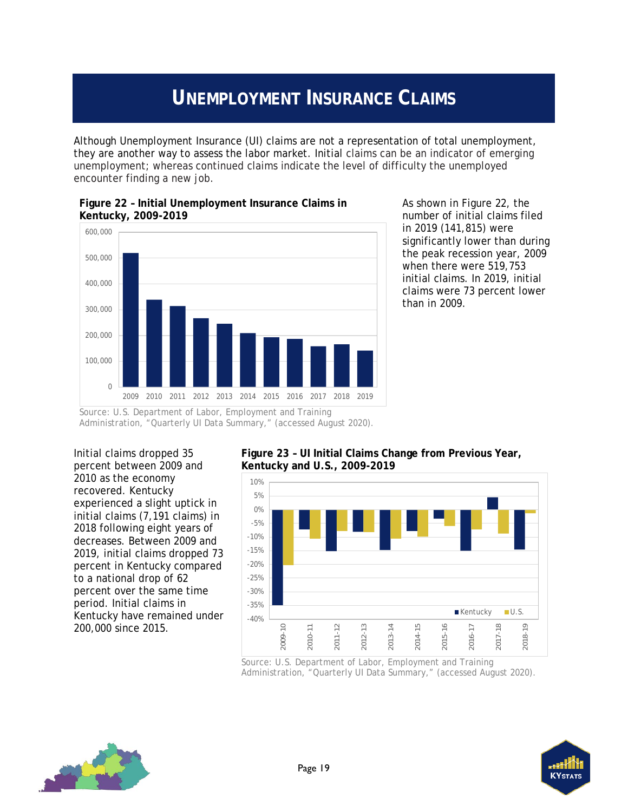# **UNEMPLOYMENT INSURANCE CLAIMS**

<span id="page-22-0"></span>Although Unemployment Insurance (UI) claims are not a representation of total unemployment, they are another way to assess the labor market. Initial claims can be an indicator of emerging unemployment; whereas continued claims indicate the level of difficulty the unemployed encounter finding a new job.



<span id="page-22-1"></span>**Figure 22 – Initial Unemployment Insurance Claims in Kentucky, 2009-2019**

As shown in [Figure 22,](#page-22-1) the number of initial claims filed in 2019 (141,815) were significantly lower than during the peak recession year, 2009 when there were 519,753 initial claims. In 2019, initial claims were 73 percent lower than in 2009.

Source: U.S. Department of Labor, Employment and Training Administration, "Quarterly UI Data Summary," (accessed August 2020).

Initial claims dropped 35 percent between 2009 and 2010 as the economy recovered. Kentucky experienced a slight uptick in initial claims (7,191 claims) in 2018 following eight years of decreases. Between 2009 and 2019, initial claims dropped 73 percent in Kentucky compared to a national drop of 62 percent over the same time period. Initial claims in Kentucky have remained under 200,000 since 2015.

#### <span id="page-22-2"></span>**Figure 23 – UI Initial Claims Change from Previous Year, Kentucky and U.S., 2009-2019**



Source: U.S. Department of Labor, Employment and Training Administration, "Quarterly UI Data Summary," (accessed August 2020).



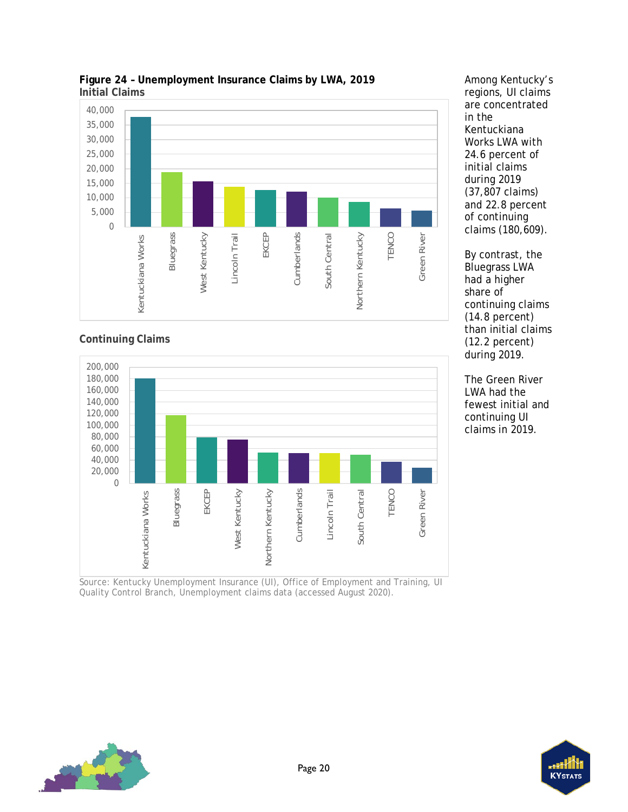

<span id="page-23-0"></span>

#### **Continuing Claims**



Source: Kentucky Unemployment Insurance (UI), Office of Employment and Training, UI Quality Control Branch, Unemployment claims data (accessed August 2020).



By contrast, the Bluegrass LWA had a higher share of continuing claims (14.8 percent) than initial claims (12.2 percent) during 2019.

The Green River LWA had the fewest initial and continuing UI claims in 2019.



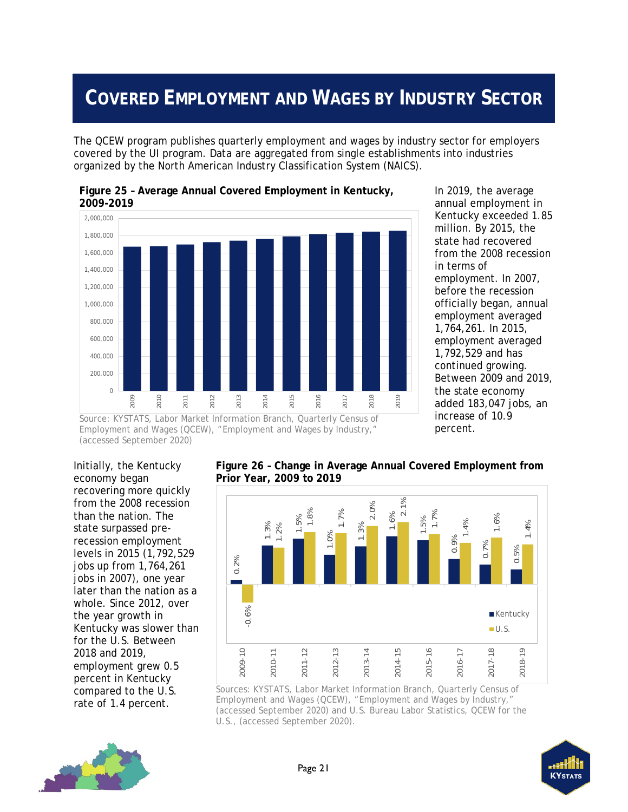# <span id="page-24-0"></span>**COVERED EMPLOYMENT AND WAGES BY INDUSTRY SECTOR**

The QCEW program publishes quarterly employment and wages by industry sector for employers covered by the UI program. Data are aggregated from single establishments into industries organized by the North American Industry Classification System (NAICS).



<span id="page-24-1"></span>**Figure 25 – Average Annual Covered Employment in Kentucky,** 

In 2019, the average annual employment in Kentucky exceeded 1.85 million. By 2015, the state had recovered from the 2008 recession in terms of employment. In 2007, before the recession officially began, annual employment averaged 1,764,261. In 2015, employment averaged 1,792,529 and has continued growing. Between 2009 and 2019, the state economy added 183,047 jobs, an increase of 10.9 percent.

Source: KYSTATS, Labor Market Information Branch, Quarterly Census of Employment and Wages (QCEW), "Employment and Wages by Industry," (accessed September 2020)

Initially, the Kentucky economy began recovering more quickly from the 2008 recession than the nation. The state surpassed prerecession employment levels in 2015 (1,792,529 jobs up from 1,764,261 jobs in 2007), one year later than the nation as a whole. Since 2012, over the year growth in Kentucky was slower than for the U.S. Between 2018 and 2019, employment grew 0.5 percent in Kentucky compared to the U.S. rate of 1.4 percent.

<span id="page-24-2"></span>**Figure 26 – Change in Average Annual Covered Employment from Prior Year, 2009 to 2019**



Sources: KYSTATS, Labor Market Information Branch, Quarterly Census of Employment and Wages (QCEW), "Employment and Wages by Industry," (accessed September 2020) and U.S. Bureau Labor Statistics, QCEW for the U.S., (accessed September 2020).



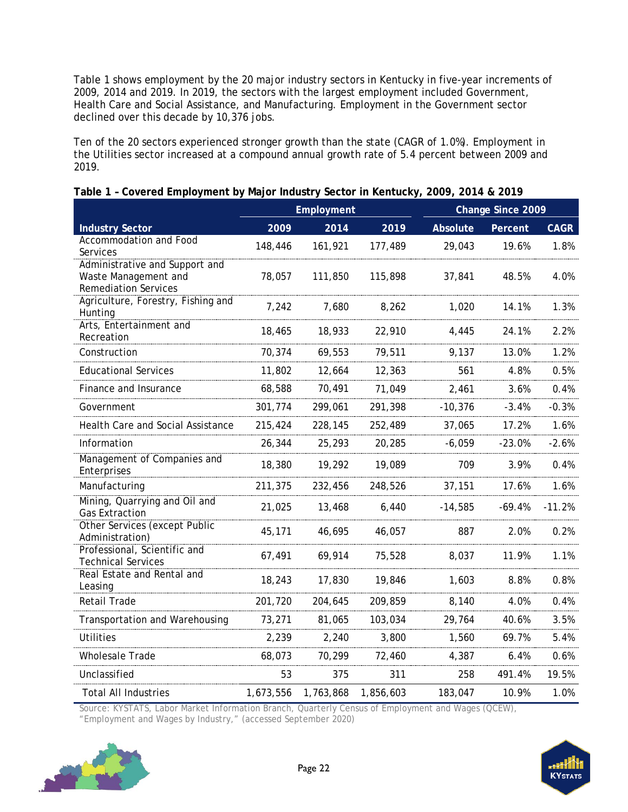Table 1 shows employment by the 20 major industry sectors in Kentucky in five-year increments of 2009, 2014 and 2019. In 2019, the sectors with the largest employment included Government, Health Care and Social Assistance, and Manufacturing. Employment in the Government sector declined over this decade by 10,376 jobs.

Ten of the 20 sectors experienced stronger growth than the state (CAGR of 1.0%). Employment in the Utilities sector increased at a compound annual growth rate of 5.4 percent between 2009 and 2019.

|                                                                                       | Employment |           |           |           | Change Since 2009 |             |
|---------------------------------------------------------------------------------------|------------|-----------|-----------|-----------|-------------------|-------------|
| <b>Industry Sector</b>                                                                | 2009       | 2014      | 2019      | Absolute  | Percent           | <b>CAGR</b> |
| Accommodation and Food<br>Services                                                    | 148,446    | 161,921   | 177,489   | 29,043    | 19.6%             | 1.8%        |
| Administrative and Support and<br>Waste Management and<br><b>Remediation Services</b> | 78,057     | 111,850   | 115,898   | 37,841    | 48.5%             | 4.0%        |
| Agriculture, Forestry, Fishing and<br>Hunting                                         | 7,242      | 7,680     | 8,262     | 1,020     | 14.1%             | 1.3%        |
| Arts, Entertainment and<br>Recreation                                                 | 18,465     | 18,933    | 22,910    | 4,445     | 24.1%             | 2.2%        |
| Construction                                                                          | 70,374     | 69,553    | 79,511    | 9,137     | 13.0%             | 1.2%        |
| <b>Educational Services</b>                                                           | 11,802     | 12,664    | 12,363    | 561       | 4.8%              | 0.5%        |
| Finance and Insurance                                                                 | 68,588     | 70,491    | 71,049    | 2,461     | 3.6%              | 0.4%        |
| Government                                                                            | 301,774    | 299,061   | 291,398   | $-10,376$ | $-3.4%$           | $-0.3%$     |
| Health Care and Social Assistance                                                     | 215,424    | 228,145   | 252,489   | 37,065    | 17.2%             | 1.6%        |
| Information                                                                           | 26,344     | 25,293    | 20,285    | $-6,059$  | $-23.0%$          | $-2.6%$     |
| Management of Companies and<br>Enterprises                                            | 18,380     | 19,292    | 19,089    | 709       | 3.9%              | 0.4%        |
| Manufacturing                                                                         | 211,375    | 232,456   | 248,526   | 37,151    | 17.6%             | 1.6%        |
| Mining, Quarrying and Oil and<br><b>Gas Extraction</b>                                | 21,025     | 13,468    | 6,440     | $-14,585$ | $-69.4%$          | $-11.2%$    |
| Other Services (except Public<br>Administration)                                      | 45,171     | 46,695    | 46,057    | 887       | 2.0%              | 0.2%        |
| Professional, Scientific and<br><b>Technical Services</b>                             | 67,491     | 69,914    | 75,528    | 8,037     | 11.9%             | 1.1%        |
| Real Estate and Rental and<br>Leasing                                                 | 18,243     | 17,830    | 19,846    | 1,603     | 8.8%              | 0.8%        |
| Retail Trade                                                                          | 201,720    | 204,645   | 209,859   | 8,140     | 4.0%              | 0.4%        |
| Transportation and Warehousing                                                        | 73,271     | 81,065    | 103,034   | 29,764    | 40.6%             | 3.5%        |
| <b>Utilities</b>                                                                      | 2,239      | 2,240     | 3,800     | 1,560     | 69.7%             | 5.4%        |
| <b>Wholesale Trade</b>                                                                | 68,073     | 70,299    | 72,460    | 4,387     | 6.4%              | 0.6%        |
| Unclassified                                                                          | 53         | 375       | 311       | 258       | 491.4%            | 19.5%       |
| <b>Total All Industries</b>                                                           | 1,673,556  | 1,763,868 | 1,856,603 | 183,047   | 10.9%             | 1.0%        |

<span id="page-25-0"></span>

|  |  |  |  |  |  | Table 1 - Covered Employment by Major Industry Sector in Kentucky, 2009, 2014 & 2019 |
|--|--|--|--|--|--|--------------------------------------------------------------------------------------|
|--|--|--|--|--|--|--------------------------------------------------------------------------------------|

Source: KYSTATS, Labor Market Information Branch, Quarterly Census of Employment and Wages (QCEW), "Employment and Wages by Industry," (accessed September 2020)



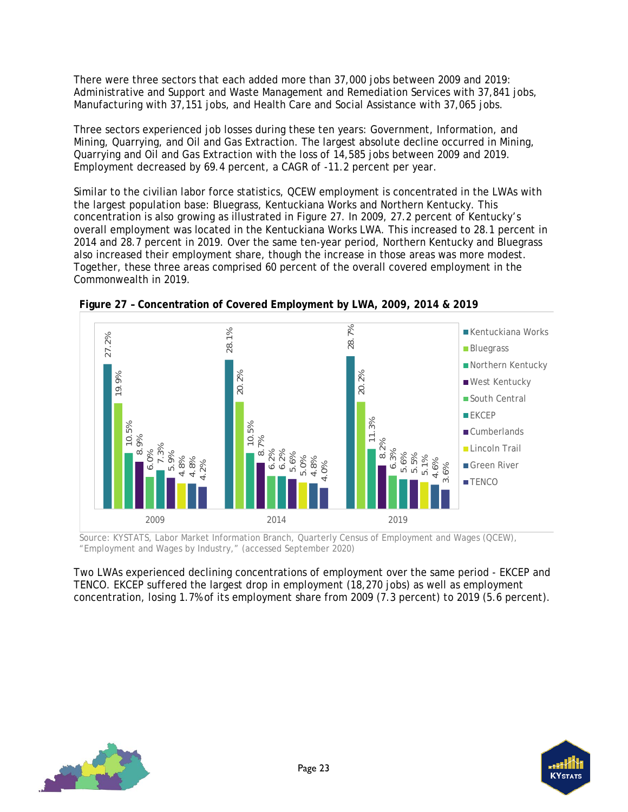There were three sectors that each added more than 37,000 jobs between 2009 and 2019: Administrative and Support and Waste Management and Remediation Services with 37,841 jobs, Manufacturing with 37,151 jobs, and Health Care and Social Assistance with 37,065 jobs.

Three sectors experienced job losses during these ten years: Government, Information, and Mining, Quarrying, and Oil and Gas Extraction. The largest absolute decline occurred in Mining, Quarrying and Oil and Gas Extraction with the loss of 14,585 jobs between 2009 and 2019. Employment decreased by 69.4 percent, a CAGR of -11.2 percent per year.

Similar to the civilian labor force statistics, QCEW employment is concentrated in the LWAs with the largest population base: Bluegrass, Kentuckiana Works and Northern Kentucky. This concentration is also growing as illustrated in [Figure 27.](#page-26-0) In 2009, 27.2 percent of Kentucky's overall employment was located in the Kentuckiana Works LWA. This increased to 28.1 percent in 2014 and 28.7 percent in 2019. Over the same ten-year period, Northern Kentucky and Bluegrass also increased their employment share, though the increase in those areas was more modest. Together, these three areas comprised 60 percent of the overall covered employment in the Commonwealth in 2019.



<span id="page-26-0"></span>**Figure 27 – Concentration of Covered Employment by LWA, 2009, 2014 & 2019**

Source: KYSTATS, Labor Market Information Branch, Quarterly Census of Employment and Wages (QCEW), "Employment and Wages by Industry," (accessed September 2020)

Two LWAs experienced declining concentrations of employment over the same period - EKCEP and TENCO. EKCEP suffered the largest drop in employment (18,270 jobs) as well as employment concentration, losing 1.7% of its employment share from 2009 (7.3 percent) to 2019 (5.6 percent).



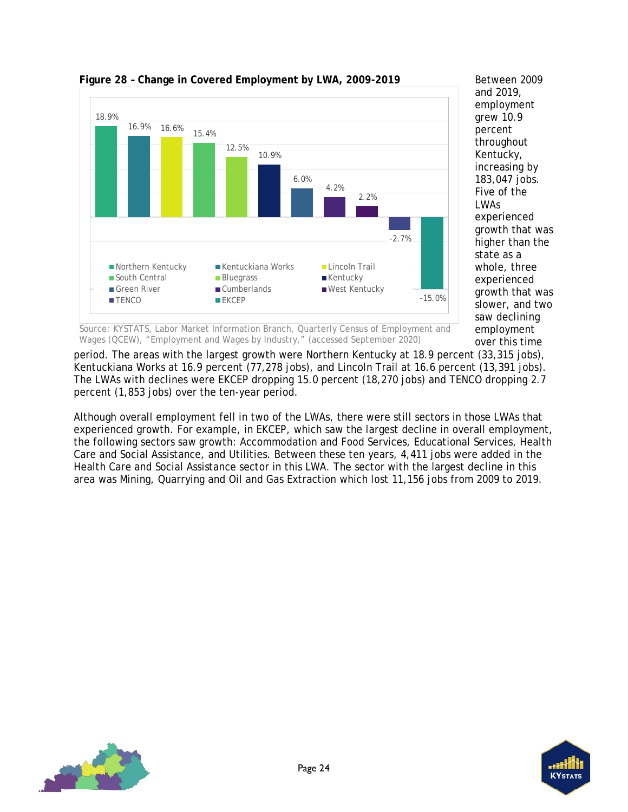

<span id="page-27-0"></span>**Figure 28 – Change in Covered Employment by LWA, 2009-2019**

Between 2009 and 2019, employment grew 10.9 percent throughout Kentucky, increasing by 183,047 jobs. Five of the LWAs experienced growth that was higher than the state as a whole, three experienced growth that was slower, and two saw declining employment over this time

Source: KYSTATS, Labor Market Information Branch, Quarterly Census of Employment and Wages (QCEW), "Employment and Wages by Industry," (accessed September 2020)

period. The areas with the largest growth were Northern Kentucky at 18.9 percent (33,315 jobs), Kentuckiana Works at 16.9 percent (77,278 jobs), and Lincoln Trail at 16.6 percent (13,391 jobs). The LWAs with declines were EKCEP dropping 15.0 percent (18,270 jobs) and TENCO dropping 2.7 percent (1,853 jobs) over the ten-year period.

Although overall employment fell in two of the LWAs, there were still sectors in those LWAs that experienced growth. For example, in EKCEP, which saw the largest decline in overall employment, the following sectors saw growth: Accommodation and Food Services, Educational Services, Health Care and Social Assistance, and Utilities. Between these ten years, 4,411 jobs were added in the Health Care and Social Assistance sector in this LWA. The sector with the largest decline in this area was Mining, Quarrying and Oil and Gas Extraction which lost 11,156 jobs from 2009 to 2019.



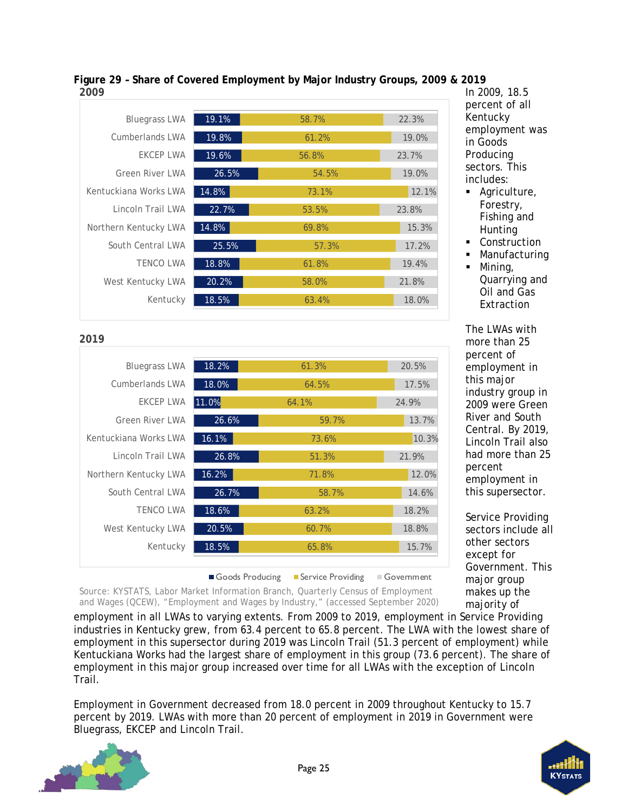| ---                    |       |       |       |
|------------------------|-------|-------|-------|
|                        |       |       |       |
| <b>Bluegrass LWA</b>   | 19.1% | 58.7% | 22.3% |
| <b>Cumberlands LWA</b> | 19.8% | 61.2% | 19.0% |
| EKCEP LWA              | 19.6% | 56.8% | 23.7% |
| <b>Green River LWA</b> | 26.5% | 54.5% | 19.0% |
| Kentuckiana Works LWA  | 14.8% | 73.1% | 12.1% |
| Lincoln Trail LWA      | 22.7% | 53.5% | 23.8% |
| Northern Kentucky LWA  | 14.8% | 69.8% | 15.3% |
| South Central LWA      | 25.5% | 57.3% | 17.2% |
| <b>TENCO LWA</b>       | 18.8% | 61.8% | 19.4% |
| West Kentucky LWA      | 20.2% | 58.0% | 21.8% |
| Kentucky               | 18.5% | 63.4% | 18.0% |
|                        |       |       |       |

#### <span id="page-28-0"></span>**Figure 29 – Share of Covered Employment by Major Industry Groups, 2009 & 2019 2009**

| 2019                   |                   |                   |                           |
|------------------------|-------------------|-------------------|---------------------------|
| <b>Bluegrass LWA</b>   | 18.2%             | 61.3%             | 20.5%                     |
| <b>Cumberlands LWA</b> | 18.0%             | 64.5%             | 17.5%                     |
| EKCEP LWA              | 11.0%             | 64.1%             | 24.9%                     |
| <b>Green River LWA</b> | 26.6%             | 59.7%             | 13.7%                     |
| Kentuckiana Works LWA  | 16.1%             | 73.6%             | 10.3%                     |
| Lincoln Trail LWA      | 26.8%             | 51.3%             | 21.9%                     |
| Northern Kentucky LWA  | 16.2%             | 71.8%             | 12.0%                     |
| South Central LWA      | 26.7%             | 58.7%             | 14.6%                     |
| <b>TENCO LWA</b>       | 18.6%             | 63.2%             | 18.2%                     |
| West Kentucky LWA      | 20.5%             | 60.7%             | 18.8%                     |
| Kentucky               | 18.5%             | 65.8%             | 15.7%                     |
|                        |                   |                   |                           |
|                        | ■ Goods Producing | Service Providing | $\blacksquare$ Government |

In 2009, 18.5 percent of all Kentucky employment was in Goods Producing sectors. This includes:

- **Agriculture**, Forestry, Fishing and Hunting
- **Construction**
- Manufacturing
- $\blacksquare$  Mining, Quarrying and Oil and Gas **Extraction**

The LWAs with more than 25 percent of employment in this major industry group in 2009 were Green River and South Central. By 2019, Lincoln Trail also had more than 25 percent employment in this supersector.

Service Providing sectors include all other sectors except for Government. This major group makes up the majority of

Source: KYSTATS, Labor Market Information Branch, Quarterly Census of Employment and Wages (QCEW), "Employment and Wages by Industry," (accessed September 2020)

employment in all LWAs to varying extents. From 2009 to 2019, employment in Service Providing industries in Kentucky grew, from 63.4 percent to 65.8 percent. The LWA with the lowest share of employment in this supersector during 2019 was Lincoln Trail (51.3 percent of employment) while Kentuckiana Works had the largest share of employment in this group (73.6 percent). The share of employment in this major group increased over time for all LWAs with the exception of Lincoln Trail.

Employment in Government decreased from 18.0 percent in 2009 throughout Kentucky to 15.7 percent by 2019. LWAs with more than 20 percent of employment in 2019 in Government were Bluegrass, EKCEP and Lincoln Trail.



**2019**

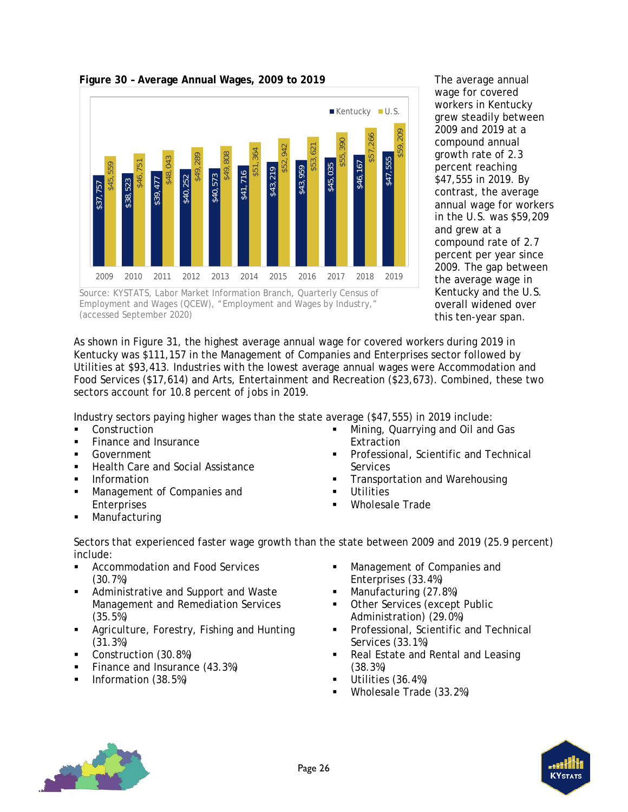

<span id="page-29-0"></span>**Figure 30 – Average Annual Wages, 2009 to 2019**



The average annual wage for covered workers in Kentucky grew steadily between 2009 and 2019 at a compound annual growth rate of 2.3 percent reaching \$47,555 in 2019. By contrast, the average annual wage for workers in the U.S. was \$59,209 and grew at a compound rate of 2.7 percent per year since 2009. The gap between the average wage in Kentucky and the U.S. overall widened over this ten-year span.

As shown in [Figure 31,](#page-30-0) the highest average annual wage for covered workers during 2019 in Kentucky was \$111,157 in the Management of Companies and Enterprises sector followed by Utilities at \$93,413. Industries with the lowest average annual wages were Accommodation and Food Services (\$17,614) and Arts, Entertainment and Recreation (\$23,673). Combined, these two sectors account for 10.8 percent of jobs in 2019.

Industry sectors paying higher wages than the state average (\$47,555) in 2019 include:

- **Construction**
- Finance and Insurance
- Government
- Health Care and Social Assistance
- Information
- **Management of Companies and** Enterprises
- 
- **Mining, Quarrying and Oil and Gas Extraction**
- Professional, Scientific and Technical **Services**
- Transportation and Warehousing
- **Utilities**
- Wholesale Trade
- Manufacturing
- Sectors that experienced faster wage growth than the state between 2009 and 2019 (25.9 percent) include:
- Accommodation and Food Services (30.7%)
- Administrative and Support and Waste Management and Remediation Services (35.5%)
- **EXECUTE:** Agriculture, Forestry, Fishing and Hunting (31.3%)
- Construction (30.8%)
- Finance and Insurance (43.3%)
- Information (38.5%)
- Management of Companies and Enterprises (33.4%)
- **Manufacturing (27.8%)**
- Other Services (except Public Administration) (29.0%)
- **Professional, Scientific and Technical** Services (33.1%)
- Real Estate and Rental and Leasing (38.3%)
- Utilities (36.4%)
- Wholesale Trade (33.2%)



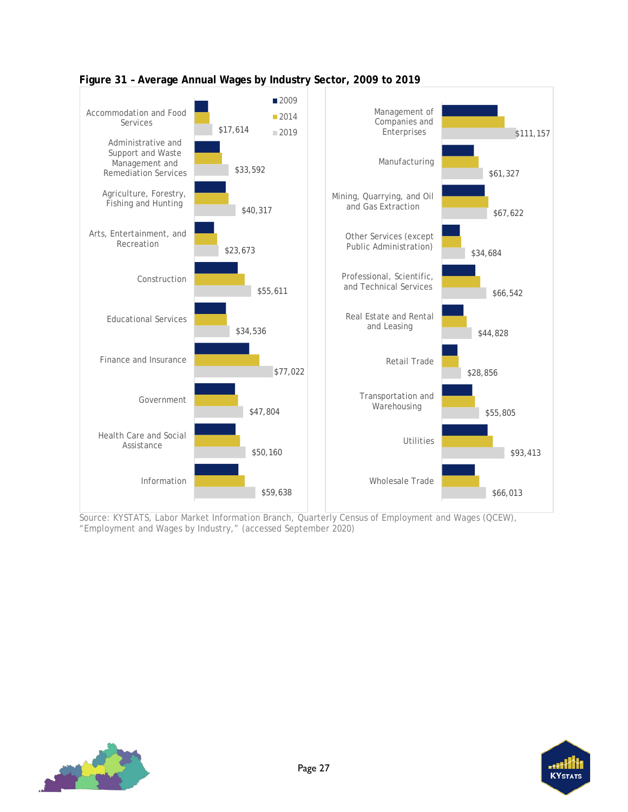

<span id="page-30-0"></span>

Source: KYSTATS, Labor Market Information Branch, Quarterly Census of Employment and Wages (QCEW), "Employment and Wages by Industry," (accessed September 2020)



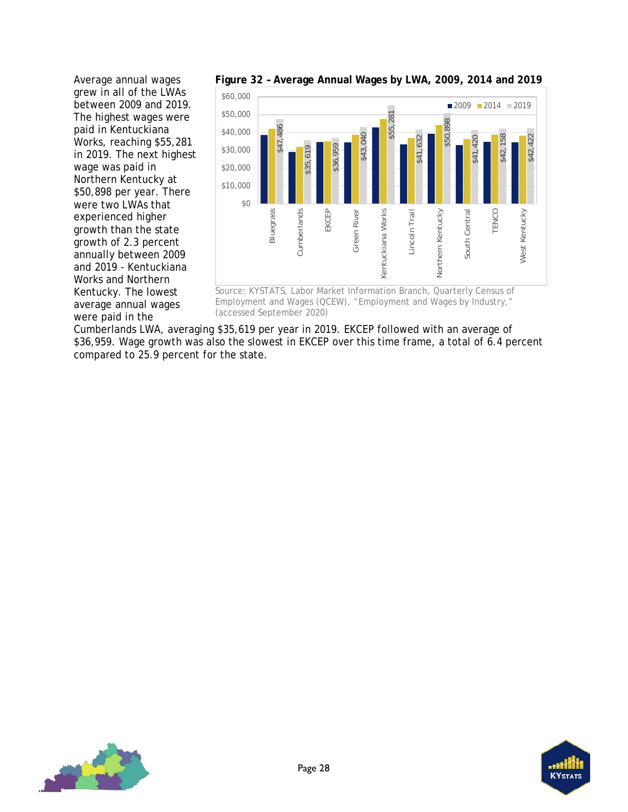Average annual wages grew in all of the LWAs between 2009 and 2019. The highest wages were paid in Kentuckiana Works, reaching \$55,281 in 2019. The next highest wage was paid in Northern Kentucky at \$50,898 per year. There were two LWAs that experienced higher growth than the state growth of 2.3 percent annually between 2009 and 2019 - Kentuckiana Works and Northern Kentucky. The lowest average annual wages were paid in the



<span id="page-31-0"></span>**Figure 32 – Average Annual Wages by LWA, 2009, 2014 and 2019**

Source: KYSTATS, Labor Market Information Branch, Quarterly Census of Employment and Wages (QCEW), "Employment and Wages by Industry,"

Cumberlands LWA, averaging \$35,619 per year in 2019. EKCEP followed with an average of \$36,959. Wage growth was also the slowest in EKCEP over this time frame, a total of 6.4 percent compared to 25.9 percent for the state.



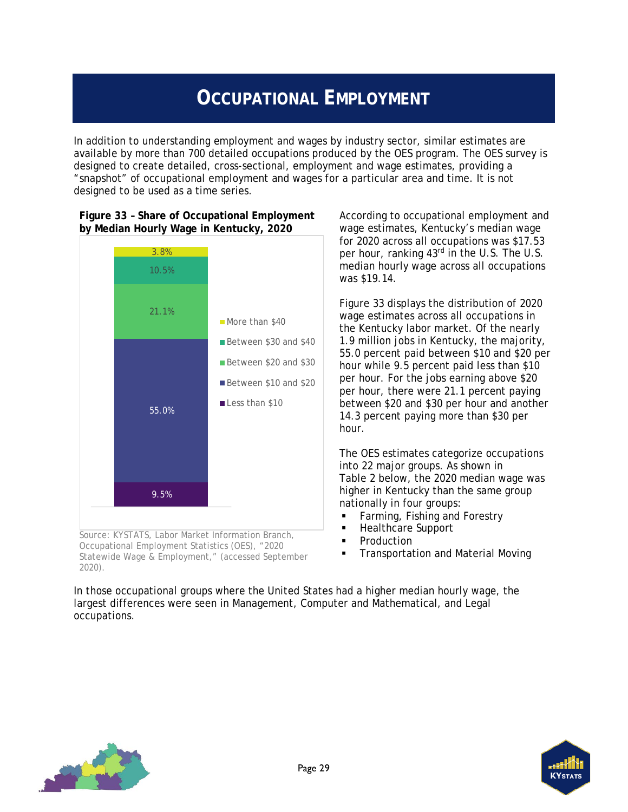## **OCCUPATIONAL EMPLOYMENT**

<span id="page-32-0"></span>In addition to understanding employment and wages by industry sector, similar estimates are available by more than 700 detailed occupations produced by the OES program. The OES survey is designed to create detailed, cross-sectional, employment and wage estimates, providing a "snapshot" of occupational employment and wages for a particular area and time. It is not designed to be used as a time series.



<span id="page-32-1"></span>**Figure 33 – Share of Occupational Employment by Median Hourly Wage in Kentucky, 2020**

Source: KYSTATS, Labor Market Information Branch, Occupational Employment Statistics (OES), "2020 Statewide Wage & Employment," (accessed September 2020).

According to occupational employment and wage estimates, Kentucky's median wage for 2020 across all occupations was \$17.53 per hour, ranking 43rd in the U.S. The U.S. median hourly wage across all occupations was \$19.14.

[Figure 33](#page-32-1) displays the distribution of 2020 wage estimates across all occupations in the Kentucky labor market. Of the nearly 1.9 million jobs in Kentucky, the majority, 55.0 percent paid between \$10 and \$20 per hour while 9.5 percent paid less than \$10 per hour. For the jobs earning above \$20 per hour, there were 21.1 percent paying between \$20 and \$30 per hour and another 14.3 percent paying more than \$30 per hour.

The OES estimates categorize occupations into 22 major groups. As shown in [Table 2](#page-33-0) below, the 2020 median wage was higher in Kentucky than the same group nationally in four groups:

- **Farming, Fishing and Forestry**
- **Healthcare Support**
- Production
- Transportation and Material Moving

In those occupational groups where the United States had a higher median hourly wage, the largest differences were seen in Management, Computer and Mathematical, and Legal occupations.



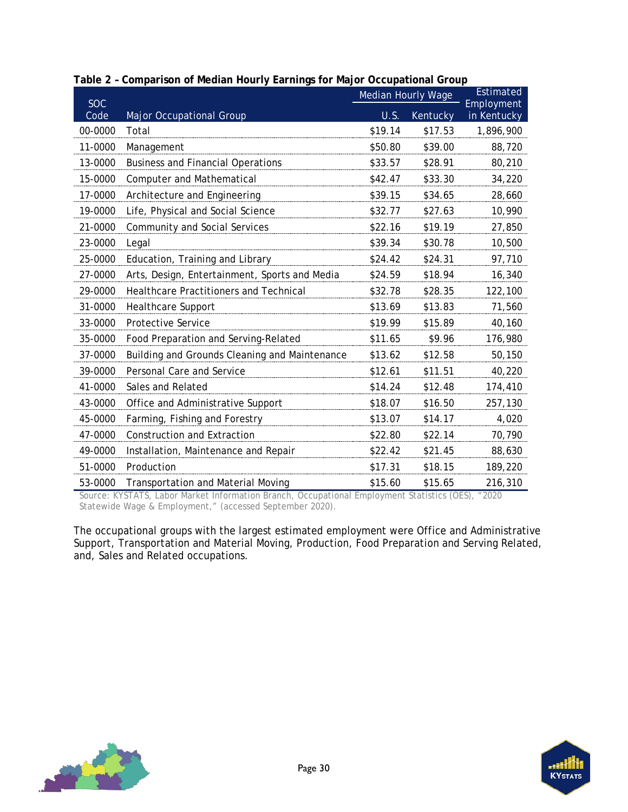| <b>SOC</b> |                                               | <b>Median Hourly Wage</b> |          | Estimated<br>Employment |
|------------|-----------------------------------------------|---------------------------|----------|-------------------------|
| Code       | <b>Major Occupational Group</b>               | U.S.                      | Kentucky | in Kentucky             |
| 00-0000    | Total                                         | \$19.14                   | \$17.53  | 1,896,900               |
| 11-0000    | Management                                    | \$50.80                   | \$39.00  | 88,720                  |
| 13-0000    | <b>Business and Financial Operations</b>      | \$33.57                   | \$28.91  | 80,210                  |
| 15-0000    | Computer and Mathematical                     | \$42.47                   | \$33.30  | 34,220                  |
| 17-0000    | Architecture and Engineering                  | \$39.15                   | \$34.65  | 28,660                  |
| 19-0000    | Life, Physical and Social Science             | \$32.77                   | \$27.63  | 10,990                  |
| 21-0000    | Community and Social Services                 | \$22.16                   | \$19.19  | 27,850                  |
| 23-0000    | Legal                                         | \$39.34                   | \$30.78  | 10,500                  |
| 25-0000    | Education, Training and Library               | \$24.42                   | \$24.31  | 97,710                  |
| 27-0000    | Arts, Design, Entertainment, Sports and Media | \$24.59                   | \$18.94  | 16,340                  |
| 29-0000    | Healthcare Practitioners and Technical        | \$32.78                   | \$28.35  | 122,100                 |
| 31-0000    | <b>Healthcare Support</b>                     | \$13.69                   | \$13.83  | 71,560                  |
| 33-0000    | <b>Protective Service</b>                     | \$19.99                   | \$15.89  | 40,160                  |
| 35-0000    | Food Preparation and Serving-Related          | \$11.65                   | \$9.96   | 176,980                 |
| 37-0000    | Building and Grounds Cleaning and Maintenance | \$13.62                   | \$12.58  | 50,150                  |
| 39-0000    | Personal Care and Service                     | \$12.61                   | \$11.51  | 40,220                  |
| 41-0000    | Sales and Related                             | \$14.24                   | \$12.48  | 174,410                 |
| 43-0000    | Office and Administrative Support             | \$18.07                   | \$16.50  | 257,130                 |
| 45-0000    | Farming, Fishing and Forestry                 | \$13.07                   | \$14.17  | 4,020                   |
| 47-0000    | <b>Construction and Extraction</b>            | \$22.80                   | \$22.14  | 70,790                  |
| 49-0000    | Installation, Maintenance and Repair          | \$22.42                   | \$21.45  | 88,630                  |
| 51-0000    | Production                                    | \$17.31                   | \$18.15  | 189,220                 |
| 53-0000    | <b>Transportation and Material Moving</b>     | \$15.60                   | \$15.65  | 216,310                 |

<span id="page-33-0"></span>

| Table 2 - Comparison of Median Hourly Earnings for Major Occupational Group |  |  |
|-----------------------------------------------------------------------------|--|--|

Source: KYSTATS, Labor Market Information Branch, Occupational Employment Statistics (OES), "2020 Statewide Wage & Employment," (accessed September 2020).

The occupational groups with the largest estimated employment were Office and Administrative Support, Transportation and Material Moving, Production, Food Preparation and Serving Related, and, Sales and Related occupations.



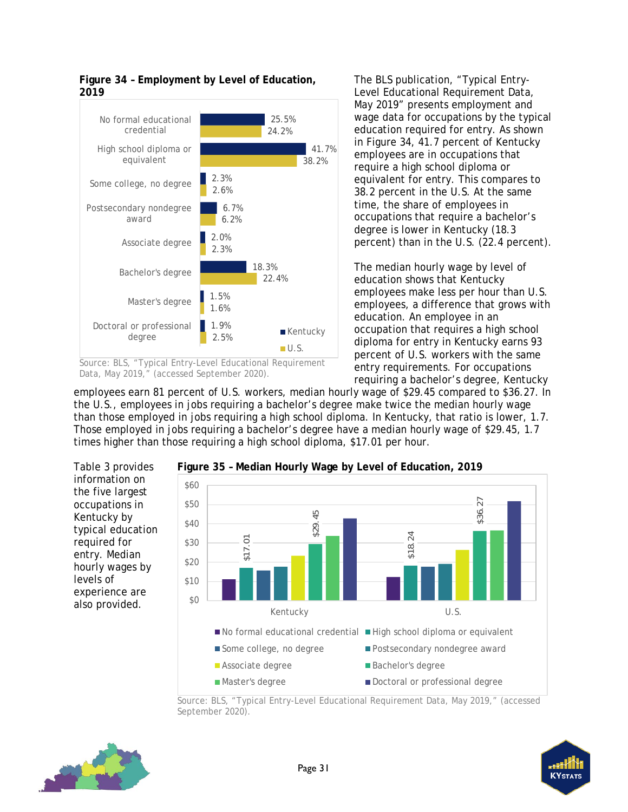

<span id="page-34-0"></span>**Figure 34 – Employment by Level of Education, 2019**

The BLS publication, "Typical Entry-Level Educational Requirement Data, May 2019" presents employment and wage data for occupations by the typical education required for entry. As shown in [Figure 34,](#page-34-0) 41.7 percent of Kentucky employees are in occupations that require a high school diploma or equivalent for entry. This compares to 38.2 percent in the U.S. At the same time, the share of employees in occupations that require a bachelor's degree is lower in Kentucky (18.3 percent) than in the U.S. (22.4 percent).

The median hourly wage by level of education shows that Kentucky employees make less per hour than U.S. employees, a difference that grows with education. An employee in an occupation that requires a high school diploma for entry in Kentucky earns 93 percent of U.S. workers with the same entry requirements. For occupations requiring a bachelor's degree, Kentucky

employees earn 81 percent of U.S. workers, median hourly wage of \$29.45 compared to \$36.27. In the U.S., employees in jobs requiring a bachelor's degree make twice the median hourly wage than those employed in jobs requiring a high school diploma. In Kentucky, that ratio is lower, 1.7. Those employed in jobs requiring a bachelor's degree have a median hourly wage of \$29.45, 1.7 times higher than those requiring a high school diploma, \$17.01 per hour.

[Table 3](#page-35-0) provides information on the five largest occupations in Kentucky by typical education required for entry. Median hourly wages by levels of experience are also provided.



<span id="page-34-1"></span>**Figure 35 – Median Hourly Wage by Level of Education, 2019**

Source: BLS, "Typical Entry-Level Educational Requirement Data, May 2019," (accessed





Source: BLS, "Typical Entry-Level Educational Requirement Data, May 2019," (accessed September 2020).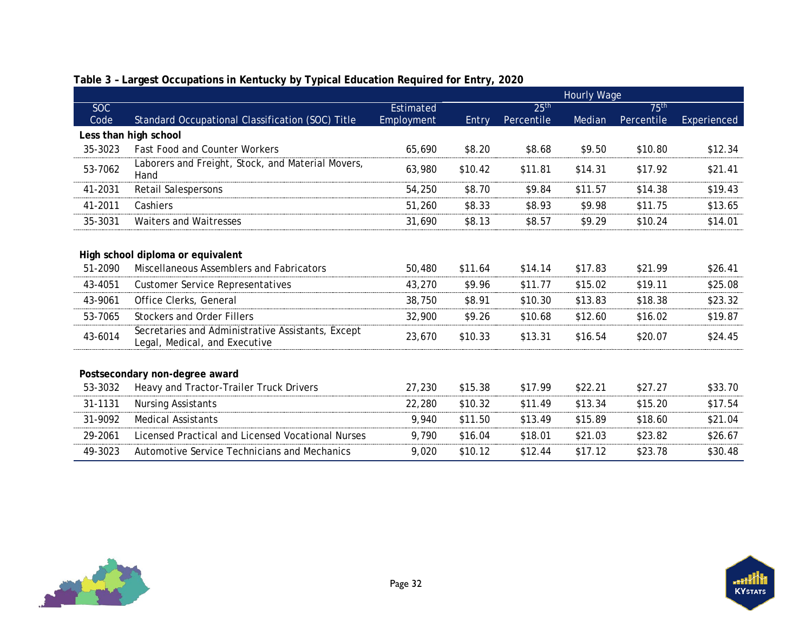<span id="page-35-0"></span>

|            |                                                                                    |                  | Hourly Wage |                  |         |                  |             |
|------------|------------------------------------------------------------------------------------|------------------|-------------|------------------|---------|------------------|-------------|
| <b>SOC</b> |                                                                                    | <b>Estimated</b> |             | 25 <sup>th</sup> |         | 75 <sup>th</sup> |             |
| Code       | Standard Occupational Classification (SOC) Title                                   | Employment       | Entry       | Percentile       | Median  | Percentile       | Experienced |
|            | Less than high school                                                              |                  |             |                  |         |                  |             |
| 35-3023    | <b>Fast Food and Counter Workers</b>                                               | 65,690           | \$8.20      | \$8.68           | \$9.50  | \$10.80          | \$12.34     |
| 53-7062    | Laborers and Freight, Stock, and Material Movers,<br>Hand                          | 63,980           | \$10.42     | \$11.81          | \$14.31 | \$17.92          | \$21.41     |
| 41-2031    | <b>Retail Salespersons</b>                                                         | 54,250           | \$8.70      | \$9.84           | \$11.57 | \$14.38          | \$19.43     |
| 41-2011    | Cashiers                                                                           | 51,260           | \$8.33      | \$8.93           | \$9.98  | \$11.75          | \$13.65     |
| 35-3031    | <b>Waiters and Waitresses</b>                                                      | 31,690           | \$8.13      | \$8.57           | \$9.29  | \$10.24          | \$14.01     |
|            |                                                                                    |                  |             |                  |         |                  |             |
|            | High school diploma or equivalent                                                  |                  |             |                  |         |                  |             |
| 51-2090    | Miscellaneous Assemblers and Fabricators                                           | 50,480           | \$11.64     | \$14.14          | \$17.83 | \$21.99          | \$26.41     |
| 43-4051    | <b>Customer Service Representatives</b>                                            | 43,270           | \$9.96      | \$11.77          | \$15.02 | \$19.11          | \$25.08     |
| 43-9061    | Office Clerks, General                                                             | 38,750           | \$8.91      | \$10.30          | \$13.83 | \$18.38          | \$23.32     |
| 53-7065    | <b>Stockers and Order Fillers</b>                                                  | 32,900           | \$9.26      | \$10.68          | \$12.60 | \$16.02          | \$19.87     |
| 43-6014    | Secretaries and Administrative Assistants, Except<br>Legal, Medical, and Executive | 23,670           | \$10.33     | \$13.31          | \$16.54 | \$20.07          | \$24.45     |
|            |                                                                                    |                  |             |                  |         |                  |             |
|            | Postsecondary non-degree award                                                     |                  |             |                  |         |                  |             |
| 53-3032    | Heavy and Tractor-Trailer Truck Drivers                                            | 27,230           | \$15.38     | \$17.99          | \$22.21 | \$27.27          | \$33.70     |
| 31-1131    | <b>Nursing Assistants</b>                                                          | 22,280           | \$10.32     | \$11.49          | \$13.34 | \$15.20          | \$17.54     |
| 31-9092    | <b>Medical Assistants</b>                                                          | 9,940            | \$11.50     | \$13.49          | \$15.89 | \$18.60          | \$21.04     |
| 29-2061    | Licensed Practical and Licensed Vocational Nurses                                  | 9,790            | \$16.04     | \$18.01          | \$21.03 | \$23.82          | \$26.67     |
| 49-3023    | Automotive Service Technicians and Mechanics                                       | 9,020            | \$10.12     | \$12.44          | \$17.12 | \$23.78          | \$30.48     |

## **Table 3 – Largest Occupations in Kentucky by Typical Education Required for Entry, 2020**

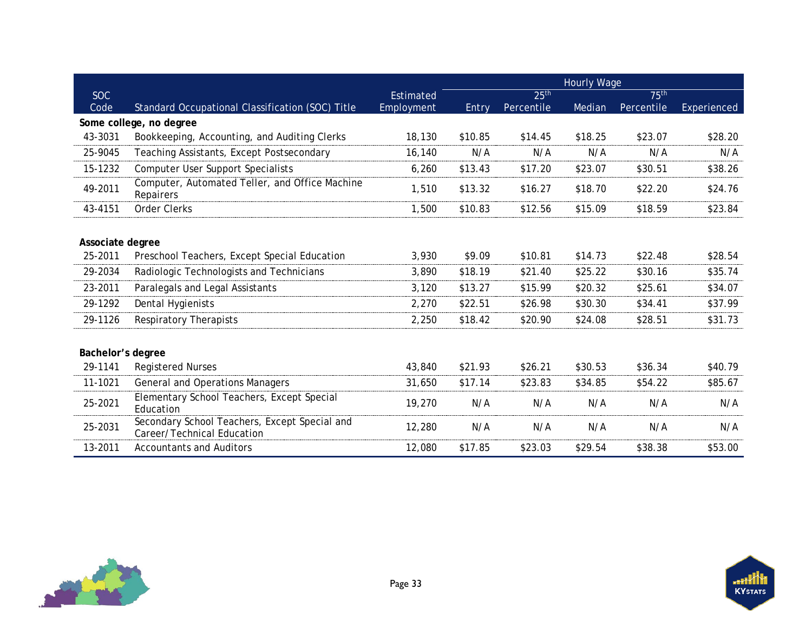|                   |                                                                             |            |         |                  | <b>Hourly Wage</b> |                  |             |
|-------------------|-----------------------------------------------------------------------------|------------|---------|------------------|--------------------|------------------|-------------|
| <b>SOC</b>        |                                                                             | Estimated  |         | 25 <sup>th</sup> |                    | 75 <sup>th</sup> |             |
| Code              | Standard Occupational Classification (SOC) Title                            | Employment | Entry   | Percentile       | Median             | Percentile       | Experienced |
|                   | Some college, no degree                                                     |            |         |                  |                    |                  |             |
| 43-3031           | Bookkeeping, Accounting, and Auditing Clerks                                | 18,130     | \$10.85 | \$14.45          | \$18.25            | \$23.07          | \$28.20     |
| 25-9045           | Teaching Assistants, Except Postsecondary                                   | 16,140     | N/A     | N/A              | N/A                | N/A              | N/A         |
| 15-1232           | <b>Computer User Support Specialists</b>                                    | 6,260      | \$13.43 | \$17.20          | \$23.07            | \$30.51          | \$38.26     |
| 49-2011           | Computer, Automated Teller, and Office Machine<br>Repairers                 | 1,510      | \$13.32 | \$16.27          | \$18.70            | \$22.20          | \$24.76     |
| 43-4151           | <b>Order Clerks</b>                                                         | 1,500      | \$10.83 | \$12.56          | \$15.09            | \$18.59          | \$23.84     |
|                   |                                                                             |            |         |                  |                    |                  |             |
| Associate degree  |                                                                             |            |         |                  |                    |                  |             |
| 25-2011           | Preschool Teachers, Except Special Education                                | 3,930      | \$9.09  | \$10.81          | \$14.73            | \$22.48          | \$28.54     |
| 29-2034           | Radiologic Technologists and Technicians                                    | 3,890      | \$18.19 | \$21.40          | \$25.22            | \$30.16          | \$35.74     |
| 23-2011           | Paralegals and Legal Assistants                                             | 3,120      | \$13.27 | \$15.99          | \$20.32            | \$25.61          | \$34.07     |
| 29-1292           | Dental Hygienists                                                           | 2,270      | \$22.51 | \$26.98          | \$30.30            | \$34.41          | \$37.99     |
| 29-1126           | <b>Respiratory Therapists</b>                                               | 2,250      | \$18.42 | \$20.90          | \$24.08            | \$28.51          | \$31.73     |
|                   |                                                                             |            |         |                  |                    |                  |             |
| Bachelor's degree |                                                                             |            |         |                  |                    |                  |             |
| 29-1141           | <b>Registered Nurses</b>                                                    | 43,840     | \$21.93 | \$26.21          | \$30.53            | \$36.34          | \$40.79     |
| 11-1021           | <b>General and Operations Managers</b>                                      | 31,650     | \$17.14 | \$23.83          | \$34.85            | \$54.22          | \$85.67     |
| 25-2021           | Elementary School Teachers, Except Special<br>Education                     | 19,270     | N/A     | N/A              | N/A                | N/A              | N/A         |
| 25-2031           | Secondary School Teachers, Except Special and<br>Career/Technical Education | 12,280     | N/A     | N/A              | N/A                | N/A              | N/A         |
| 13-2011           | <b>Accountants and Auditors</b>                                             | 12,080     | \$17.85 | \$23.03          | \$29.54            | \$38.38          | \$53.00     |

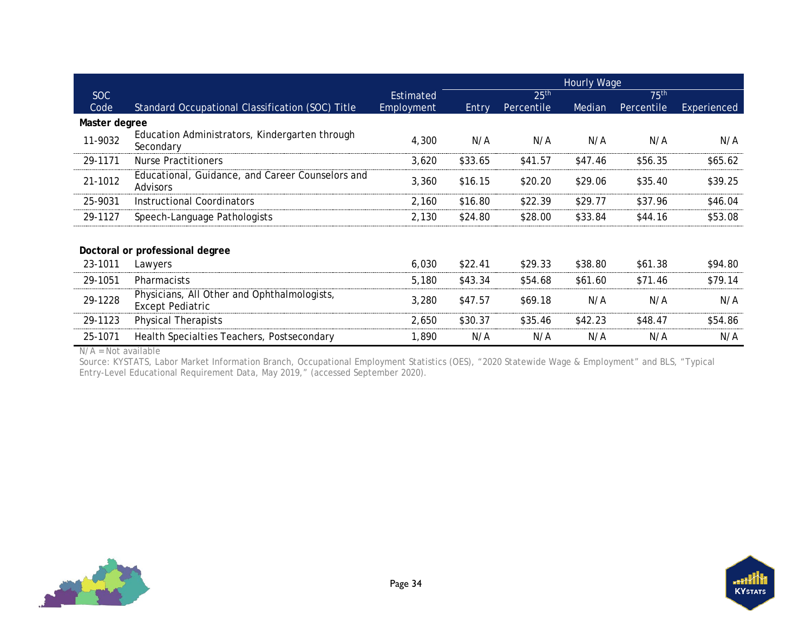|               |                                                                        |                  | <b>Hourly Wage</b> |                  |         |                  |             |
|---------------|------------------------------------------------------------------------|------------------|--------------------|------------------|---------|------------------|-------------|
| SOC           |                                                                        | <b>Estimated</b> |                    | 25 <sup>th</sup> |         | 75 <sup>th</sup> |             |
| Code          | Standard Occupational Classification (SOC) Title                       | Employment       | Entry              | Percentile       | Median  | Percentile       | Experienced |
| Master degree |                                                                        |                  |                    |                  |         |                  |             |
| 11-9032       | Education Administrators, Kindergarten through<br>Secondary            | 4,300            | N/A                | N/A              | N/A     | N/A              | N/A         |
| 29-1171       | <b>Nurse Practitioners</b>                                             | 3,620            | \$33.65            | \$41.57          | \$47.46 | \$56.35          | \$65.62     |
| 21-1012       | Educational, Guidance, and Career Counselors and<br><b>Advisors</b>    | 3,360            | \$16.15            | \$20.20          | \$29.06 | \$35.40          | \$39.25     |
| 25-9031       | Instructional Coordinators                                             | 2,160            | \$16.80            | \$22.39          | \$29.77 | \$37.96          | \$46.04     |
| 29-1127       | Speech-Language Pathologists                                           | 2,130            | \$24.80            | \$28.00          | \$33.84 | \$44.16          | \$53.08     |
|               | Doctoral or professional degree                                        |                  |                    |                  |         |                  |             |
| 23-1011       | Lawyers                                                                | 6,030            | \$22.41            | \$29.33          | \$38.80 | \$61.38          | \$94.80     |
| 29-1051       | <b>Pharmacists</b>                                                     | 5,180            | \$43.34            | \$54.68          | \$61.60 | \$71.46          | \$79.14     |
| 29-1228       | Physicians, All Other and Ophthalmologists,<br><b>Except Pediatric</b> | 3,280            | \$47.57            | \$69.18          | N/A     | N/A              | N/A         |
| 29-1123       | <b>Physical Therapists</b>                                             | 2,650            | \$30.37            | \$35.46          | \$42.23 | \$48.47          | \$54.86     |
| 25-1071       | Health Specialties Teachers, Postsecondary                             | 1,890            | N/A                | N/A              | N/A     | N/A              | N/A         |

N/A = Not available

Source: KYSTATS, Labor Market Information Branch, Occupational Employment Statistics (OES), "2020 Statewide Wage & Employment" and BLS, "Typical Entry-Level Educational Requirement Data, May 2019," (accessed September 2020).



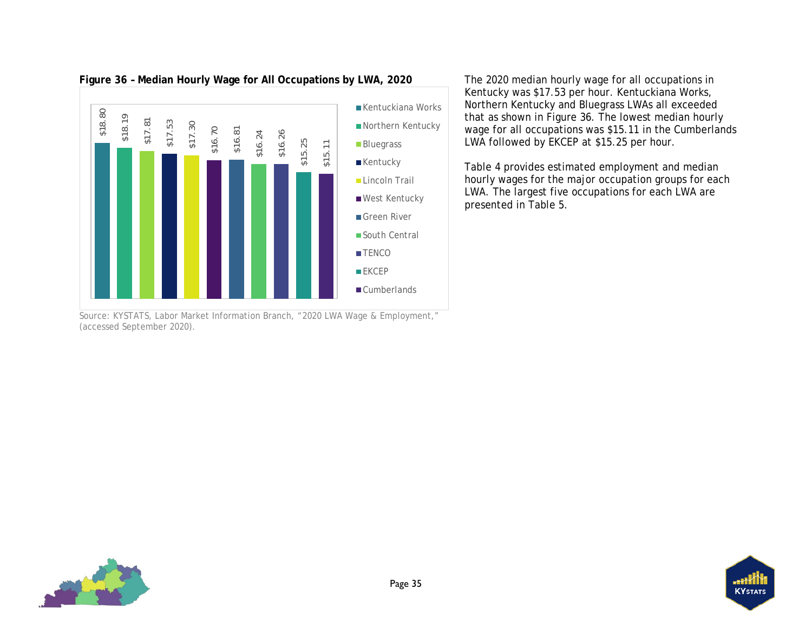

<span id="page-38-1"></span>**Figure 36 – Median Hourly Wage for All Occupations by LWA, 2020**

<span id="page-38-0"></span>Source: KYSTATS, Labor Market Information Branch, "2020 LWA Wage & Employment," (accessed September 2020).

The 2020 median hourly wage for all occupations in Kentucky was \$17.53 per hour. Kentuckiana Works, Northern Kentucky and Bluegrass LWAs all exceeded that as shown in [Figure 36.](#page-38-1) The lowest median hourly wage for all occupations was \$15.11 in the Cumberlands LWA followed by EKCEP at \$15.25 per hour.

[Table 4](#page-39-1) provides estimated employment and median hourly wages for the major occupation groups for each LWA. The largest five occupations for each LWA are presented in [Table 5.](#page-41-1)

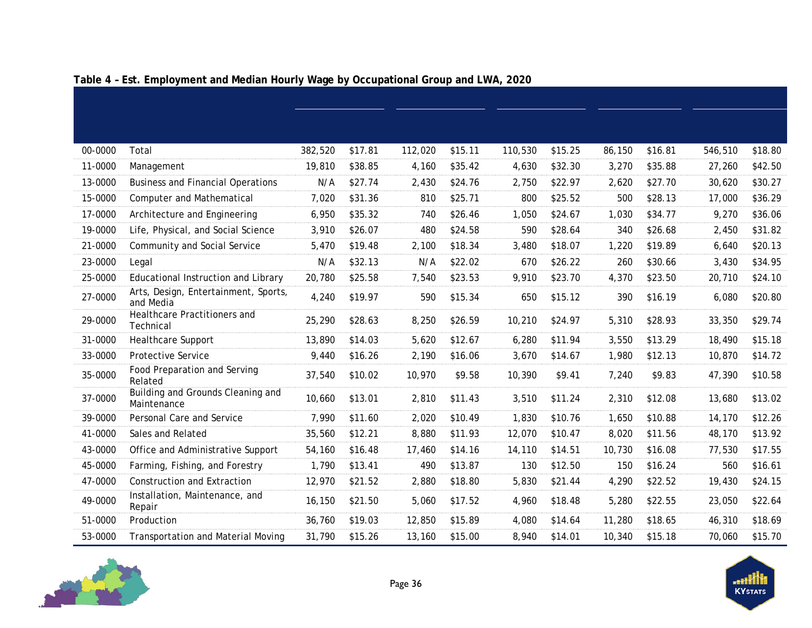<span id="page-39-0"></span>

| 00-0000 | Total                                             | 382,520 | \$17.81 | 112,020 | \$15.11 | 110,530 | \$15.25 | 86,150 | \$16.81 | 546,510 | \$18.80 |
|---------|---------------------------------------------------|---------|---------|---------|---------|---------|---------|--------|---------|---------|---------|
| 11-0000 | Management                                        | 19,810  | \$38.85 | 4,160   | \$35.42 | 4,630   | \$32.30 | 3,270  | \$35.88 | 27,260  | \$42.50 |
| 13-0000 | <b>Business and Financial Operations</b>          | N/A     | \$27.74 | 2,430   | \$24.76 | 2,750   | \$22.97 | 2,620  | \$27.70 | 30,620  | \$30.27 |
| 15-0000 | <b>Computer and Mathematical</b>                  | 7,020   | \$31.36 | 810     | \$25.71 | 800     | \$25.52 | 500    | \$28.13 | 17,000  | \$36.29 |
| 17-0000 | Architecture and Engineering                      | 6,950   | \$35.32 | 740     | \$26.46 | 1,050   | \$24.67 | 1,030  | \$34.77 | 9,270   | \$36.06 |
| 19-0000 | Life, Physical, and Social Science                | 3,910   | \$26.07 | 480     | \$24.58 | 590     | \$28.64 | 340    | \$26.68 | 2,450   | \$31.82 |
| 21-0000 | Community and Social Service                      | 5,470   | \$19.48 | 2,100   | \$18.34 | 3,480   | \$18.07 | 1,220  | \$19.89 | 6,640   | \$20.13 |
| 23-0000 | Legal                                             | N/A     | \$32.13 | N/A     | \$22.02 | 670     | \$26.22 | 260    | \$30.66 | 3,430   | \$34.95 |
| 25-0000 | Educational Instruction and Library               | 20,780  | \$25.58 | 7,540   | \$23.53 | 9,910   | \$23.70 | 4,370  | \$23.50 | 20,710  | \$24.10 |
| 27-0000 | Arts, Design, Entertainment, Sports,<br>and Media | 4,240   | \$19.97 | 590     | \$15.34 | 650     | \$15.12 | 390    | \$16.19 | 6,080   | \$20.80 |
| 29-0000 | Healthcare Practitioners and<br>Technical         | 25,290  | \$28.63 | 8,250   | \$26.59 | 10,210  | \$24.97 | 5,310  | \$28.93 | 33,350  | \$29.74 |
| 31-0000 | Healthcare Support                                | 13,890  | \$14.03 | 5,620   | \$12.67 | 6,280   | \$11.94 | 3,550  | \$13.29 | 18,490  | \$15.18 |
| 33-0000 | Protective Service                                | 9,440   | \$16.26 | 2,190   | \$16.06 | 3,670   | \$14.67 | 1,980  | \$12.13 | 10,870  | \$14.72 |
| 35-0000 | Food Preparation and Serving<br>Related           | 37,540  | \$10.02 | 10,970  | \$9.58  | 10,390  | \$9.41  | 7,240  | \$9.83  | 47,390  | \$10.58 |
| 37-0000 | Building and Grounds Cleaning and<br>Maintenance  | 10,660  | \$13.01 | 2,810   | \$11.43 | 3,510   | \$11.24 | 2,310  | \$12.08 | 13,680  | \$13.02 |
| 39-0000 | Personal Care and Service                         | 7,990   | \$11.60 | 2,020   | \$10.49 | 1,830   | \$10.76 | 1,650  | \$10.88 | 14,170  | \$12.26 |
| 41-0000 | Sales and Related                                 | 35,560  | \$12.21 | 8,880   | \$11.93 | 12,070  | \$10.47 | 8,020  | \$11.56 | 48,170  | \$13.92 |
| 43-0000 | Office and Administrative Support                 | 54,160  | \$16.48 | 17,460  | \$14.16 | 14,110  | \$14.51 | 10,730 | \$16.08 | 77,530  | \$17.55 |
| 45-0000 | Farming, Fishing, and Forestry                    | 1,790   | \$13.41 | 490     | \$13.87 | 130     | \$12.50 | 150    | \$16.24 | 560     | \$16.61 |
| 47-0000 | <b>Construction and Extraction</b>                | 12,970  | \$21.52 | 2,880   | \$18.80 | 5,830   | \$21.44 | 4,290  | \$22.52 | 19,430  | \$24.15 |
| 49-0000 | Installation, Maintenance, and<br>Repair          | 16,150  | \$21.50 | 5,060   | \$17.52 | 4,960   | \$18.48 | 5,280  | \$22.55 | 23,050  | \$22.64 |
| 51-0000 | Production                                        | 36,760  | \$19.03 | 12,850  | \$15.89 | 4,080   | \$14.64 | 11,280 | \$18.65 | 46,310  | \$18.69 |
| 53-0000 | <b>Transportation and Material Moving</b>         | 31,790  | \$15.26 | 13,160  | \$15.00 | 8,940   | \$14.01 | 10,340 | \$15.18 | 70,060  | \$15.70 |

## <span id="page-39-1"></span>**Table 4 – Est. Employment and Median Hourly Wage by Occupational Group and LWA, 2020**

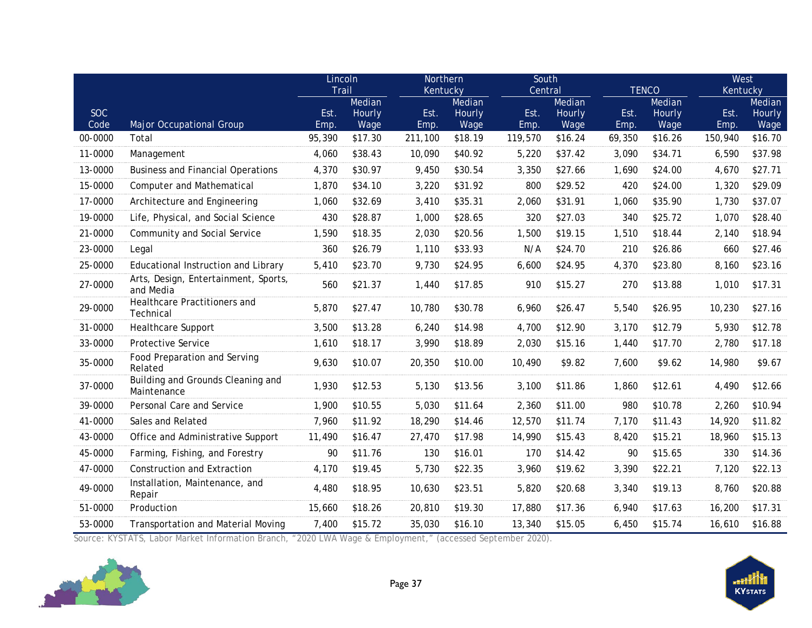|            |                                                   | Lincoln |                  | Northern |                  |         | South            |        |                  |          | West             |  |
|------------|---------------------------------------------------|---------|------------------|----------|------------------|---------|------------------|--------|------------------|----------|------------------|--|
|            |                                                   | Trail   |                  | Kentucky |                  | Central |                  |        | <b>TENCO</b>     | Kentucky |                  |  |
| <b>SOC</b> |                                                   | Est.    | Median<br>Hourly | Est.     | Median<br>Hourly | Est.    | Median<br>Hourly | Est.   | Median<br>Hourly | Est.     | Median<br>Hourly |  |
| Code       | Major Occupational Group                          | Emp.    | Wage             | Emp.     | Wage             | Emp.    | Wage             | Emp.   | Wage             | Emp.     | Wage             |  |
| 00-0000    | Total                                             | 95,390  | \$17.30          | 211,100  | \$18.19          | 119,570 | \$16.24          | 69,350 | \$16.26          | 150,940  | \$16.70          |  |
| 11-0000    | Management                                        | 4,060   | \$38.43          | 10,090   | \$40.92          | 5,220   | \$37.42          | 3,090  | \$34.71          | 6,590    | \$37.98          |  |
| 13-0000    | <b>Business and Financial Operations</b>          | 4,370   | \$30.97          | 9,450    | \$30.54          | 3,350   | \$27.66          | 1,690  | \$24.00          | 4,670    | \$27.71          |  |
| 15-0000    | <b>Computer and Mathematical</b>                  | 1,870   | \$34.10          | 3,220    | \$31.92          | 800     | \$29.52          | 420    | \$24.00          | 1,320    | \$29.09          |  |
| 17-0000    | Architecture and Engineering                      | 1,060   | \$32.69          | 3,410    | \$35.31          | 2,060   | \$31.91          | 1,060  | \$35.90          | 1,730    | \$37.07          |  |
| 19-0000    | Life, Physical, and Social Science                | 430     | \$28.87          | 1,000    | \$28.65          | 320     | \$27.03          | 340    | \$25.72          | 1,070    | \$28.40          |  |
| 21-0000    | Community and Social Service                      | 1,590   | \$18.35          | 2,030    | \$20.56          | 1,500   | \$19.15          | 1,510  | \$18.44          | 2,140    | \$18.94          |  |
| 23-0000    | Legal                                             | 360     | \$26.79          | 1,110    | \$33.93          | N/A     | \$24.70          | 210    | \$26.86          | 660      | \$27.46          |  |
| 25-0000    | Educational Instruction and Library               | 5,410   | \$23.70          | 9,730    | \$24.95          | 6,600   | \$24.95          | 4,370  | \$23.80          | 8,160    | \$23.16          |  |
| 27-0000    | Arts, Design, Entertainment, Sports,<br>and Media | 560     | \$21.37          | 1,440    | \$17.85          | 910     | \$15.27          | 270    | \$13.88          | 1,010    | \$17.31          |  |
| 29-0000    | Healthcare Practitioners and<br>Technical         | 5,870   | \$27.47          | 10,780   | \$30.78          | 6,960   | \$26.47          | 5,540  | \$26.95          | 10,230   | \$27.16          |  |
| 31-0000    | <b>Healthcare Support</b>                         | 3,500   | \$13.28          | 6,240    | \$14.98          | 4,700   | \$12.90          | 3,170  | \$12.79          | 5,930    | \$12.78          |  |
| 33-0000    | Protective Service                                | 1,610   | \$18.17          | 3,990    | \$18.89          | 2,030   | \$15.16          | 1,440  | \$17.70          | 2,780    | \$17.18          |  |
| 35-0000    | Food Preparation and Serving<br>Related           | 9,630   | \$10.07          | 20,350   | \$10.00          | 10,490  | \$9.82           | 7,600  | \$9.62           | 14,980   | \$9.67           |  |
| 37-0000    | Building and Grounds Cleaning and<br>Maintenance  | 1,930   | \$12.53          | 5,130    | \$13.56          | 3,100   | \$11.86          | 1,860  | \$12.61          | 4,490    | \$12.66          |  |
| 39-0000    | Personal Care and Service                         | 1,900   | \$10.55          | 5,030    | \$11.64          | 2,360   | \$11.00          | 980    | \$10.78          | 2,260    | \$10.94          |  |
| 41-0000    | Sales and Related                                 | 7,960   | \$11.92          | 18,290   | \$14.46          | 12,570  | \$11.74          | 7,170  | \$11.43          | 14,920   | \$11.82          |  |
| 43-0000    | Office and Administrative Support                 | 11,490  | \$16.47          | 27,470   | \$17.98          | 14,990  | \$15.43          | 8,420  | \$15.21          | 18,960   | \$15.13          |  |
| 45-0000    | Farming, Fishing, and Forestry                    | 90      | \$11.76          | 130      | \$16.01          | 170     | \$14.42          | 90     | \$15.65          | 330      | \$14.36          |  |
| 47-0000    | <b>Construction and Extraction</b>                | 4,170   | \$19.45          | 5,730    | \$22.35          | 3,960   | \$19.62          | 3,390  | \$22.21          | 7,120    | \$22.13          |  |
| 49-0000    | Installation, Maintenance, and<br>Repair          | 4,480   | \$18.95          | 10,630   | \$23.51          | 5,820   | \$20.68          | 3,340  | \$19.13          | 8,760    | \$20.88          |  |
| 51-0000    | Production                                        | 15,660  | \$18.26          | 20,810   | \$19.30          | 17,880  | \$17.36          | 6,940  | \$17.63          | 16,200   | \$17.31          |  |
| 53-0000    | <b>Transportation and Material Moving</b>         | 7,400   | \$15.72          | 35,030   | \$16.10          | 13,340  | \$15.05          | 6,450  | \$15.74          | 16,610   | \$16.88          |  |

Source: KYSTATS, Labor Market Information Branch, "2020 LWA Wage & Employment," (accessed September 2020).



**HAMI**<br>KYstats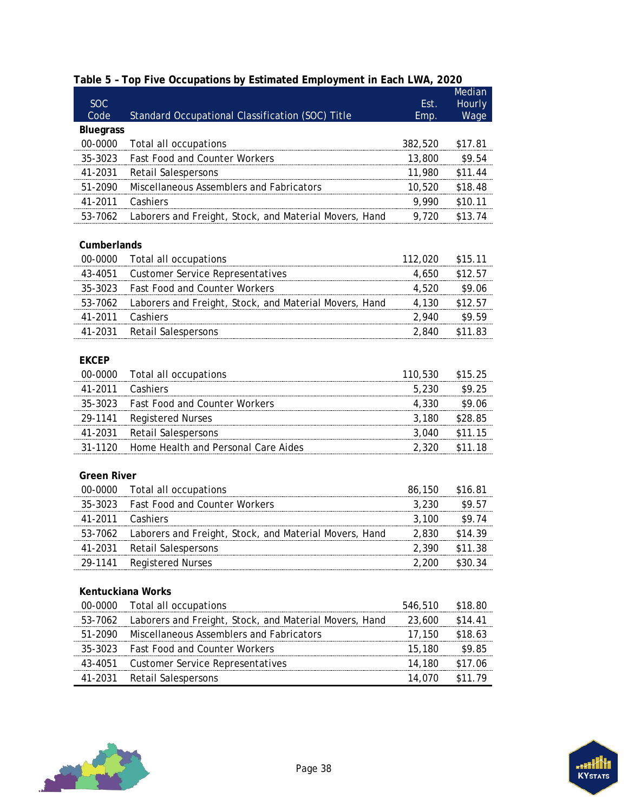|                    |                                                        |              | Median         |
|--------------------|--------------------------------------------------------|--------------|----------------|
| <b>SOC</b><br>Code | Standard Occupational Classification (SOC) Title       | Est.<br>Emp. | Hourly<br>Wage |
| <b>Bluegrass</b>   |                                                        |              |                |
| 00-0000            | Total all occupations                                  | 382,520      | \$17.81        |
| 35-3023            | <b>Fast Food and Counter Workers</b>                   | 13,800       | \$9.54         |
| 41-2031            | <b>Retail Salespersons</b>                             | 11,980       | \$11.44        |
| 51-2090            | Miscellaneous Assemblers and Fabricators               | 10,520       | \$18.48        |
| 41-2011            | Cashiers                                               | 9,990        | \$10.11        |
| 53-7062            | Laborers and Freight, Stock, and Material Movers, Hand | 9,720        | \$13.74        |
|                    |                                                        |              |                |
| Cumberlands        |                                                        |              |                |
| 00-0000            | Total all occupations                                  | 112,020      | \$15.11        |
| 43-4051            | <b>Customer Service Representatives</b>                | 4,650        | \$12.57        |
| 35-3023            | Fast Food and Counter Workers                          | 4,520        | \$9.06         |
| 53-7062            | Laborers and Freight, Stock, and Material Movers, Hand | 4,130        | \$12.57        |
| 41-2011            | Cashiers                                               | 2,940        | \$9.59         |
| 41-2031            | <b>Retail Salespersons</b>                             | 2,840        | \$11.83        |
|                    |                                                        |              |                |
| <b>EKCEP</b>       |                                                        |              |                |
| 00-0000            | Total all occupations                                  | 110,530      | \$15.25        |
| 41-2011            | Cashiers                                               | 5,230        | \$9.25         |
| 35-3023            | <b>Fast Food and Counter Workers</b>                   | 4,330        | \$9.06         |
| 29-1141            | <b>Registered Nurses</b>                               | 3,180        | \$28.85        |
| 41-2031            | <b>Retail Salespersons</b>                             | 3,040        | \$11.15        |
| 31-1120            | Home Health and Personal Care Aides                    | 2,320        | \$11.18        |
|                    |                                                        |              |                |
| <b>Green River</b> |                                                        |              |                |
| 00-0000            | Total all occupations                                  | 86,150       | \$16.81        |
| 35-3023            | <b>Fast Food and Counter Workers</b>                   | 3,230        | \$9.57         |
| 41-2011            | Cashiers                                               | 3,100        | \$9.74         |
| 53-7062            | Laborers and Freight, Stock, and Material Movers, Hand | 2,830        | \$14.39        |
| 41-2031            | Retail Salespersons                                    | 2,390        | \$11.38        |
| 29-1141            | <b>Registered Nurses</b>                               | 2,200        | \$30.34        |
|                    |                                                        |              |                |
|                    | Kentuckiana Works                                      |              |                |
| 00-0000            | Total all occupations                                  | 546,510      | \$18.80        |
| 53-7062            | Laborers and Freight, Stock, and Material Movers, Hand | 23,600       | \$14.41        |
| 51-2090            | Miscellaneous Assemblers and Fabricators               | 17,150       | \$18.63        |
| 35-3023            | <b>Fast Food and Counter Workers</b>                   | 15,180       | \$9.85         |
| 43-4051            | <b>Customer Service Representatives</b>                | 14,180       | \$17.06        |
| 41-2031            | <b>Retail Salespersons</b>                             | 14,070       | \$11.79        |

## <span id="page-41-1"></span><span id="page-41-0"></span>**Table 5 – Top Five Occupations by Estimated Employment in Each LWA, 2020**



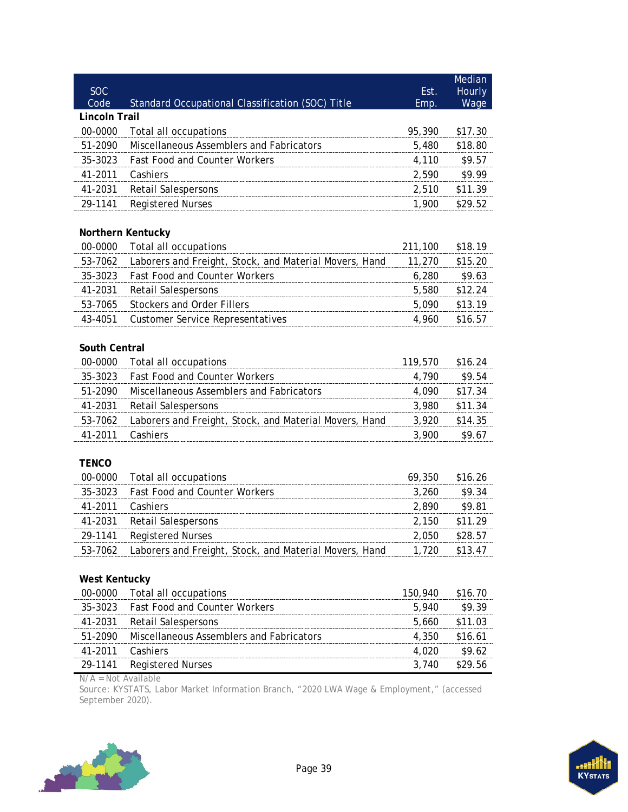| <b>SOC</b>           |                                                        | Est.    | Median<br>Hourly |
|----------------------|--------------------------------------------------------|---------|------------------|
| Code                 | Standard Occupational Classification (SOC) Title       | Emp.    | Wage             |
| Lincoln Trail        |                                                        |         |                  |
| 00-0000              | Total all occupations                                  | 95,390  | \$17.30          |
| 51-2090              | Miscellaneous Assemblers and Fabricators               | 5,480   | \$18.80          |
| 35-3023              | Fast Food and Counter Workers                          | 4,110   | \$9.57           |
| 41-2011              | Cashiers                                               | 2,590   | \$9.99           |
| 41-2031              | <b>Retail Salespersons</b>                             | 2,510   | \$11.39          |
| 29-1141              | <b>Registered Nurses</b>                               | 1,900   | \$29.52          |
|                      | Northern Kentucky                                      |         |                  |
| 00-0000              | Total all occupations                                  | 211,100 | \$18.19          |
| 53-7062              | Laborers and Freight, Stock, and Material Movers, Hand | 11,270  | \$15.20          |
| 35-3023              | <b>Fast Food and Counter Workers</b>                   | 6,280   | \$9.63           |
| 41-2031              | <b>Retail Salespersons</b>                             | 5,580   | \$12.24          |
| 53-7065              | <b>Stockers and Order Fillers</b>                      | 5,090   | \$13.19          |
| 43-4051              | <b>Customer Service Representatives</b>                | 4,960   | \$16.57          |
|                      |                                                        |         |                  |
| South Central        |                                                        |         |                  |
| 00-0000              | Total all occupations                                  | 119,570 | \$16.24          |
| 35-3023              | <b>Fast Food and Counter Workers</b>                   | 4,790   | \$9.54           |
| 51-2090              | Miscellaneous Assemblers and Fabricators               | 4,090   | \$17.34          |
| 41-2031              | <b>Retail Salespersons</b>                             | 3,980   | \$11.34          |
| 53-7062              | Laborers and Freight, Stock, and Material Movers, Hand | 3,920   | \$14.35          |
| 41-2011              | Cashiers                                               | 3,900   | \$9.67           |
| <b>TENCO</b>         |                                                        |         |                  |
| 00-0000              | Total all occupations                                  | 69,350  | \$16.26          |
| 35-3023              | Fast Food and Counter Workers                          | 3,260   | \$9.34           |
| 41-2011              | Cashiers                                               | 2,890   | \$9.81           |
| 41-2031              | <b>Retail Salespersons</b>                             | 2,150   | \$11.29          |
| 29-1141              | <b>Registered Nurses</b>                               | 2,050   | \$28.57          |
| 53-7062              | Laborers and Freight, Stock, and Material Movers, Hand | 1,720   | \$13.47          |
|                      |                                                        |         |                  |
| <b>West Kentucky</b> |                                                        |         |                  |
| 00-0000              | Total all occupations                                  | 150,940 | \$16.70          |
| 35-3023              | <b>Fast Food and Counter Workers</b>                   | 5,940   | \$9.39           |
| 41-2031              | <b>Retail Salespersons</b>                             | 5,660   | \$11.03          |
| 51-2090              | Miscellaneous Assemblers and Fabricators               | 4,350   | \$16.61          |
| 41-2011              | Cashiers                                               | 4,020   | \$9.62           |
| 29-1141              | <b>Registered Nurses</b>                               | 3,740   | \$29.56          |

N/A = Not Available

Source: KYSTATS, Labor Market Information Branch, "2020 LWA Wage & Employment," (accessed September 2020).

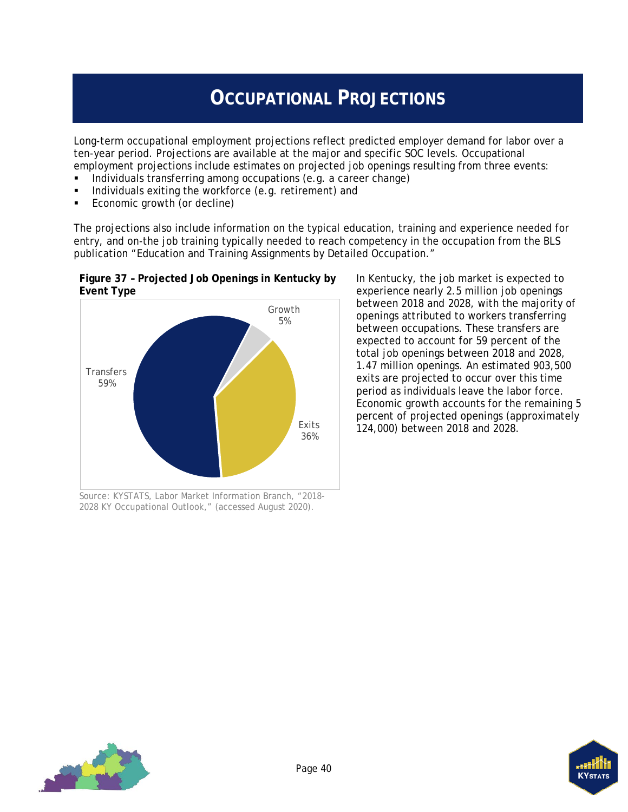# **OCCUPATIONAL PROJECTIONS**

<span id="page-43-0"></span>Long-term occupational employment projections reflect predicted employer demand for labor over a ten-year period. Projections are available at the major and specific SOC levels. Occupational employment projections include estimates on projected job openings resulting from three events:

- Individuals transferring among occupations (e.g. a career change)
- Individuals exiting the workforce (e.g. retirement) and

<span id="page-43-1"></span>**Figure 37 – Projected Job Openings in Kentucky by** 

Economic growth (or decline)

The projections also include information on the typical education, training and experience needed for entry, and on-the job training typically needed to reach competency in the occupation from the BLS publication "Education and Training Assignments by Detailed Occupation."



Source: KYSTATS, Labor Market Information Branch, "2018- 2028 KY Occupational Outlook," (accessed August 2020).

In Kentucky, the job market is expected to experience nearly 2.5 million job openings between 2018 and 2028, with the majority of openings attributed to workers transferring between occupations. These transfers are expected to account for 59 percent of the total job openings between 2018 and 2028, 1.47 million openings. An estimated 903,500 exits are projected to occur over this time period as individuals leave the labor force. Economic growth accounts for the remaining 5 percent of projected openings (approximately 124,000) between 2018 and 2028.



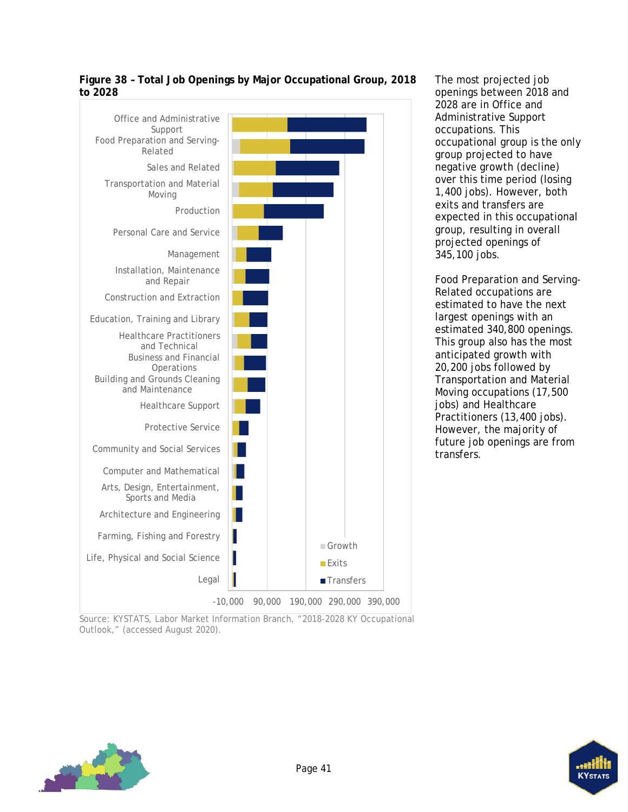

<span id="page-44-0"></span>**Figure 38 – Total Job Openings by Major Occupational Group, 2018 to 2028**

Source: KYSTATS, Labor Market Information Branch, "2018-2028 KY Occupational Outlook," (accessed August 2020).



The most projected job openings between 2018 and 2028 are in Office and Administrative Support occupations. This occupational group is the only group projected to have negative growth (decline) over this time period (losing 1,400 jobs). However, both exits and transfers are expected in this occupational group, resulting in overall projected openings of 345,100 jobs.

Food Preparation and Serving-Related occupations are estimated to have the next largest openings with an estimated 340,800 openings. This group also has the most anticipated growth with 20,200 jobs followed by Transportation and Material Moving occupations (17,500 jobs) and Healthcare Practitioners (13,400 jobs). However, the majority of future job openings are from transfers.

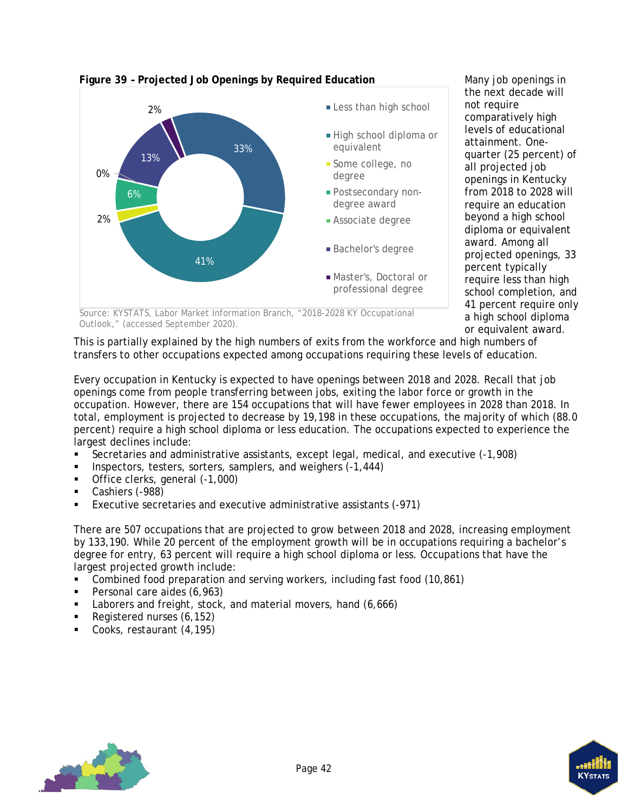

#### <span id="page-45-0"></span>**Figure 39 – Projected Job Openings by Required Education**

Many job openings in the next decade will not require comparatively high levels of educational attainment. Onequarter (25 percent) of all projected job openings in Kentucky from 2018 to 2028 will require an education beyond a high school diploma or equivalent award. Among all projected openings, 33 percent typically require less than high school completion, and 41 percent require only a high school diploma or equivalent award.

Source: KYSTATS, Labor Market Information Branch, "2018-2028 KY Occupational Outlook," (accessed September 2020).

This is partially explained by the high numbers of exits from the workforce and high numbers of transfers to other occupations expected among occupations requiring these levels of education.

Every occupation in Kentucky is expected to have openings between 2018 and 2028. Recall that job openings come from people transferring between jobs, exiting the labor force or growth in the occupation. However, there are 154 occupations that will have fewer employees in 2028 than 2018. In total, employment is projected to decrease by 19,198 in these occupations, the majority of which (88.0 percent) require a high school diploma or less education. The occupations expected to experience the largest declines include:

- Secretaries and administrative assistants, except legal, medical, and executive (-1,908)
- Inspectors, testers, sorters, samplers, and weighers (-1,444)
- Office clerks, general (-1,000)
- Cashiers (-988)
- Executive secretaries and executive administrative assistants (-971)

There are 507 occupations that are projected to grow between 2018 and 2028, increasing employment by 133,190. While 20 percent of the employment growth will be in occupations requiring a bachelor's degree for entry, 63 percent will require a high school diploma or less. Occupations that have the largest projected growth include:

- Combined food preparation and serving workers, including fast food (10,861)
- Personal care aides (6,963)
- Laborers and freight, stock, and material movers, hand (6,666)
- Registered nurses (6,152)
- Cooks, restaurant (4,195)



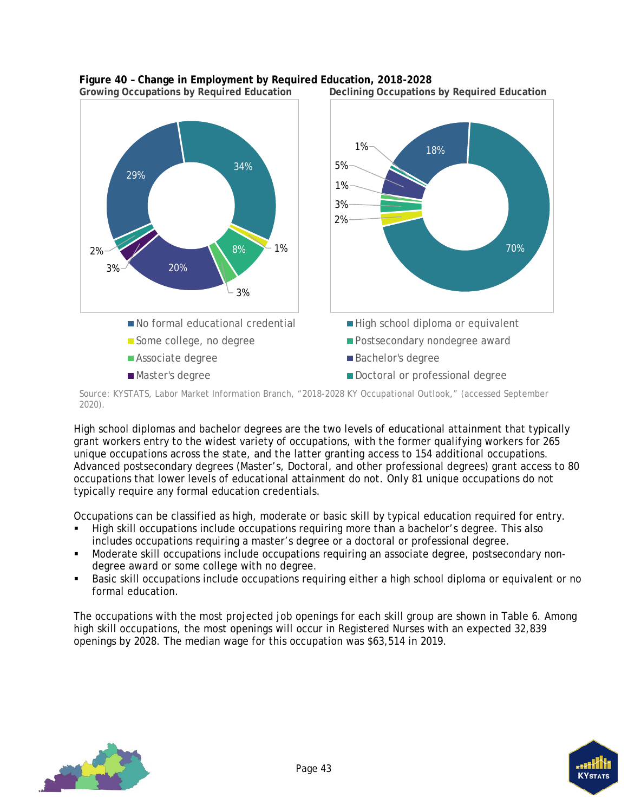

# <span id="page-46-0"></span>**Figure 40 – Change in Employment by Required Education, 2018-2028**

**Declining Occupations by Required Education** 

Source: KYSTATS, Labor Market Information Branch, "2018-2028 KY Occupational Outlook," (accessed September 2020).

High school diplomas and bachelor degrees are the two levels of educational attainment that typically grant workers entry to the widest variety of occupations, with the former qualifying workers for 265 unique occupations across the state, and the latter granting access to 154 additional occupations. Advanced postsecondary degrees (Master's, Doctoral, and other professional degrees) grant access to 80 occupations that lower levels of educational attainment do not. Only 81 unique occupations do not typically require any formal education credentials.

Occupations can be classified as high, moderate or basic skill by typical education required for entry.

- High skill occupations include occupations requiring more than a bachelor's degree. This also includes occupations requiring a master's degree or a doctoral or professional degree.
- Moderate skill occupations include occupations requiring an associate degree, postsecondary nondegree award or some college with no degree.
- Basic skill occupations include occupations requiring either a high school diploma or equivalent or no formal education.

The occupations with the most projected job openings for each skill group are shown in [Table 6.](#page-47-0) Among high skill occupations, the most openings will occur in Registered Nurses with an expected 32,839 openings by 2028. The median wage for this occupation was \$63,514 in 2019.



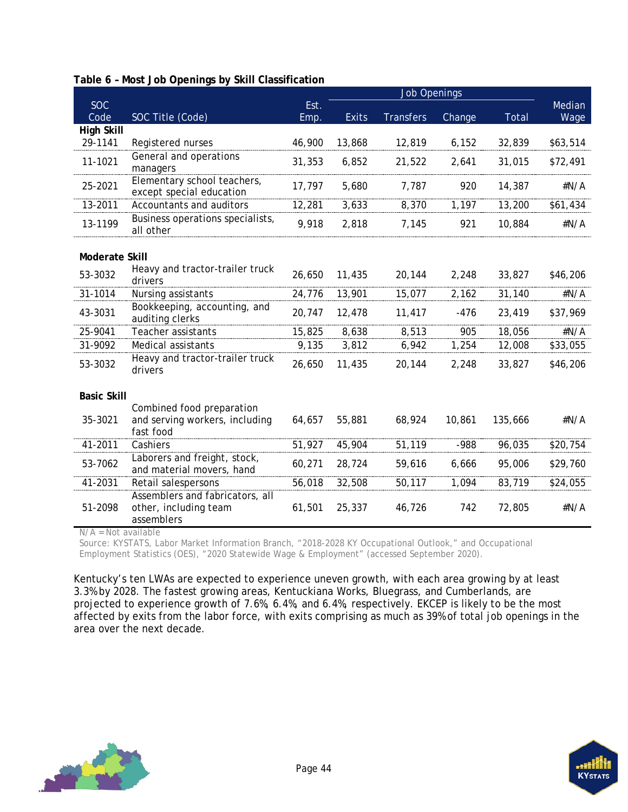<span id="page-47-0"></span>

|  |  |  | Table 6 - Most Job Openings by Skill Classification |
|--|--|--|-----------------------------------------------------|
|  |  |  |                                                     |

| <b>SOC</b>         |                                                                          | Est.   |              |                  |        |         | Median   |
|--------------------|--------------------------------------------------------------------------|--------|--------------|------------------|--------|---------|----------|
| Code               | SOC Title (Code)                                                         | Emp.   | <b>Exits</b> | <b>Transfers</b> | Change | Total   | Wage     |
| <b>High Skill</b>  |                                                                          |        |              |                  |        |         |          |
| 29-1141            | Registered nurses                                                        | 46,900 | 13,868       | 12,819           | 6,152  | 32,839  | \$63,514 |
| 11-1021            | General and operations<br>managers                                       | 31,353 | 6,852        | 21,522           | 2,641  | 31,015  | \$72,491 |
| 25-2021            | Elementary school teachers,<br>except special education                  | 17,797 | 5,680        | 7,787            | 920    | 14,387  | #N/A     |
| 13-2011            | Accountants and auditors                                                 | 12,281 | 3,633        | 8,370            | 1,197  | 13,200  | \$61,434 |
| 13-1199            | Business operations specialists,<br>all other                            | 9,918  | 2,818        | 7,145            | 921    | 10,884  | #N/A     |
| Moderate Skill     |                                                                          |        |              |                  |        |         |          |
| 53-3032            | Heavy and tractor-trailer truck<br>drivers                               | 26,650 | 11,435       | 20,144           | 2,248  | 33,827  | \$46,206 |
| 31-1014            | Nursing assistants                                                       | 24,776 | 13,901       | 15,077           | 2,162  | 31,140  | #N/A     |
| 43-3031            | Bookkeeping, accounting, and<br>auditing clerks                          | 20,747 | 12,478       | 11,417           | $-476$ | 23,419  | \$37,969 |
| 25-9041            | Teacher assistants                                                       | 15,825 | 8,638        | 8,513            | 905    | 18,056  | #N/A     |
| 31-9092            | Medical assistants                                                       | 9,135  | 3,812        | 6,942            | 1,254  | 12,008  | \$33,055 |
| 53-3032            | Heavy and tractor-trailer truck<br>drivers                               | 26,650 | 11,435       | 20,144           | 2,248  | 33,827  | \$46,206 |
| <b>Basic Skill</b> |                                                                          |        |              |                  |        |         |          |
| 35-3021            | Combined food preparation<br>and serving workers, including<br>fast food | 64,657 | 55,881       | 68,924           | 10,861 | 135,666 | #N/A     |
| 41-2011            | Cashiers                                                                 | 51,927 | 45,904       | 51,119           | $-988$ | 96,035  | \$20,754 |
| 53-7062            | Laborers and freight, stock,<br>and material movers, hand                | 60,271 | 28,724       | 59,616           | 6,666  | 95,006  | \$29,760 |
| 41-2031            | Retail salespersons                                                      | 56,018 | 32,508       | 50,117           | 1,094  | 83,719  | \$24,055 |
| 51-2098            | Assemblers and fabricators, all<br>other, including team<br>assemblers   | 61,501 | 25,337       | 46,726           | 742    | 72,805  | #N/A     |

N/A = Not available

Source: KYSTATS, Labor Market Information Branch, "2018-2028 KY Occupational Outlook," and Occupational Employment Statistics (OES), "2020 Statewide Wage & Employment" (accessed September 2020).

Kentucky's ten LWAs are expected to experience uneven growth, with each area growing by at least 3.3% by 2028. The fastest growing areas, Kentuckiana Works, Bluegrass, and Cumberlands, are projected to experience growth of 7.6%, 6.4%, and 6.4%, respectively. EKCEP is likely to be the most affected by exits from the labor force, with exits comprising as much as 39% of total job openings in the area over the next decade.



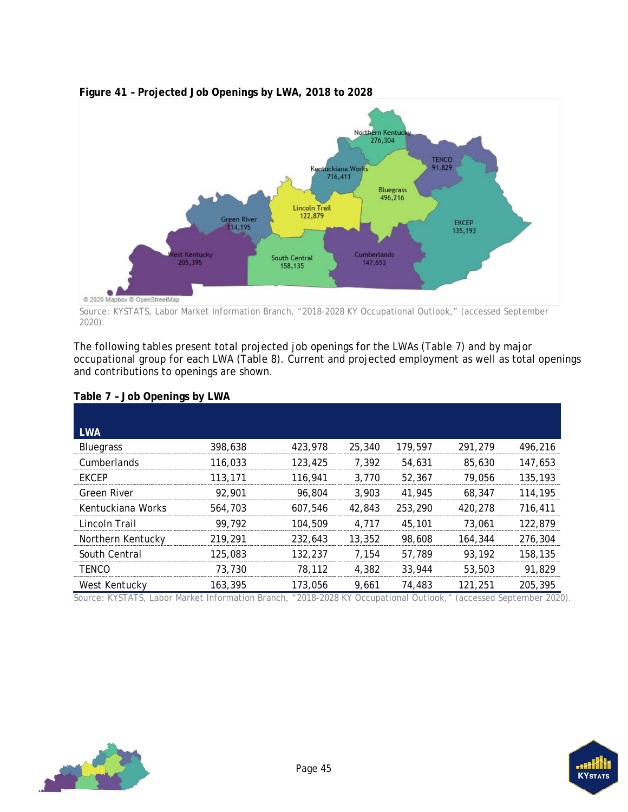

### <span id="page-48-1"></span>**Figure 41 – Projected Job Openings by LWA, 2018 to 2028**

Source: KYSTATS, Labor Market Information Branch, "2018-2028 KY Occupational Outlook," (accessed September 2020).

The following tables present total projected job openings for the LWAs [\(Table 7\)](#page-48-0) and by major occupational group for each LWA [\(Table 8\)](#page-49-0). Current and projected employment as well as total openings and contributions to openings are shown.

| <b>LWA</b>        |         |         |        |         |         |         |
|-------------------|---------|---------|--------|---------|---------|---------|
| <b>Bluegrass</b>  | 398,638 | 423,978 | 25,340 | 179,597 | 291.279 | 496.216 |
| Cumberlands       | 116,033 | 123,425 | 7.392  | 54,631  | 85,630  | 147.653 |
| <b>FKCFP</b>      | 113,171 | 116,941 | 3.770  | 52,367  | 79.056  | 135,193 |
| Green River       | 92.901  | 96,804  | 3,903  | 41,945  | 68,347  | 114,195 |
| Kentuckiana Works | 564,703 | 607.546 | 42,843 | 253,290 | 420,278 | 716.411 |
| Lincoln Trail     | 99.792  | 104,509 | 4.717  | 45,101  | 73.061  | 122.879 |
| Northern Kentucky | 219,291 | 232.643 | 13,352 | 98,608  | 164,344 | 276.304 |
| South Central     | 125,083 | 132,237 | 7.154  | 57.789  | 93,192  | 158,135 |
| TFNCO             | 73,730  | 78,112  | 4.382  | 33,944  | 53,503  | 91,829  |
| West Kentucky     | 163,395 | 173,056 | 9.661  | 74,483  | 121,251 | 205,395 |

#### <span id="page-48-0"></span>**Table 7 – Job Openings by LWA**

Source: KYSTATS, Labor Market Information Branch, "2018-2028 KY Occupational Outlook," (accessed September 2020).

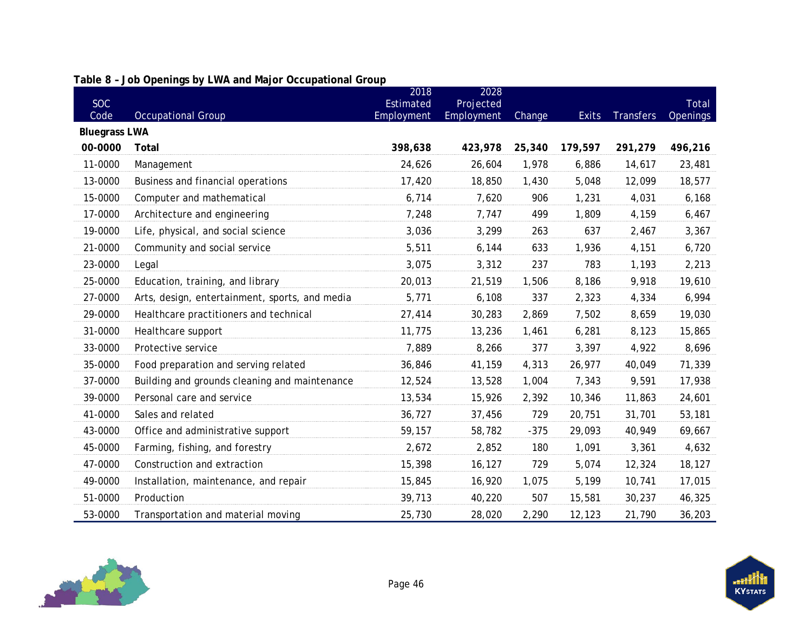<span id="page-49-0"></span>

|                      |                                                | 2018       | 2028       |        |              |                  |                          |
|----------------------|------------------------------------------------|------------|------------|--------|--------------|------------------|--------------------------|
| <b>SOC</b><br>Code   |                                                | Estimated  | Projected  |        | <b>Exits</b> | <b>Transfers</b> | Total<br><b>Openings</b> |
| <b>Bluegrass LWA</b> | <b>Occupational Group</b>                      | Employment | Employment | Change |              |                  |                          |
| 00-0000              | Total                                          | 398,638    | 423,978    | 25,340 | 179,597      | 291,279          | 496,216                  |
| 11-0000              | Management                                     | 24,626     | 26,604     | 1,978  | 6,886        | 14,617           | 23,481                   |
| 13-0000              | Business and financial operations              | 17,420     | 18,850     | 1,430  | 5,048        | 12,099           | 18,577                   |
| 15-0000              | Computer and mathematical                      | 6,714      | 7,620      | 906    | 1,231        | 4,031            | 6,168                    |
| 17-0000              | Architecture and engineering                   | 7,248      | 7,747      | 499    | 1,809        | 4,159            | 6,467                    |
| 19-0000              | Life, physical, and social science             | 3,036      | 3,299      | 263    | 637          | 2,467            | 3,367                    |
| 21-0000              | Community and social service                   | 5,511      | 6,144      | 633    | 1,936        | 4,151            | 6,720                    |
| 23-0000              | Legal                                          | 3,075      | 3,312      | 237    | 783          | 1,193            | 2,213                    |
| 25-0000              | Education, training, and library               | 20,013     | 21,519     | 1,506  | 8,186        | 9,918            | 19,610                   |
| 27-0000              | Arts, design, entertainment, sports, and media | 5,771      | 6,108      | 337    | 2,323        | 4,334            | 6,994                    |
| 29-0000              | Healthcare practitioners and technical         | 27,414     | 30,283     | 2,869  | 7,502        | 8,659            | 19,030                   |
| 31-0000              |                                                | 11,775     | 13,236     | 1,461  | 6,281        | 8,123            | 15,865                   |
|                      | Healthcare support                             |            |            |        |              |                  |                          |
| 33-0000              | Protective service                             | 7,889      | 8,266      | 377    | 3,397        | 4,922            | 8,696                    |
| 35-0000              | Food preparation and serving related           | 36,846     | 41,159     | 4,313  | 26,977       | 40,049           | 71,339                   |
| 37-0000              | Building and grounds cleaning and maintenance  | 12,524     | 13,528     | 1,004  | 7,343        | 9,591            | 17,938                   |
| 39-0000              | Personal care and service                      | 13,534     | 15,926     | 2,392  | 10,346       | 11,863           | 24,601                   |
| 41-0000              | Sales and related                              | 36,727     | 37,456     | 729    | 20,751       | 31,701           | 53,181                   |
| 43-0000              | Office and administrative support              | 59,157     | 58,782     | $-375$ | 29,093       | 40,949           | 69,667                   |
| 45-0000              | Farming, fishing, and forestry                 | 2,672      | 2,852      | 180    | 1,091        | 3,361            | 4,632                    |
| 47-0000              | Construction and extraction                    | 15,398     | 16,127     | 729    | 5,074        | 12,324           | 18,127                   |
| 49-0000              | Installation, maintenance, and repair          | 15,845     | 16,920     | 1,075  | 5,199        | 10,741           | 17,015                   |
| 51-0000              | Production                                     | 39,713     | 40,220     | 507    | 15,581       | 30,237           | 46,325                   |
| 53-0000              | Transportation and material moving             | 25,730     | 28,020     | 2,290  | 12,123       | 21,790           | 36,203                   |

### **Table 8 – Job Openings by LWA and Major Occupational Group**

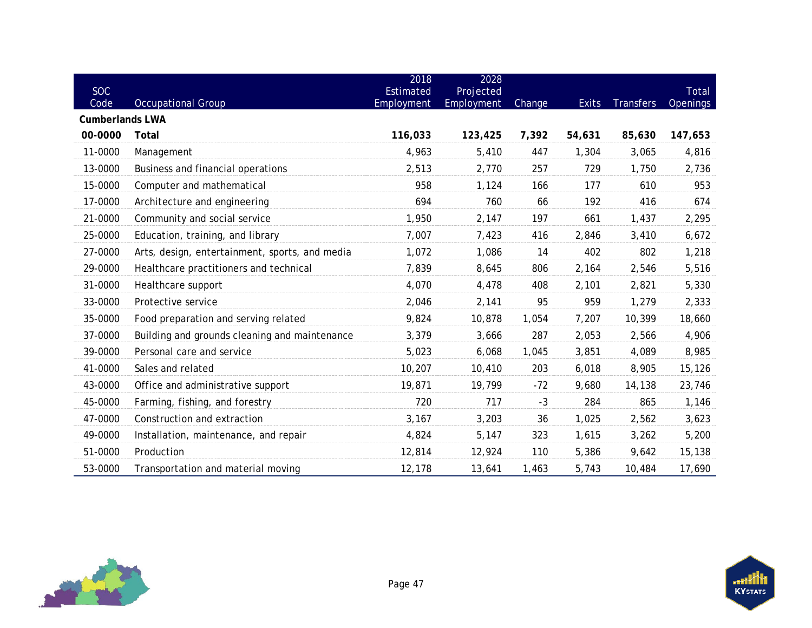| <b>SOC</b><br>Code     | <b>Occupational Group</b>                      | 2018<br>Estimated<br>Employment | 2028<br>Projected<br>Employment | Change | <b>Exits</b> | <b>Transfers</b> | Total<br><b>Openings</b> |
|------------------------|------------------------------------------------|---------------------------------|---------------------------------|--------|--------------|------------------|--------------------------|
| <b>Cumberlands LWA</b> |                                                |                                 |                                 |        |              |                  |                          |
| 00-0000                | Total                                          | 116,033                         | 123,425                         | 7,392  | 54,631       | 85,630           | 147,653                  |
| 11-0000                | Management                                     | 4,963                           | 5,410                           | 447    | 1,304        | 3,065            | 4,816                    |
| 13-0000                | Business and financial operations              | 2,513                           | 2,770                           | 257    | 729          | 1,750            | 2,736                    |
| 15-0000                | Computer and mathematical                      | 958                             | 1,124                           | 166    | 177          | 610              | 953                      |
| 17-0000                | Architecture and engineering                   | 694                             | 760                             | 66     | 192          | 416              | 674                      |
| 21-0000                | Community and social service                   | 1,950                           | 2,147                           | 197    | 661          | 1,437            | 2,295                    |
| 25-0000                | Education, training, and library               | 7,007                           | 7,423                           | 416    | 2,846        | 3,410            | 6,672                    |
| 27-0000                | Arts, design, entertainment, sports, and media | 1,072                           | 1,086                           | 14     | 402          | 802              | 1,218                    |
| 29-0000                | Healthcare practitioners and technical         | 7,839                           | 8,645                           | 806    | 2,164        | 2,546            | 5,516                    |
| 31-0000                | Healthcare support                             | 4,070                           | 4,478                           | 408    | 2,101        | 2,821            | 5,330                    |
| 33-0000                | Protective service                             | 2,046                           | 2,141                           | 95     | 959          | 1,279            | 2,333                    |
| 35-0000                | Food preparation and serving related           | 9,824                           | 10,878                          | 1,054  | 7,207        | 10,399           | 18,660                   |
| 37-0000                | Building and grounds cleaning and maintenance  | 3,379                           | 3,666                           | 287    | 2,053        | 2,566            | 4,906                    |
| 39-0000                | Personal care and service                      | 5,023                           | 6,068                           | 1,045  | 3,851        | 4,089            | 8,985                    |
| 41-0000                | Sales and related                              | 10,207                          | 10,410                          | 203    | 6,018        | 8,905            | 15,126                   |
| 43-0000                | Office and administrative support              | 19,871                          | 19,799                          | $-72$  | 9,680        | 14,138           | 23,746                   |
| 45-0000                | Farming, fishing, and forestry                 | 720                             | 717                             | $-3$   | 284          | 865              | 1,146                    |
| 47-0000                | Construction and extraction                    | 3,167                           | 3,203                           | 36     | 1,025        | 2,562            | 3,623                    |
| 49-0000                | Installation, maintenance, and repair          | 4,824                           | 5,147                           | 323    | 1,615        | 3,262            | 5,200                    |
| 51-0000                | Production                                     | 12,814                          | 12,924                          | 110    | 5,386        | 9,642            | 15,138                   |
| 53-0000                | Transportation and material moving             | 12,178                          | 13,641                          | 1,463  | 5,743        | 10,484           | 17,690                   |

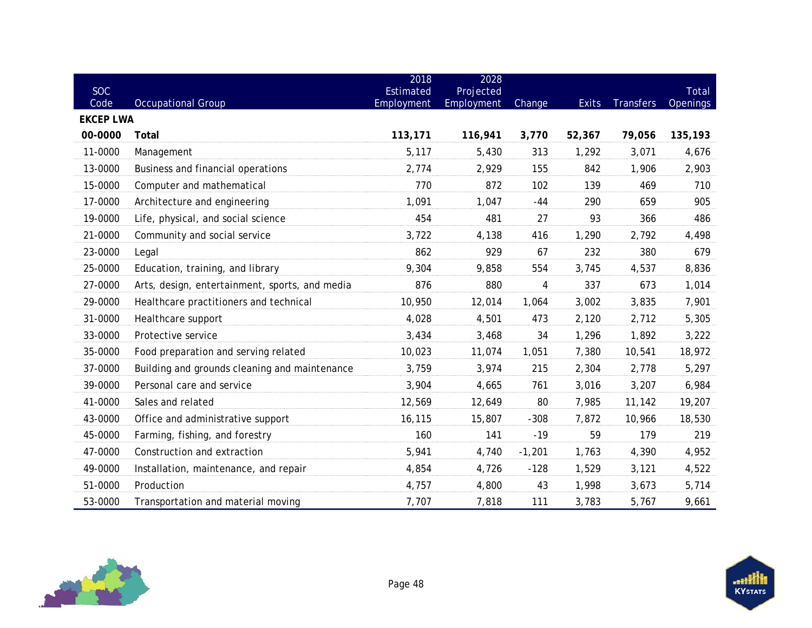| SOC                      |                                                | 2018<br>Estimated | 2028<br>Projected |          |              |                  | Total    |
|--------------------------|------------------------------------------------|-------------------|-------------------|----------|--------------|------------------|----------|
| Code<br><b>EKCEP LWA</b> | <b>Occupational Group</b>                      | Employment        | <b>Employment</b> | Change   | <b>Exits</b> | <b>Transfers</b> | Openings |
| 00-0000                  | Total                                          | 113,171           | 116,941           | 3,770    | 52,367       | 79,056           | 135,193  |
| 11-0000                  | Management                                     | 5,117             | 5,430             | 313      | 1,292        | 3,071            | 4,676    |
| 13-0000                  | Business and financial operations              | 2,774             | 2,929             | 155      | 842          | 1,906            | 2,903    |
| 15-0000                  | Computer and mathematical                      | 770               | 872               | 102      | 139          | 469              | 710      |
| 17-0000                  | Architecture and engineering                   | 1,091             | 1,047             | -44      | 290          | 659              | 905      |
| 19-0000                  | Life, physical, and social science             | 454               | 481               | 27       | 93           | 366              | 486      |
| 21-0000                  | Community and social service                   | 3,722             | 4,138             | 416      | 1,290        | 2,792            | 4,498    |
| 23-0000                  | Legal                                          | 862               | 929               | 67       | 232          | 380              | 679      |
| 25-0000                  | Education, training, and library               | 9,304             | 9,858             | 554      | 3,745        | 4,537            | 8,836    |
| 27-0000                  | Arts, design, entertainment, sports, and media | 876               | 880               | 4        | 337          | 673              | 1,014    |
| 29-0000                  | Healthcare practitioners and technical         | 10,950            | 12,014            | 1,064    | 3,002        | 3,835            | 7,901    |
| 31-0000                  | Healthcare support                             | 4,028             | 4,501             | 473      | 2,120        | 2,712            | 5,305    |
| 33-0000                  | Protective service                             | 3,434             | 3,468             | 34       | 1,296        | 1,892            | 3,222    |
| 35-0000                  | Food preparation and serving related           | 10,023            | 11,074            | 1,051    | 7,380        | 10,541           | 18,972   |
| 37-0000                  | Building and grounds cleaning and maintenance  | 3,759             | 3,974             | 215      | 2,304        | 2,778            | 5,297    |
| 39-0000                  | Personal care and service                      | 3,904             | 4,665             | 761      | 3,016        | 3,207            | 6,984    |
| 41-0000                  | Sales and related                              | 12,569            | 12,649            | 80       | 7,985        | 11,142           | 19,207   |
| 43-0000                  | Office and administrative support              | 16,115            | 15,807            | $-308$   | 7,872        | 10,966           | 18,530   |
| 45-0000                  | Farming, fishing, and forestry                 | 160               | 141               | $-19$    | 59           | 179              | 219      |
| 47-0000                  | Construction and extraction                    | 5,941             | 4,740             | $-1,201$ | 1,763        | 4,390            | 4,952    |
| 49-0000                  | Installation, maintenance, and repair          | 4,854             | 4,726             | $-128$   | 1,529        | 3,121            | 4,522    |
| 51-0000                  | Production                                     | 4,757             | 4,800             | 43       | 1,998        | 3,673            | 5,714    |
| 53-0000                  | Transportation and material moving             | 7,707             | 7,818             | 111      | 3,783        | 5,767            | 9,661    |

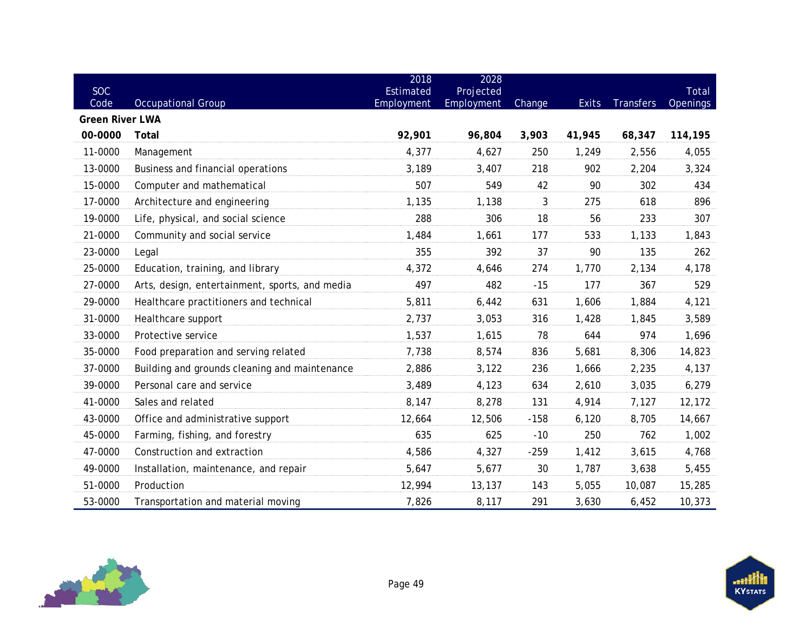| <b>SOC</b>             |                                                | 2018<br>Estimated | 2028<br>Projected |        |              |                  | Total           |
|------------------------|------------------------------------------------|-------------------|-------------------|--------|--------------|------------------|-----------------|
| $\overline{Code}$      | <b>Occupational Group</b>                      | Employment        | Employment        | Change | <b>Exits</b> | <b>Transfers</b> | <b>Openings</b> |
| <b>Green River LWA</b> |                                                |                   |                   |        |              |                  |                 |
| 00-0000                | Total                                          | 92,901            | 96,804            | 3,903  | 41,945       | 68,347           | 114,195         |
| 11-0000                | Management                                     | 4,377             | 4,627             | 250    | 1,249        | 2,556            | 4,055           |
| 13-0000                | Business and financial operations              | 3,189             | 3,407             | 218    | 902          | 2,204            | 3,324           |
| 15-0000                | Computer and mathematical                      | 507               | 549               | 42     | 90           | 302              | 434             |
| 17-0000                | Architecture and engineering                   | 1,135             | 1,138             | 3      | 275          | 618              | 896             |
| 19-0000                | Life, physical, and social science             | 288               | 306               | 18     | 56           | 233              | 307             |
| 21-0000                | Community and social service                   | 1,484             | 1,661             | 177    | 533          | 1,133            | 1,843           |
| 23-0000                | Legal                                          | 355               | 392               | 37     | 90           | 135              | 262             |
| 25-0000                | Education, training, and library               | 4,372             | 4,646             | 274    | 1,770        | 2,134            | 4,178           |
| 27-0000                | Arts, design, entertainment, sports, and media | 497               | 482               | $-15$  | 177          | 367              | 529             |
| 29-0000                | Healthcare practitioners and technical         | 5,811             | 6,442             | 631    | 1,606        | 1,884            | 4,121           |
| 31-0000                | Healthcare support                             | 2,737             | 3,053             | 316    | 1,428        | 1,845            | 3,589           |
| 33-0000                | Protective service                             | 1,537             | 1,615             | 78     | 644          | 974              | 1,696           |
| 35-0000                | Food preparation and serving related           | 7,738             | 8,574             | 836    | 5,681        | 8,306            | 14,823          |
| 37-0000                | Building and grounds cleaning and maintenance  | 2,886             | 3,122             | 236    | 1,666        | 2,235            | 4,137           |
| 39-0000                | Personal care and service                      | 3,489             | 4,123             | 634    | 2,610        | 3,035            | 6,279           |
| 41-0000                | Sales and related                              | 8,147             | 8,278             | 131    | 4,914        | 7,127            | 12,172          |
| 43-0000                | Office and administrative support              | 12,664            | 12,506            | $-158$ | 6,120        | 8,705            | 14,667          |
| 45-0000                | Farming, fishing, and forestry                 | 635               | 625               | $-10$  | 250          | 762              | 1,002           |
| 47-0000                | Construction and extraction                    | 4,586             | 4,327             | $-259$ | 1,412        | 3,615            | 4,768           |
| 49-0000                | Installation, maintenance, and repair          | 5,647             | 5,677             | 30     | 1,787        | 3,638            | 5,455           |
| 51-0000                | Production                                     | 12,994            | 13,137            | 143    | 5,055        | 10,087           | 15,285          |
| 53-0000                | Transportation and material moving             | 7,826             | 8,117             | 291    | 3,630        | 6,452            | 10,373          |

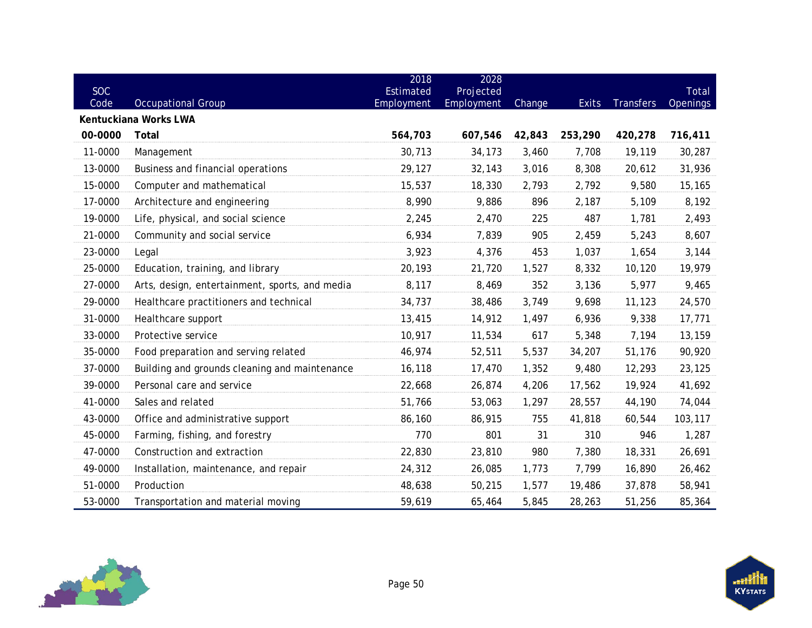| <b>SOC</b><br>Code | <b>Occupational Group</b>                      | 2018<br>Estimated<br>Employment | 2028<br>Projected<br>Employment | Change | <b>Exits</b> | <b>Transfers</b> | Total<br><b>Openings</b> |
|--------------------|------------------------------------------------|---------------------------------|---------------------------------|--------|--------------|------------------|--------------------------|
|                    | Kentuckiana Works LWA                          |                                 |                                 |        |              |                  |                          |
| 00-0000            | Total                                          | 564,703                         | 607,546                         | 42,843 | 253,290      | 420,278          | 716,411                  |
| 11-0000            | Management                                     | 30,713                          | 34,173                          | 3,460  | 7,708        | 19,119           | 30,287                   |
| 13-0000            | Business and financial operations              | 29,127                          | 32,143                          | 3,016  | 8,308        | 20,612           | 31,936                   |
| 15-0000            | Computer and mathematical                      | 15,537                          | 18,330                          | 2,793  | 2,792        | 9,580            | 15,165                   |
| 17-0000            | Architecture and engineering                   | 8,990                           | 9,886                           | 896    | 2,187        | 5,109            | 8,192                    |
| 19-0000            | Life, physical, and social science             | 2,245                           | 2,470                           | 225    | 487          | 1,781            | 2,493                    |
| 21-0000            | Community and social service                   | 6,934                           | 7,839                           | 905    | 2,459        | 5,243            | 8,607                    |
| 23-0000            | Legal                                          | 3,923                           | 4,376                           | 453    | 1,037        | 1,654            | 3,144                    |
| 25-0000            | Education, training, and library               | 20,193                          | 21,720                          | 1,527  | 8,332        | 10,120           | 19,979                   |
| 27-0000            | Arts, design, entertainment, sports, and media | 8,117                           | 8,469                           | 352    | 3,136        | 5,977            | 9,465                    |
| 29-0000            | Healthcare practitioners and technical         | 34,737                          | 38,486                          | 3,749  | 9,698        | 11,123           | 24,570                   |
| 31-0000            | Healthcare support                             | 13,415                          | 14,912                          | 1,497  | 6,936        | 9,338            | 17,771                   |
| 33-0000            | Protective service                             | 10,917                          | 11,534                          | 617    | 5,348        | 7,194            | 13,159                   |
| 35-0000            | Food preparation and serving related           | 46,974                          | 52,511                          | 5,537  | 34,207       | 51,176           | 90,920                   |
| 37-0000            | Building and grounds cleaning and maintenance  | 16,118                          | 17,470                          | 1,352  | 9,480        | 12,293           | 23,125                   |
| 39-0000            | Personal care and service                      | 22,668                          | 26,874                          | 4,206  | 17,562       | 19,924           | 41,692                   |
| 41-0000            | Sales and related                              | 51,766                          | 53,063                          | 1,297  | 28,557       | 44,190           | 74,044                   |
| 43-0000            | Office and administrative support              | 86,160                          | 86,915                          | 755    | 41,818       | 60,544           | 103,117                  |
| 45-0000            | Farming, fishing, and forestry                 | 770                             | 801                             | 31     | 310          | 946              | 1,287                    |
| 47-0000            | Construction and extraction                    | 22,830                          | 23,810                          | 980    | 7,380        | 18,331           | 26,691                   |
| 49-0000            | Installation, maintenance, and repair          | 24,312                          | 26,085                          | 1,773  | 7,799        | 16,890           | 26,462                   |
| 51-0000            | Production                                     | 48,638                          | 50,215                          | 1,577  | 19,486       | 37,878           | 58,941                   |
| 53-0000            | Transportation and material moving             | 59,619                          | 65,464                          | 5,845  | 28,263       | 51,256           | 85,364                   |

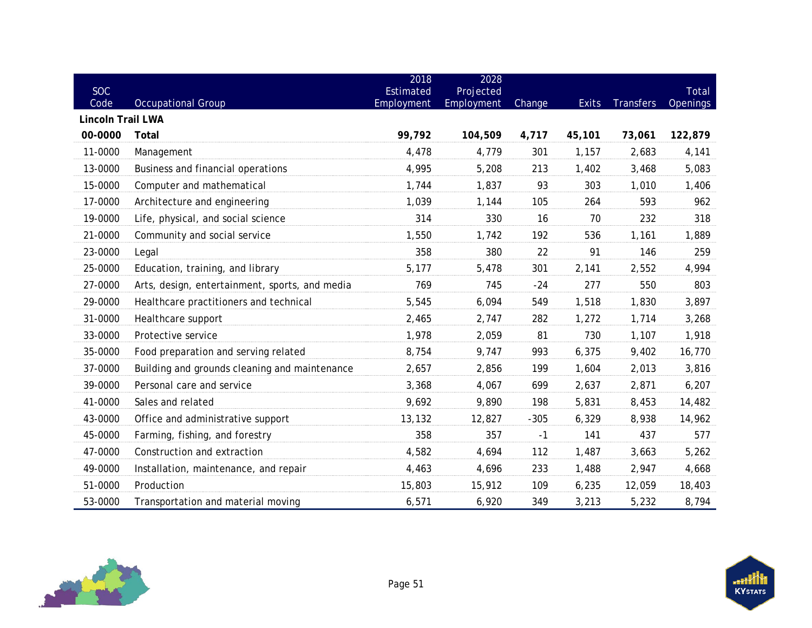| <b>SOC</b><br>Code       | <b>Occupational Group</b>                      | 2018<br>Estimated<br>Employment | 2028<br>Projected<br>Employment | Change | <b>Exits</b> | <b>Transfers</b> | Total<br><b>Openings</b> |
|--------------------------|------------------------------------------------|---------------------------------|---------------------------------|--------|--------------|------------------|--------------------------|
| <b>Lincoln Trail LWA</b> |                                                |                                 |                                 |        |              |                  |                          |
| 00-0000                  | Total                                          | 99,792                          | 104,509                         | 4,717  | 45,101       | 73,061           | 122,879                  |
| 11-0000                  | Management                                     | 4,478                           | 4,779                           | 301    | 1,157        | 2,683            | 4,141                    |
| 13-0000                  | Business and financial operations              | 4,995                           | 5,208                           | 213    | 1,402        | 3,468            | 5,083                    |
| 15-0000                  | Computer and mathematical                      | 1,744                           | 1,837                           | 93     | 303          | 1,010            | 1,406                    |
| 17-0000                  | Architecture and engineering                   | 1,039                           | 1,144                           | 105    | 264          | 593              | 962                      |
| 19-0000                  | Life, physical, and social science             | 314                             | 330                             | 16     | 70           | 232              | 318                      |
| 21-0000                  | Community and social service                   | 1,550                           | 1,742                           | 192    | 536          | 1,161            | 1,889                    |
| 23-0000                  | Legal                                          | 358                             | 380                             | 22     | 91           | 146              | 259                      |
| 25-0000                  | Education, training, and library               | 5,177                           | 5,478                           | 301    | 2,141        | 2,552            | 4,994                    |
| 27-0000                  | Arts, design, entertainment, sports, and media | 769                             | 745                             | $-24$  | 277          | 550              | 803                      |
| 29-0000                  | Healthcare practitioners and technical         | 5,545                           | 6,094                           | 549    | 1,518        | 1,830            | 3,897                    |
| 31-0000                  | Healthcare support                             | 2,465                           | 2,747                           | 282    | 1,272        | 1,714            | 3,268                    |
| 33-0000                  | Protective service                             | 1,978                           | 2,059                           | 81     | 730          | 1,107            | 1,918                    |
| 35-0000                  | Food preparation and serving related           | 8,754                           | 9,747                           | 993    | 6,375        | 9,402            | 16,770                   |
| 37-0000                  | Building and grounds cleaning and maintenance  | 2,657                           | 2,856                           | 199    | 1,604        | 2,013            | 3,816                    |
| 39-0000                  | Personal care and service                      | 3,368                           | 4,067                           | 699    | 2,637        | 2,871            | 6,207                    |
| 41-0000                  | Sales and related                              | 9,692                           | 9,890                           | 198    | 5,831        | 8,453            | 14,482                   |
| 43-0000                  | Office and administrative support              | 13,132                          | 12,827                          | $-305$ | 6,329        | 8,938            | 14,962                   |
| 45-0000                  | Farming, fishing, and forestry                 | 358                             | 357                             | $-1$   | 141          | 437              | 577                      |
| 47-0000                  | Construction and extraction                    | 4,582                           | 4,694                           | 112    | 1,487        | 3,663            | 5,262                    |
| 49-0000                  | Installation, maintenance, and repair          | 4,463                           | 4,696                           | 233    | 1,488        | 2,947            | 4,668                    |
| 51-0000                  | Production                                     | 15,803                          | 15,912                          | 109    | 6,235        | 12,059           | 18,403                   |
| 53-0000                  | Transportation and material moving             | 6,571                           | 6,920                           | 349    | 3,213        | 5,232            | 8,794                    |

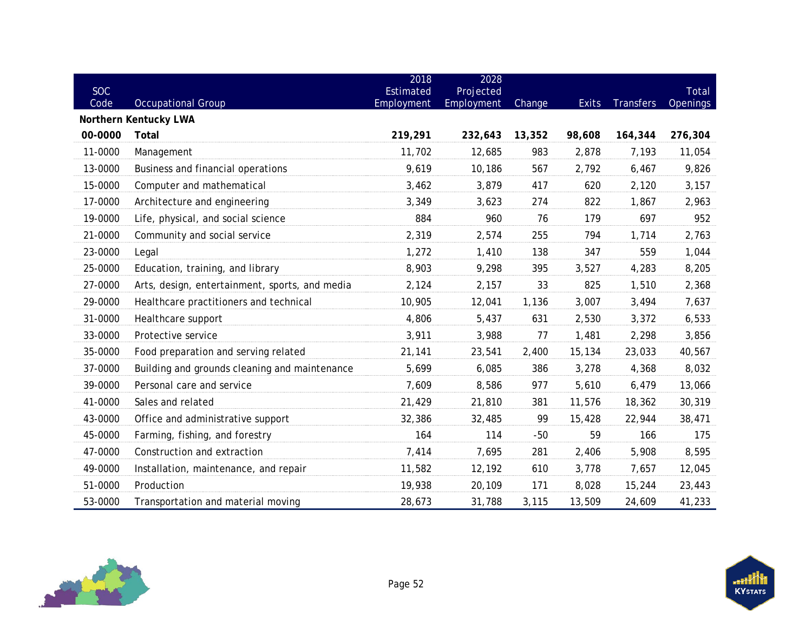| <b>SOC</b><br>Code | <b>Occupational Group</b>                      | 2018<br>Estimated<br>Employment | 2028<br>Projected<br><b>Employment</b> | Change | <b>Exits</b> | <b>Transfers</b> | Total<br>Openings |
|--------------------|------------------------------------------------|---------------------------------|----------------------------------------|--------|--------------|------------------|-------------------|
|                    | Northern Kentucky LWA                          |                                 |                                        |        |              |                  |                   |
| 00-0000            | Total                                          | 219,291                         | 232,643                                | 13,352 | 98,608       | 164,344          | 276,304           |
| 11-0000            | Management                                     | 11,702                          | 12,685                                 | 983    | 2,878        | 7,193            | 11,054            |
| 13-0000            | Business and financial operations              | 9,619                           | 10,186                                 | 567    | 2,792        | 6,467            | 9,826             |
| 15-0000            | Computer and mathematical                      | 3,462                           | 3,879                                  | 417    | 620          | 2,120            | 3,157             |
| 17-0000            | Architecture and engineering                   | 3,349                           | 3,623                                  | 274    | 822          | 1,867            | 2,963             |
| 19-0000            | Life, physical, and social science             | 884                             | 960                                    | 76     | 179          | 697              | 952               |
| 21-0000            | Community and social service                   | 2,319                           | 2,574                                  | 255    | 794          | 1,714            | 2,763             |
| 23-0000            | Legal                                          | 1,272                           | 1,410                                  | 138    | 347          | 559              | 1,044             |
| 25-0000            | Education, training, and library               | 8,903                           | 9,298                                  | 395    | 3,527        | 4,283            | 8,205             |
| 27-0000            | Arts, design, entertainment, sports, and media | 2,124                           | 2,157                                  | 33     | 825          | 1,510            | 2,368             |
| 29-0000            | Healthcare practitioners and technical         | 10,905                          | 12,041                                 | 1,136  | 3,007        | 3,494            | 7,637             |
| 31-0000            | Healthcare support                             | 4,806                           | 5,437                                  | 631    | 2,530        | 3,372            | 6,533             |
| 33-0000            | Protective service                             | 3,911                           | 3,988                                  | 77     | 1,481        | 2,298            | 3,856             |
| 35-0000            | Food preparation and serving related           | 21,141                          | 23,541                                 | 2,400  | 15,134       | 23,033           | 40,567            |
| 37-0000            | Building and grounds cleaning and maintenance  | 5,699                           | 6,085                                  | 386    | 3,278        | 4,368            | 8,032             |
| 39-0000            | Personal care and service                      | 7,609                           | 8,586                                  | 977    | 5,610        | 6,479            | 13,066            |
| 41-0000            | Sales and related                              | 21,429                          | 21,810                                 | 381    | 11,576       | 18,362           | 30,319            |
| 43-0000            | Office and administrative support              | 32,386                          | 32,485                                 | 99     | 15,428       | 22,944           | 38,471            |
| 45-0000            | Farming, fishing, and forestry                 | 164                             | 114                                    | $-50$  | 59           | 166              | 175               |
| 47-0000            | Construction and extraction                    | 7,414                           | 7,695                                  | 281    | 2,406        | 5,908            | 8,595             |
| 49-0000            | Installation, maintenance, and repair          | 11,582                          | 12,192                                 | 610    | 3,778        | 7,657            | 12,045            |
| 51-0000            | Production                                     | 19,938                          | 20,109                                 | 171    | 8,028        | 15,244           | 23,443            |
| 53-0000            | Transportation and material moving             | 28,673                          | 31,788                                 | 3,115  | 13,509       | 24,609           | 41,233            |

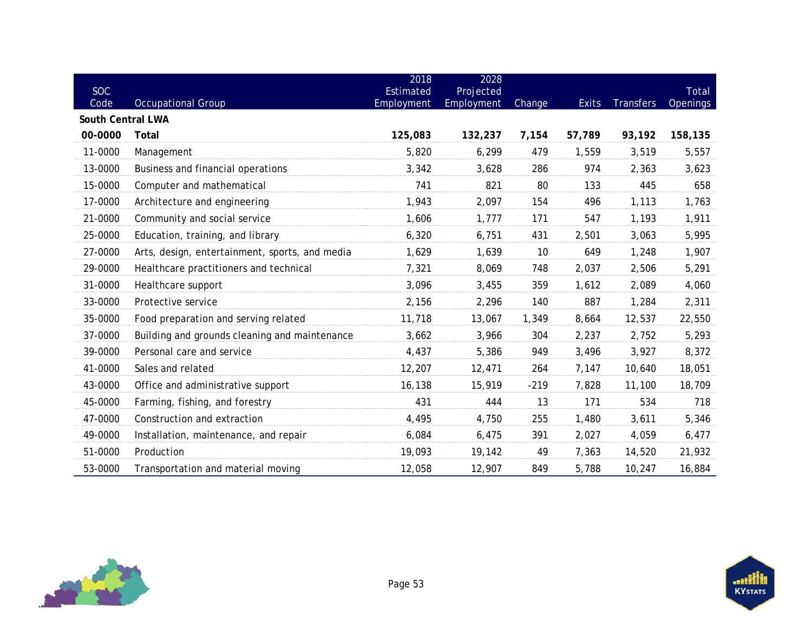| <b>SOC</b><br>Code | <b>Occupational Group</b>                      | 2018<br>Estimated<br>Employment | 2028<br>Projected<br>Employment | Change | <b>Exits</b> | <b>Transfers</b> | Total<br><b>Openings</b> |
|--------------------|------------------------------------------------|---------------------------------|---------------------------------|--------|--------------|------------------|--------------------------|
| South Central LWA  |                                                |                                 |                                 |        |              |                  |                          |
| 00-0000            | Total                                          | 125,083                         | 132,237                         | 7,154  | 57,789       | 93,192           | 158,135                  |
| 11-0000            | Management                                     | 5,820                           | 6,299                           | 479    | 1,559        | 3,519            | 5,557                    |
| 13-0000            | Business and financial operations              | 3,342                           | 3,628                           | 286    | 974          | 2,363            | 3,623                    |
| 15-0000            | Computer and mathematical                      | 741                             | 821                             | 80     | 133          | 445              | 658                      |
| 17-0000            | Architecture and engineering                   | 1,943                           | 2,097                           | 154    | 496          | 1,113            | 1,763                    |
| 21-0000            | Community and social service                   | 1,606                           | 1,777                           | 171    | 547          | 1,193            | 1,911                    |
| 25-0000            | Education, training, and library               | 6,320                           | 6,751                           | 431    | 2,501        | 3,063            | 5,995                    |
| 27-0000            | Arts, design, entertainment, sports, and media | 1,629                           | 1,639                           | 10     | 649          | 1,248            | 1,907                    |
| 29-0000            | Healthcare practitioners and technical         | 7,321                           | 8,069                           | 748    | 2,037        | 2,506            | 5,291                    |
| 31-0000            | Healthcare support                             | 3,096                           | 3,455                           | 359    | 1,612        | 2,089            | 4,060                    |
| 33-0000            | Protective service                             | 2,156                           | 2,296                           | 140    | 887          | 1,284            | 2,311                    |
| 35-0000            | Food preparation and serving related           | 11,718                          | 13,067                          | 1,349  | 8,664        | 12,537           | 22,550                   |
| 37-0000            | Building and grounds cleaning and maintenance  | 3,662                           | 3,966                           | 304    | 2,237        | 2,752            | 5,293                    |
| 39-0000            | Personal care and service                      | 4,437                           | 5,386                           | 949    | 3,496        | 3,927            | 8,372                    |
| 41-0000            | Sales and related                              | 12,207                          | 12,471                          | 264    | 7,147        | 10,640           | 18,051                   |
| 43-0000            | Office and administrative support              | 16,138                          | 15,919                          | $-219$ | 7,828        | 11,100           | 18,709                   |
| 45-0000            | Farming, fishing, and forestry                 | 431                             | 444                             | 13     | 171          | 534              | 718                      |
| 47-0000            | Construction and extraction                    | 4,495                           | 4,750                           | 255    | 1,480        | 3,611            | 5,346                    |
| 49-0000            | Installation, maintenance, and repair          | 6,084                           | 6,475                           | 391    | 2,027        | 4,059            | 6,477                    |
| 51-0000            | Production                                     | 19,093                          | 19,142                          | 49     | 7,363        | 14,520           | 21,932                   |
| 53-0000            | Transportation and material moving             | 12,058                          | 12,907                          | 849    | 5,788        | 10,247           | 16,884                   |

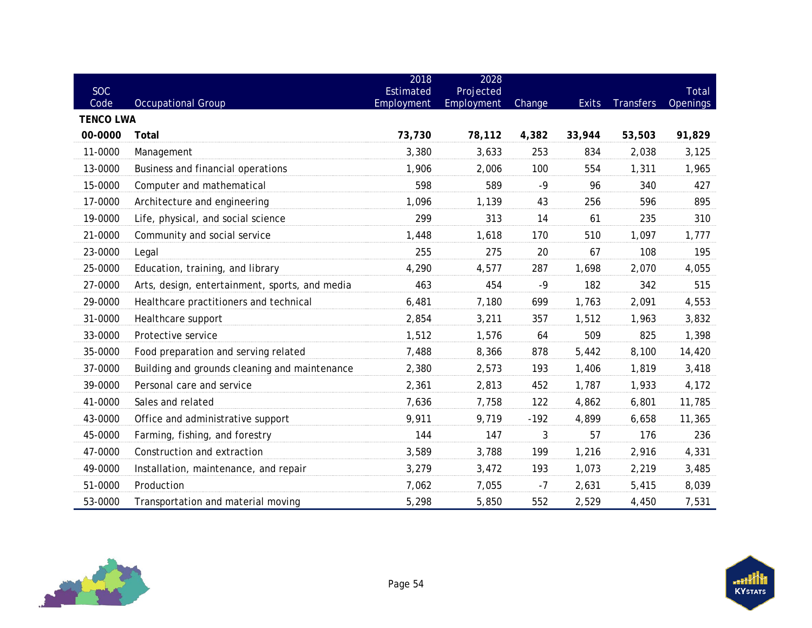| <b>SOC</b>               |                                                | 2018<br>Estimated | 2028<br>Projected |        |              |                  | Total    |
|--------------------------|------------------------------------------------|-------------------|-------------------|--------|--------------|------------------|----------|
| Code<br><b>TENCO LWA</b> | <b>Occupational Group</b>                      | Employment        | Employment        | Change | <b>Exits</b> | <b>Transfers</b> | Openings |
| 00-0000                  | Total                                          | 73,730            | 78,112            | 4,382  | 33,944       | 53,503           | 91,829   |
| 11-0000                  | Management                                     | 3,380             | 3,633             | 253    | 834          | 2,038            | 3,125    |
| 13-0000                  | Business and financial operations              | 1,906             | 2,006             | 100    | 554          | 1,311            | 1,965    |
| 15-0000                  | Computer and mathematical                      | 598               | 589               | $-9$   | 96           | 340              | 427      |
| 17-0000                  | Architecture and engineering                   | 1,096             | 1,139             | 43     | 256          | 596              | 895      |
| 19-0000                  | Life, physical, and social science             | 299               | 313               | 14     | 61           | 235              | 310      |
| 21-0000                  | Community and social service                   | 1,448             | 1,618             | 170    | 510          | 1,097            | 1,777    |
| 23-0000                  | Legal                                          | 255               | 275               | 20     | 67           | 108              | 195      |
| 25-0000                  | Education, training, and library               | 4,290             | 4,577             | 287    | 1,698        | 2,070            | 4,055    |
| 27-0000                  | Arts, design, entertainment, sports, and media | 463               | 454               | $-9$   | 182          | 342              | 515      |
| 29-0000                  | Healthcare practitioners and technical         | 6,481             | 7,180             | 699    | 1,763        | 2,091            | 4,553    |
| 31-0000                  | Healthcare support                             | 2,854             | 3,211             | 357    | 1,512        | 1,963            | 3,832    |
| 33-0000                  | Protective service                             | 1,512             | 1,576             | 64     | 509          | 825              | 1,398    |
| 35-0000                  | Food preparation and serving related           | 7,488             | 8,366             | 878    | 5,442        | 8,100            | 14,420   |
| 37-0000                  | Building and grounds cleaning and maintenance  | 2,380             | 2,573             | 193    | 1,406        | 1,819            | 3,418    |
| 39-0000                  | Personal care and service                      | 2,361             | 2,813             | 452    | 1,787        | 1,933            | 4,172    |
| 41-0000                  | Sales and related                              | 7,636             | 7,758             | 122    | 4,862        | 6,801            | 11,785   |
| 43-0000                  | Office and administrative support              | 9,911             | 9,719             | $-192$ | 4,899        | 6,658            | 11,365   |
| 45-0000                  | Farming, fishing, and forestry                 | 144               | 147               | 3      | 57           | 176              | 236      |
| 47-0000                  | Construction and extraction                    | 3,589             | 3,788             | 199    | 1,216        | 2,916            | 4,331    |
| 49-0000                  | Installation, maintenance, and repair          | 3,279             | 3,472             | 193    | 1,073        | 2,219            | 3,485    |
| 51-0000                  | Production                                     | 7,062             | 7,055             | $-7$   | 2,631        | 5,415            | 8,039    |
| 53-0000                  | Transportation and material moving             | 5,298             | 5,850             | 552    | 2,529        | 4,450            | 7,531    |